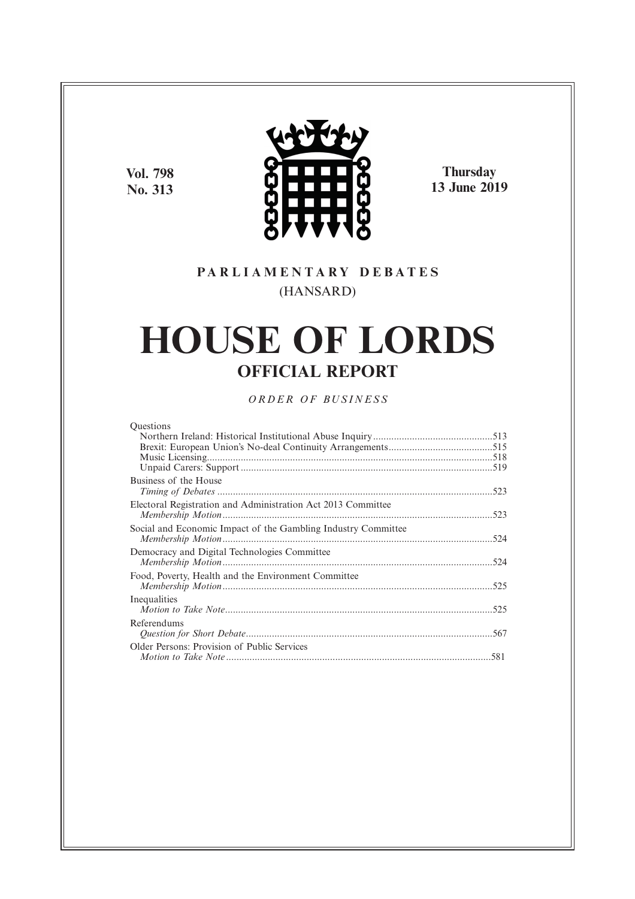**Vol. 798 No. 313**



**Thursday 13 June 2019**

## **P A R L I A M E N T A R Y D E B A T E S** (HANSARD)

# **HOUSE OF LORDS OFFICIAL REPORT**

*O R D E R O F BU S I N E S S*

| <b>Ouestions</b> |  |
|------------------|--|
|                  |  |

| Business of the House                                         |  |
|---------------------------------------------------------------|--|
|                                                               |  |
| Electoral Registration and Administration Act 2013 Committee  |  |
|                                                               |  |
| Social and Economic Impact of the Gambling Industry Committee |  |
|                                                               |  |
| Democracy and Digital Technologies Committee                  |  |
|                                                               |  |
| Food, Poverty, Health and the Environment Committee           |  |
|                                                               |  |
|                                                               |  |
| Inequalities                                                  |  |
|                                                               |  |
| Referendums                                                   |  |
|                                                               |  |
| Older Persons: Provision of Public Services                   |  |
|                                                               |  |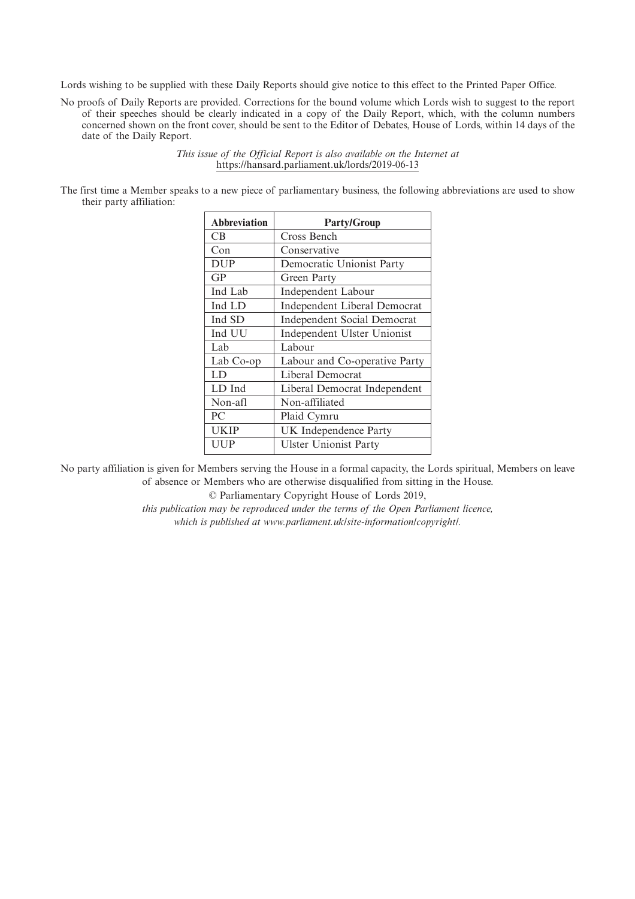Lords wishing to be supplied with these Daily Reports should give notice to this effect to the Printed Paper Office.

No proofs of Daily Reports are provided. Corrections for the bound volume which Lords wish to suggest to the report of their speeches should be clearly indicated in a copy of the Daily Report, which, with the column numbers concerned shown on the front cover, should be sent to the Editor of Debates, House of Lords, within 14 days of the date of the Daily Report.

> *This issue of the Official Report is also available on the Internet at* https://hansard.parliament.uk/lords/2019-06-13

The first time a Member speaks to a new piece of parliamentary business, the following abbreviations are used to show their party affiliation:

| <b>Abbreviation</b> | <b>Party/Group</b>                 |
|---------------------|------------------------------------|
| СB                  | Cross Bench                        |
| Con                 | Conservative                       |
| <b>DUP</b>          | Democratic Unionist Party          |
| GP                  | Green Party                        |
| Ind Lab             | Independent Labour                 |
| Ind LD              | Independent Liberal Democrat       |
| Ind SD              | <b>Independent Social Democrat</b> |
| Ind UU              | Independent Ulster Unionist        |
| Lab                 | Labour                             |
| Lab Co-op           | Labour and Co-operative Party      |
| LD                  | Liberal Democrat                   |
| LD Ind              | Liberal Democrat Independent       |
| Non-afl             | Non-affiliated                     |
| PC                  | Plaid Cymru                        |
| UKIP                | UK Independence Party              |
| UUP                 | <b>Ulster Unionist Party</b>       |

No party affiliation is given for Members serving the House in a formal capacity, the Lords spiritual, Members on leave of absence or Members who are otherwise disqualified from sitting in the House.

© Parliamentary Copyright House of Lords 2019,

*this publication may be reproduced under the terms of the Open Parliament licence, which is published at www.parliament.uk/site-information/copyright/.*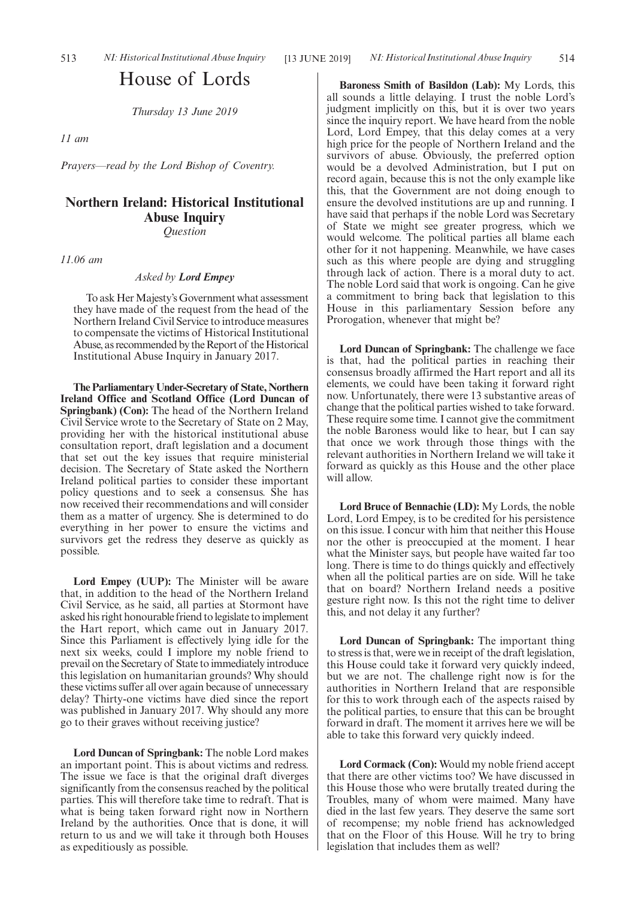## House of Lords

*Thursday 13 June 2019*

*11 am*

*Prayers—read by the Lord Bishop of Coventry.*

## **Northern Ireland: Historical Institutional Abuse Inquiry** *Question*

*11.06 am*

*Asked by Lord Empey*

To ask Her Majesty's Government what assessment they have made of the request from the head of the Northern Ireland Civil Service to introduce measures to compensate the victims of Historical Institutional Abuse, as recommended by the Report of the Historical Institutional Abuse Inquiry in January 2017.

**The Parliamentary Under-Secretary of State, Northern Ireland Office and Scotland Office (Lord Duncan of Springbank) (Con):** The head of the Northern Ireland Civil Service wrote to the Secretary of State on 2 May, providing her with the historical institutional abuse consultation report, draft legislation and a document that set out the key issues that require ministerial decision. The Secretary of State asked the Northern Ireland political parties to consider these important policy questions and to seek a consensus. She has now received their recommendations and will consider them as a matter of urgency. She is determined to do everything in her power to ensure the victims and survivors get the redress they deserve as quickly as possible.

**Lord Empey (UUP):** The Minister will be aware that, in addition to the head of the Northern Ireland Civil Service, as he said, all parties at Stormont have asked his right honourable friend to legislate to implement the Hart report, which came out in January 2017. Since this Parliament is effectively lying idle for the next six weeks, could I implore my noble friend to prevail on the Secretary of State to immediately introduce this legislation on humanitarian grounds? Why should these victims suffer all over again because of unnecessary delay? Thirty-one victims have died since the report was published in January 2017. Why should any more go to their graves without receiving justice?

**Lord Duncan of Springbank:** The noble Lord makes an important point. This is about victims and redress. The issue we face is that the original draft diverges significantly from the consensus reached by the political parties. This will therefore take time to redraft. That is what is being taken forward right now in Northern Ireland by the authorities. Once that is done, it will return to us and we will take it through both Houses as expeditiously as possible.

**Baroness Smith of Basildon (Lab):** My Lords, this all sounds a little delaying. I trust the noble Lord's judgment implicitly on this, but it is over two years since the inquiry report. We have heard from the noble Lord, Lord Empey, that this delay comes at a very high price for the people of Northern Ireland and the survivors of abuse. Obviously, the preferred option would be a devolved Administration, but I put on record again, because this is not the only example like this, that the Government are not doing enough to ensure the devolved institutions are up and running. I have said that perhaps if the noble Lord was Secretary of State we might see greater progress, which we would welcome. The political parties all blame each other for it not happening. Meanwhile, we have cases such as this where people are dying and struggling through lack of action. There is a moral duty to act. The noble Lord said that work is ongoing. Can he give a commitment to bring back that legislation to this House in this parliamentary Session before any Prorogation, whenever that might be?

**Lord Duncan of Springbank:** The challenge we face is that, had the political parties in reaching their consensus broadly affirmed the Hart report and all its elements, we could have been taking it forward right now. Unfortunately, there were 13 substantive areas of change that the political parties wished to take forward. These require some time. I cannot give the commitment the noble Baroness would like to hear, but I can say that once we work through those things with the relevant authorities in Northern Ireland we will take it forward as quickly as this House and the other place will allow.

**Lord Bruce of Bennachie (LD):** My Lords, the noble Lord, Lord Empey, is to be credited for his persistence on this issue. I concur with him that neither this House nor the other is preoccupied at the moment. I hear what the Minister says, but people have waited far too long. There is time to do things quickly and effectively when all the political parties are on side. Will he take that on board? Northern Ireland needs a positive gesture right now. Is this not the right time to deliver this, and not delay it any further?

**Lord Duncan of Springbank:** The important thing to stress is that, were we in receipt of the draft legislation, this House could take it forward very quickly indeed, but we are not. The challenge right now is for the authorities in Northern Ireland that are responsible for this to work through each of the aspects raised by the political parties, to ensure that this can be brought forward in draft. The moment it arrives here we will be able to take this forward very quickly indeed.

**Lord Cormack (Con):** Would my noble friend accept that there are other victims too? We have discussed in this House those who were brutally treated during the Troubles, many of whom were maimed. Many have died in the last few years. They deserve the same sort of recompense; my noble friend has acknowledged that on the Floor of this House. Will he try to bring legislation that includes them as well?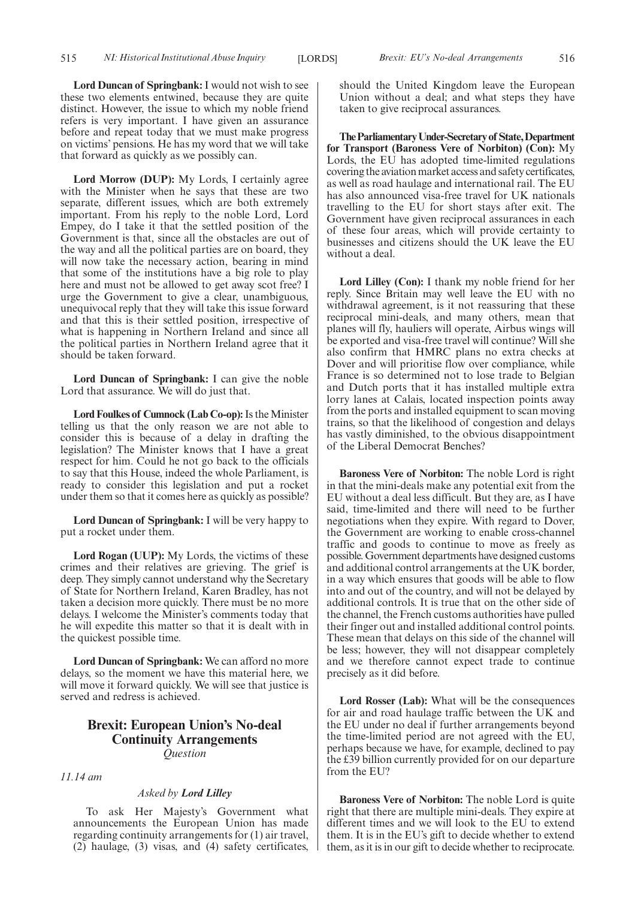**Lord Duncan of Springbank:** I would not wish to see these two elements entwined, because they are quite distinct. However, the issue to which my noble friend refers is very important. I have given an assurance before and repeat today that we must make progress on victims' pensions. He has my word that we will take that forward as quickly as we possibly can.

**Lord Morrow (DUP):** My Lords, I certainly agree with the Minister when he says that these are two separate, different issues, which are both extremely important. From his reply to the noble Lord, Lord Empey, do I take it that the settled position of the Government is that, since all the obstacles are out of the way and all the political parties are on board, they will now take the necessary action, bearing in mind that some of the institutions have a big role to play here and must not be allowed to get away scot free? I urge the Government to give a clear, unambiguous, unequivocal reply that they will take this issue forward and that this is their settled position, irrespective of what is happening in Northern Ireland and since all the political parties in Northern Ireland agree that it should be taken forward.

**Lord Duncan of Springbank:** I can give the noble Lord that assurance. We will do just that.

**Lord Foulkes of Cumnock (Lab Co-op):**Is the Minister telling us that the only reason we are not able to consider this is because of a delay in drafting the legislation? The Minister knows that I have a great respect for him. Could he not go back to the officials to say that this House, indeed the whole Parliament, is ready to consider this legislation and put a rocket under them so that it comes here as quickly as possible?

**Lord Duncan of Springbank:** I will be very happy to put a rocket under them.

**Lord Rogan (UUP):** My Lords, the victims of these crimes and their relatives are grieving. The grief is deep. They simply cannot understand why the Secretary of State for Northern Ireland, Karen Bradley, has not taken a decision more quickly. There must be no more delays. I welcome the Minister's comments today that he will expedite this matter so that it is dealt with in the quickest possible time.

**Lord Duncan of Springbank:** We can afford no more delays, so the moment we have this material here, we will move it forward quickly. We will see that justice is served and redress is achieved.

## **Brexit: European Union's No-deal Continuity Arrangements** *Question*

*11.14 am*

## *Asked by Lord Lilley*

To ask Her Majesty's Government what announcements the European Union has made regarding continuity arrangements for (1) air travel, (2) haulage, (3) visas, and (4) safety certificates, should the United Kingdom leave the European Union without a deal; and what steps they have taken to give reciprocal assurances.

**TheParliamentaryUnder-Secretaryof State,Department for Transport (Baroness Vere of Norbiton) (Con):** My Lords, the EU has adopted time-limited regulations covering the aviation market access and safety certificates, as well as road haulage and international rail. The EU has also announced visa-free travel for UK nationals travelling to the EU for short stays after exit. The Government have given reciprocal assurances in each of these four areas, which will provide certainty to businesses and citizens should the UK leave the EU without a deal.

**Lord Lilley (Con):** I thank my noble friend for her reply. Since Britain may well leave the EU with no withdrawal agreement, is it not reassuring that these reciprocal mini-deals, and many others, mean that planes will fly, hauliers will operate, Airbus wings will be exported and visa-free travel will continue? Will she also confirm that HMRC plans no extra checks at Dover and will prioritise flow over compliance, while France is so determined not to lose trade to Belgian and Dutch ports that it has installed multiple extra lorry lanes at Calais, located inspection points away from the ports and installed equipment to scan moving trains, so that the likelihood of congestion and delays has vastly diminished, to the obvious disappointment of the Liberal Democrat Benches?

**Baroness Vere of Norbiton:** The noble Lord is right in that the mini-deals make any potential exit from the EU without a deal less difficult. But they are, as I have said, time-limited and there will need to be further negotiations when they expire. With regard to Dover, the Government are working to enable cross-channel traffic and goods to continue to move as freely as possible. Government departments have designed customs and additional control arrangements at the UK border, in a way which ensures that goods will be able to flow into and out of the country, and will not be delayed by additional controls. It is true that on the other side of the channel, the French customs authorities have pulled their finger out and installed additional control points. These mean that delays on this side of the channel will be less; however, they will not disappear completely and we therefore cannot expect trade to continue precisely as it did before.

Lord Rosser (Lab): What will be the consequences for air and road haulage traffic between the UK and the EU under no deal if further arrangements beyond the time-limited period are not agreed with the EU, perhaps because we have, for example, declined to pay the £39 billion currently provided for on our departure from the EU?

**Baroness Vere of Norbiton:** The noble Lord is quite right that there are multiple mini-deals. They expire at different times and we will look to the EU to extend them. It is in the EU's gift to decide whether to extend them, as it is in our gift to decide whether to reciprocate.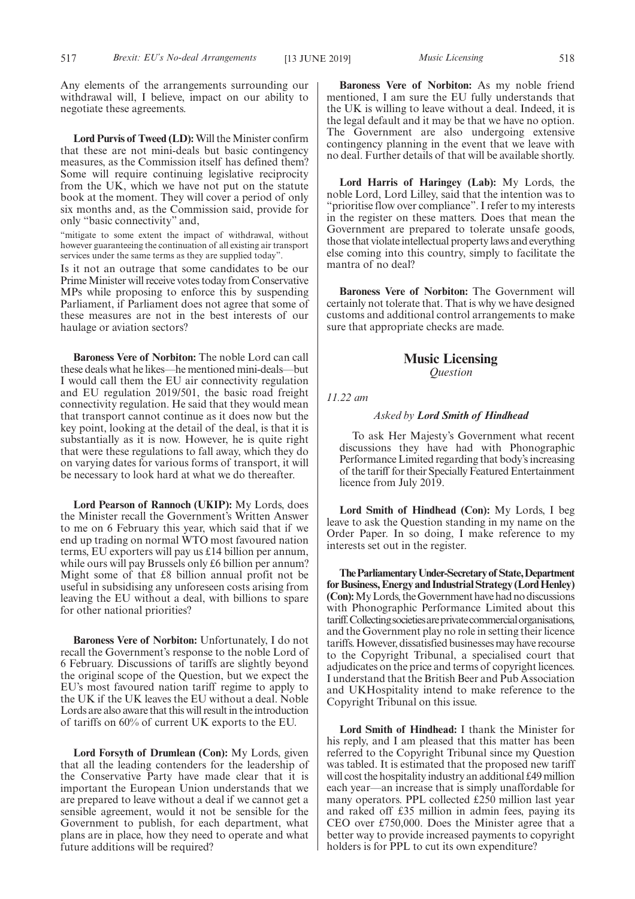Any elements of the arrangements surrounding our withdrawal will, I believe, impact on our ability to negotiate these agreements.

**Lord Purvis of Tweed (LD):** Will the Minister confirm that these are not mini-deals but basic contingency measures, as the Commission itself has defined them? Some will require continuing legislative reciprocity from the UK, which we have not put on the statute book at the moment. They will cover a period of only six months and, as the Commission said, provide for only "basic connectivity" and,

"mitigate to some extent the impact of withdrawal, without however guaranteeing the continuation of all existing air transport services under the same terms as they are supplied today".

Is it not an outrage that some candidates to be our Prime Minister will receive votes today from Conservative MPs while proposing to enforce this by suspending Parliament, if Parliament does not agree that some of these measures are not in the best interests of our haulage or aviation sectors?

**Baroness Vere of Norbiton:** The noble Lord can call these deals what he likes—he mentioned mini-deals—but I would call them the EU air connectivity regulation and EU regulation 2019/501, the basic road freight connectivity regulation. He said that they would mean that transport cannot continue as it does now but the key point, looking at the detail of the deal, is that it is substantially as it is now. However, he is quite right that were these regulations to fall away, which they do on varying dates for various forms of transport, it will be necessary to look hard at what we do thereafter.

**Lord Pearson of Rannoch (UKIP):** My Lords, does the Minister recall the Government's Written Answer to me on 6 February this year, which said that if we end up trading on normal WTO most favoured nation terms, EU exporters will pay us £14 billion per annum, while ours will pay Brussels only £6 billion per annum? Might some of that £8 billion annual profit not be useful in subsidising any unforeseen costs arising from leaving the EU without a deal, with billions to spare for other national priorities?

**Baroness Vere of Norbiton:** Unfortunately, I do not recall the Government's response to the noble Lord of 6 February. Discussions of tariffs are slightly beyond the original scope of the Question, but we expect the EU's most favoured nation tariff regime to apply to the UK if the UK leaves the EU without a deal. Noble Lords are also aware that this will result in the introduction of tariffs on 60% of current UK exports to the EU.

**Lord Forsyth of Drumlean (Con):** My Lords, given that all the leading contenders for the leadership of the Conservative Party have made clear that it is important the European Union understands that we are prepared to leave without a deal if we cannot get a sensible agreement, would it not be sensible for the Government to publish, for each department, what plans are in place, how they need to operate and what future additions will be required?

**Baroness Vere of Norbiton:** As my noble friend mentioned, I am sure the EU fully understands that the UK is willing to leave without a deal. Indeed, it is the legal default and it may be that we have no option. The Government are also undergoing extensive contingency planning in the event that we leave with no deal. Further details of that will be available shortly.

**Lord Harris of Haringey (Lab):** My Lords, the noble Lord, Lord Lilley, said that the intention was to "prioritise flow over compliance". I refer to my interests in the register on these matters. Does that mean the Government are prepared to tolerate unsafe goods, those that violate intellectual property laws and everything else coming into this country, simply to facilitate the mantra of no deal?

**Baroness Vere of Norbiton:** The Government will certainly not tolerate that. That is why we have designed customs and additional control arrangements to make sure that appropriate checks are made.

## **Music Licensing** *Question*

*11.22 am*

## *Asked by Lord Smith of Hindhead*

To ask Her Majesty's Government what recent discussions they have had with Phonographic Performance Limited regarding that body's increasing of the tariff for their Specially Featured Entertainment licence from July 2019.

**Lord Smith of Hindhead (Con):** My Lords, I beg leave to ask the Question standing in my name on the Order Paper. In so doing, I make reference to my interests set out in the register.

**TheParliamentaryUnder-Secretaryof State,Department for Business, Energy and Industrial Strategy (Lord Henley) (Con):** My Lords, the Government have had no discussions with Phonographic Performance Limited about this tariff. Collecting societies are private commercial organisations, and the Government play no role in setting their licence tariffs. However, dissatisfied businesses may have recourse to the Copyright Tribunal, a specialised court that adjudicates on the price and terms of copyright licences. I understand that the British Beer and Pub Association and UKHospitality intend to make reference to the Copyright Tribunal on this issue.

**Lord Smith of Hindhead:** I thank the Minister for his reply, and I am pleased that this matter has been referred to the Copyright Tribunal since my Question was tabled. It is estimated that the proposed new tariff will cost the hospitality industry an additional £49 million each year—an increase that is simply unaffordable for many operators. PPL collected £250 million last year and raked off £35 million in admin fees, paying its CEO over £750,000. Does the Minister agree that a better way to provide increased payments to copyright holders is for PPL to cut its own expenditure?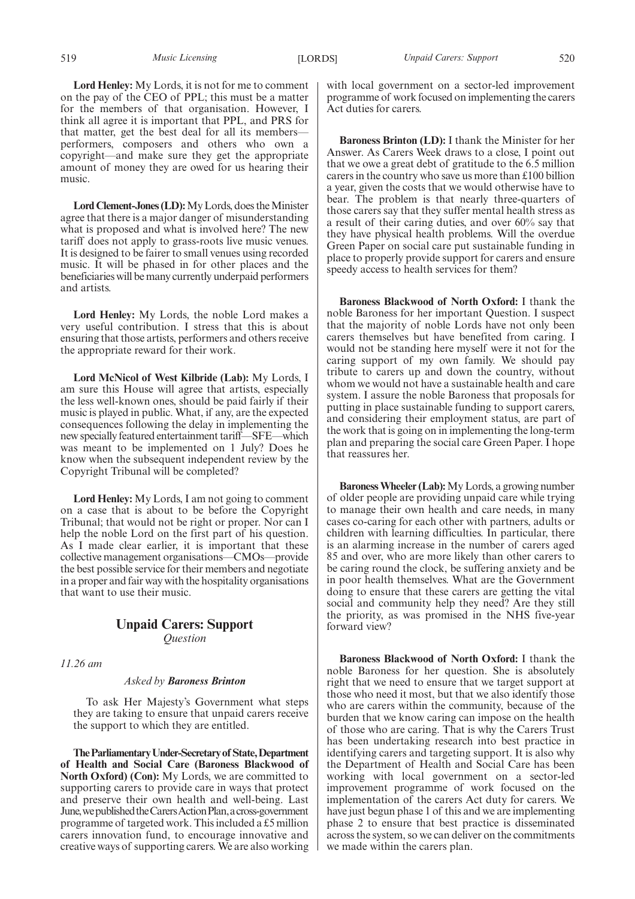**Lord Henley:** My Lords, it is not for me to comment on the pay of the CEO of PPL; this must be a matter for the members of that organisation. However, I think all agree it is important that PPL, and PRS for that matter, get the best deal for all its members performers, composers and others who own a copyright—and make sure they get the appropriate amount of money they are owed for us hearing their music.

**Lord Clement-Jones (LD):**My Lords, does the Minister agree that there is a major danger of misunderstanding what is proposed and what is involved here? The new tariff does not apply to grass-roots live music venues. It is designed to be fairer to small venues using recorded music. It will be phased in for other places and the beneficiaries will be many currently underpaid performers and artists.

**Lord Henley:** My Lords, the noble Lord makes a very useful contribution. I stress that this is about ensuring that those artists, performers and others receive the appropriate reward for their work.

**Lord McNicol of West Kilbride (Lab):** My Lords, I am sure this House will agree that artists, especially the less well-known ones, should be paid fairly if their music is played in public. What, if any, are the expected consequences following the delay in implementing the new specially featured entertainment tariff—SFE—which was meant to be implemented on 1 July? Does he know when the subsequent independent review by the Copyright Tribunal will be completed?

**Lord Henley:** My Lords, I am not going to comment on a case that is about to be before the Copyright Tribunal; that would not be right or proper. Nor can I help the noble Lord on the first part of his question. As I made clear earlier, it is important that these collective management organisations—CMOs—provide the best possible service for their members and negotiate in a proper and fair way with the hospitality organisations that want to use their music.

## **Unpaid Carers: Support** *Question*

*11.26 am*

### *Asked by Baroness Brinton*

To ask Her Majesty's Government what steps they are taking to ensure that unpaid carers receive the support to which they are entitled.

**TheParliamentaryUnder-Secretaryof State,Department of Health and Social Care (Baroness Blackwood of North Oxford) (Con):** My Lords, we are committed to supporting carers to provide care in ways that protect and preserve their own health and well-being. Last June, we published the Carers Action Plan, a cross-government programme of targeted work. This included a £5 million carers innovation fund, to encourage innovative and creative ways of supporting carers. We are also working with local government on a sector-led improvement programme of work focused on implementing the carers Act duties for carers.

**Baroness Brinton (LD):** I thank the Minister for her Answer. As Carers Week draws to a close, I point out that we owe a great debt of gratitude to the 6.5 million carers in the country who save us more than £100 billion a year, given the costs that we would otherwise have to bear. The problem is that nearly three-quarters of those carers say that they suffer mental health stress as a result of their caring duties, and over 60% say that they have physical health problems. Will the overdue Green Paper on social care put sustainable funding in place to properly provide support for carers and ensure speedy access to health services for them?

**Baroness Blackwood of North Oxford:** I thank the noble Baroness for her important Question. I suspect that the majority of noble Lords have not only been carers themselves but have benefited from caring. I would not be standing here myself were it not for the caring support of my own family. We should pay tribute to carers up and down the country, without whom we would not have a sustainable health and care system. I assure the noble Baroness that proposals for putting in place sustainable funding to support carers, and considering their employment status, are part of the work that is going on in implementing the long-term plan and preparing the social care Green Paper. I hope that reassures her.

**Baroness Wheeler (Lab):**My Lords, a growing number of older people are providing unpaid care while trying to manage their own health and care needs, in many cases co-caring for each other with partners, adults or children with learning difficulties. In particular, there is an alarming increase in the number of carers aged 85 and over, who are more likely than other carers to be caring round the clock, be suffering anxiety and be in poor health themselves. What are the Government doing to ensure that these carers are getting the vital social and community help they need? Are they still the priority, as was promised in the NHS five-year forward view?

**Baroness Blackwood of North Oxford:** I thank the noble Baroness for her question. She is absolutely right that we need to ensure that we target support at those who need it most, but that we also identify those who are carers within the community, because of the burden that we know caring can impose on the health of those who are caring. That is why the Carers Trust has been undertaking research into best practice in identifying carers and targeting support. It is also why the Department of Health and Social Care has been working with local government on a sector-led improvement programme of work focused on the implementation of the carers Act duty for carers. We have just begun phase 1 of this and we are implementing phase 2 to ensure that best practice is disseminated across the system, so we can deliver on the commitments we made within the carers plan.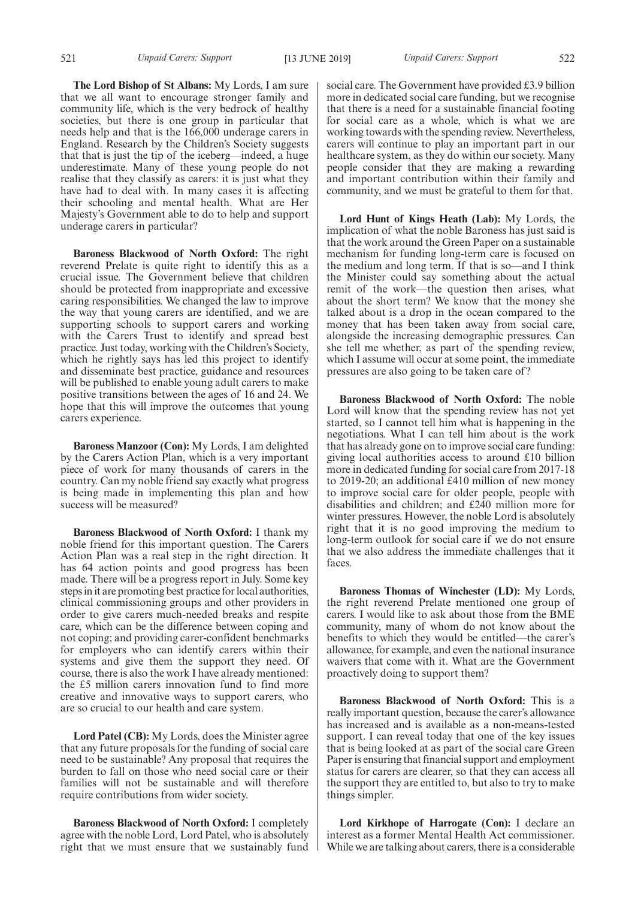**The Lord Bishop of St Albans:** My Lords, I am sure that we all want to encourage stronger family and community life, which is the very bedrock of healthy societies, but there is one group in particular that needs help and that is the 166,000 underage carers in England. Research by the Children's Society suggests that that is just the tip of the iceberg—indeed, a huge underestimate. Many of these young people do not realise that they classify as carers: it is just what they have had to deal with. In many cases it is affecting their schooling and mental health. What are Her Majesty's Government able to do to help and support underage carers in particular?

**Baroness Blackwood of North Oxford:** The right reverend Prelate is quite right to identify this as a crucial issue. The Government believe that children should be protected from inappropriate and excessive caring responsibilities. We changed the law to improve the way that young carers are identified, and we are supporting schools to support carers and working with the Carers Trust to identify and spread best practice. Just today, working with the Children's Society, which he rightly says has led this project to identify and disseminate best practice, guidance and resources will be published to enable young adult carers to make positive transitions between the ages of 16 and 24. We hope that this will improve the outcomes that young carers experience.

**Baroness Manzoor (Con):** My Lords, I am delighted by the Carers Action Plan, which is a very important piece of work for many thousands of carers in the country. Can my noble friend say exactly what progress is being made in implementing this plan and how success will be measured?

**Baroness Blackwood of North Oxford:** I thank my noble friend for this important question. The Carers Action Plan was a real step in the right direction. It has 64 action points and good progress has been made. There will be a progress report in July. Some key steps in it are promoting best practice for local authorities, clinical commissioning groups and other providers in order to give carers much-needed breaks and respite care, which can be the difference between coping and not coping; and providing carer-confident benchmarks for employers who can identify carers within their systems and give them the support they need. Of course, there is also the work I have already mentioned: the £5 million carers innovation fund to find more creative and innovative ways to support carers, who are so crucial to our health and care system.

**Lord Patel (CB):** My Lords, does the Minister agree that any future proposals for the funding of social care need to be sustainable? Any proposal that requires the burden to fall on those who need social care or their families will not be sustainable and will therefore require contributions from wider society.

**Baroness Blackwood of North Oxford:** I completely agree with the noble Lord, Lord Patel, who is absolutely right that we must ensure that we sustainably fund social care. The Government have provided £3.9 billion more in dedicated social care funding, but we recognise that there is a need for a sustainable financial footing for social care as a whole, which is what we are working towards with the spending review. Nevertheless, carers will continue to play an important part in our healthcare system, as they do within our society. Many people consider that they are making a rewarding and important contribution within their family and community, and we must be grateful to them for that.

**Lord Hunt of Kings Heath (Lab):** My Lords, the implication of what the noble Baroness has just said is that the work around the Green Paper on a sustainable mechanism for funding long-term care is focused on the medium and long term. If that is so—and I think the Minister could say something about the actual remit of the work—the question then arises, what about the short term? We know that the money she talked about is a drop in the ocean compared to the money that has been taken away from social care, alongside the increasing demographic pressures. Can she tell me whether, as part of the spending review, which I assume will occur at some point, the immediate pressures are also going to be taken care of?

**Baroness Blackwood of North Oxford:** The noble Lord will know that the spending review has not yet started, so I cannot tell him what is happening in the negotiations. What I can tell him about is the work that has already gone on to improve social care funding: giving local authorities access to around £10 billion more in dedicated funding for social care from 2017-18 to 2019-20; an additional £410 million of new money to improve social care for older people, people with disabilities and children; and £240 million more for winter pressures. However, the noble Lord is absolutely right that it is no good improving the medium to long-term outlook for social care if we do not ensure that we also address the immediate challenges that it faces.

**Baroness Thomas of Winchester (LD):** My Lords, the right reverend Prelate mentioned one group of carers. I would like to ask about those from the BME community, many of whom do not know about the benefits to which they would be entitled—the carer's allowance, for example, and even the national insurance waivers that come with it. What are the Government proactively doing to support them?

**Baroness Blackwood of North Oxford:** This is a really important question, because the carer's allowance has increased and is available as a non-means-tested support. I can reveal today that one of the key issues that is being looked at as part of the social care Green Paper is ensuring that financial support and employment status for carers are clearer, so that they can access all the support they are entitled to, but also to try to make things simpler.

**Lord Kirkhope of Harrogate (Con):** I declare an interest as a former Mental Health Act commissioner. While we are talking about carers, there is a considerable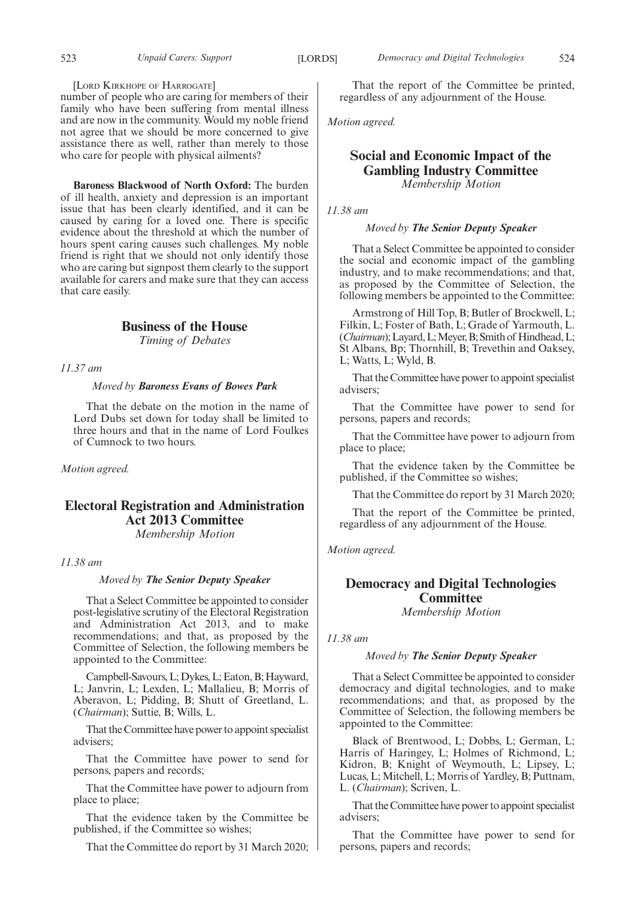## [LORD KIRKHOPE OF HARROGATE]

number of people who are caring for members of their family who have been suffering from mental illness and are now in the community. Would my noble friend not agree that we should be more concerned to give assistance there as well, rather than merely to those who care for people with physical ailments?

**Baroness Blackwood of North Oxford:** The burden of ill health, anxiety and depression is an important issue that has been clearly identified, and it can be caused by caring for a loved one. There is specific evidence about the threshold at which the number of hours spent caring causes such challenges. My noble friend is right that we should not only identify those who are caring but signpost them clearly to the support available for carers and make sure that they can access that care easily.

## **Business of the House**

*Timing of Debates*

*11.37 am*

#### *Moved by Baroness Evans of Bowes Park*

That the debate on the motion in the name of Lord Dubs set down for today shall be limited to three hours and that in the name of Lord Foulkes of Cumnock to two hours.

*Motion agreed.*

## **Electoral Registration and Administration Act 2013 Committee** *Membership Motion*

*11.38 am*

*Moved by The Senior Deputy Speaker*

That a Select Committee be appointed to consider post-legislative scrutiny of the Electoral Registration and Administration Act 2013, and to make recommendations; and that, as proposed by the Committee of Selection, the following members be appointed to the Committee:

Campbell-Savours, L; Dykes, L; Eaton, B; Hayward, L; Janvrin, L; Lexden, L; Mallalieu, B; Morris of Aberavon, L; Pidding, B; Shutt of Greetland, L. (*Chairman*); Suttie, B; Wills, L.

That the Committee have power to appoint specialist advisers;

That the Committee have power to send for persons, papers and records;

That the Committee have power to adjourn from place to place;

That the evidence taken by the Committee be published, if the Committee so wishes;

That the Committee do report by 31 March 2020;

That the report of the Committee be printed, regardless of any adjournment of the House.

*Motion agreed.*

## **Social and Economic Impact of the Gambling Industry Committee**

*Membership Motion*

*11.38 am*

## *Moved by The Senior Deputy Speaker*

That a Select Committee be appointed to consider the social and economic impact of the gambling industry, and to make recommendations; and that, as proposed by the Committee of Selection, the following members be appointed to the Committee:

Armstrong of Hill Top, B; Butler of Brockwell, L; Filkin, L; Foster of Bath, L; Grade of Yarmouth, L. (*Chairman*); Layard, L; Meyer, B; Smith of Hindhead, L; St Albans, Bp; Thornhill, B; Trevethin and Oaksey, L; Watts, L; Wyld, B.

That the Committee have power to appoint specialist advisers;

That the Committee have power to send for persons, papers and records;

That the Committee have power to adjourn from place to place;

That the evidence taken by the Committee be published, if the Committee so wishes;

That the Committee do report by 31 March 2020;

That the report of the Committee be printed, regardless of any adjournment of the House.

*Motion agreed.*

## **Democracy and Digital Technologies Committee**

*Membership Motion*

*11.38 am*

## *Moved by The Senior Deputy Speaker*

That a Select Committee be appointed to consider democracy and digital technologies, and to make recommendations; and that, as proposed by the Committee of Selection, the following members be appointed to the Committee:

Black of Brentwood, L; Dobbs, L; German, L; Harris of Haringey, L; Holmes of Richmond, L; Kidron, B; Knight of Weymouth, L; Lipsey, L; Lucas, L; Mitchell, L; Morris of Yardley, B; Puttnam, L. (*Chairman*); Scriven, L.

That the Committee have power to appoint specialist advisers;

That the Committee have power to send for persons, papers and records;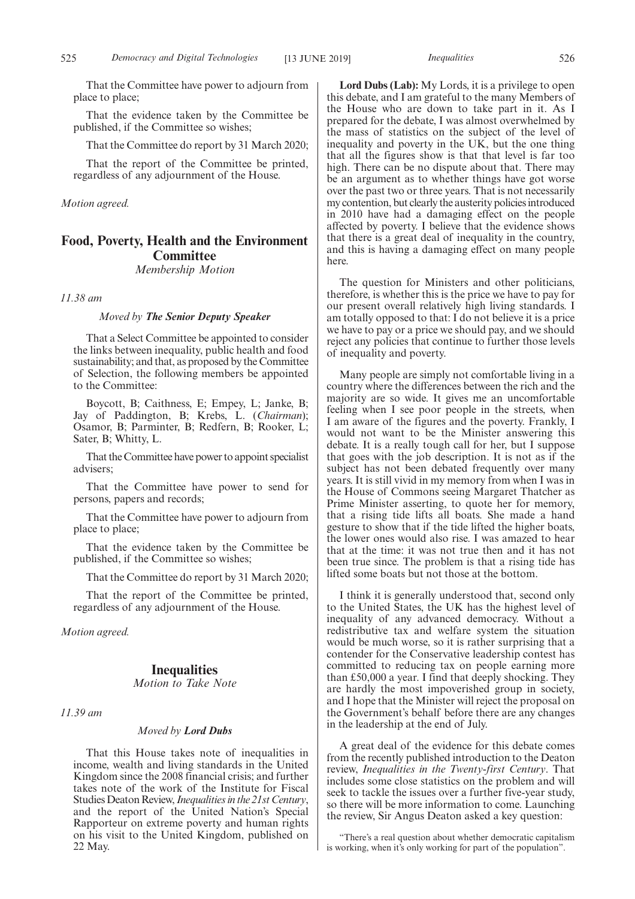That the Committee have power to adjourn from place to place;

That the evidence taken by the Committee be published, if the Committee so wishes;

That the Committee do report by 31 March 2020;

That the report of the Committee be printed, regardless of any adjournment of the House.

*Motion agreed.*

## **Food, Poverty, Health and the Environment Committee**

## *Membership Motion*

*11.38 am*

## *Moved by The Senior Deputy Speaker*

That a Select Committee be appointed to consider the links between inequality, public health and food sustainability; and that, as proposed by the Committee of Selection, the following members be appointed to the Committee:

Boycott, B; Caithness, E; Empey, L; Janke, B; Jay of Paddington, B; Krebs, L. (*Chairman*); Osamor, B; Parminter, B; Redfern, B; Rooker, L; Sater, B; Whitty, L.

That the Committee have power to appoint specialist advisers;

That the Committee have power to send for persons, papers and records;

That the Committee have power to adjourn from place to place;

That the evidence taken by the Committee be published, if the Committee so wishes;

That the Committee do report by 31 March 2020;

That the report of the Committee be printed, regardless of any adjournment of the House.

*Motion agreed.*

## **Inequalities**

*Motion to Take Note*

*11.39 am*

## *Moved by Lord Dubs*

That this House takes note of inequalities in income, wealth and living standards in the United Kingdom since the 2008 financial crisis; and further takes note of the work of the Institute for Fiscal Studies Deaton Review,*Inequalities in the 21st Century*, and the report of the United Nation's Special Rapporteur on extreme poverty and human rights on his visit to the United Kingdom, published on 22 May.

**Lord Dubs (Lab):** My Lords, it is a privilege to open this debate, and I am grateful to the many Members of the House who are down to take part in it. As I prepared for the debate, I was almost overwhelmed by the mass of statistics on the subject of the level of inequality and poverty in the UK, but the one thing that all the figures show is that that level is far too high. There can be no dispute about that. There may be an argument as to whether things have got worse over the past two or three years. That is not necessarily my contention, but clearly the austerity policies introduced in 2010 have had a damaging effect on the people affected by poverty. I believe that the evidence shows that there is a great deal of inequality in the country, and this is having a damaging effect on many people here.

The question for Ministers and other politicians, therefore, is whether this is the price we have to pay for our present overall relatively high living standards. I am totally opposed to that: I do not believe it is a price we have to pay or a price we should pay, and we should reject any policies that continue to further those levels of inequality and poverty.

Many people are simply not comfortable living in a country where the differences between the rich and the majority are so wide. It gives me an uncomfortable feeling when I see poor people in the streets, when I am aware of the figures and the poverty. Frankly, I would not want to be the Minister answering this debate. It is a really tough call for her, but I suppose that goes with the job description. It is not as if the subject has not been debated frequently over many years. It is still vivid in my memory from when I was in the House of Commons seeing Margaret Thatcher as Prime Minister asserting, to quote her for memory, that a rising tide lifts all boats. She made a hand gesture to show that if the tide lifted the higher boats, the lower ones would also rise. I was amazed to hear that at the time: it was not true then and it has not been true since. The problem is that a rising tide has lifted some boats but not those at the bottom.

I think it is generally understood that, second only to the United States, the UK has the highest level of inequality of any advanced democracy. Without a redistributive tax and welfare system the situation would be much worse, so it is rather surprising that a contender for the Conservative leadership contest has committed to reducing tax on people earning more than £50,000 a year. I find that deeply shocking. They are hardly the most impoverished group in society, and I hope that the Minister will reject the proposal on the Government's behalf before there are any changes in the leadership at the end of July.

A great deal of the evidence for this debate comes from the recently published introduction to the Deaton review, *Inequalities in the Twenty-first Century*. That includes some close statistics on the problem and will seek to tackle the issues over a further five-year study, so there will be more information to come. Launching the review, Sir Angus Deaton asked a key question:

"There's a real question about whether democratic capitalism is working, when it's only working for part of the population".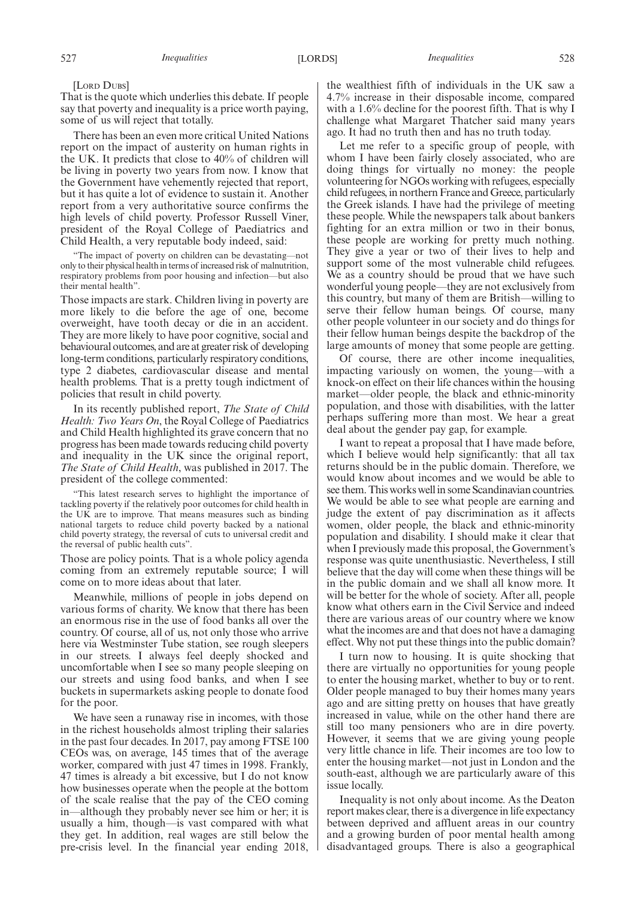[LORD DUBS]

That is the quote which underlies this debate. If people say that poverty and inequality is a price worth paying, some of us will reject that totally.

There has been an even more critical United Nations report on the impact of austerity on human rights in the UK. It predicts that close to 40% of children will be living in poverty two years from now. I know that the Government have vehemently rejected that report, but it has quite a lot of evidence to sustain it. Another report from a very authoritative source confirms the high levels of child poverty. Professor Russell Viner, president of the Royal College of Paediatrics and Child Health, a very reputable body indeed, said:

"The impact of poverty on children can be devastating—not only to their physical health in terms of increased risk of malnutrition, respiratory problems from poor housing and infection—but also their mental health".

Those impacts are stark. Children living in poverty are more likely to die before the age of one, become overweight, have tooth decay or die in an accident. They are more likely to have poor cognitive, social and behavioural outcomes, and are at greater risk of developing long-term conditions, particularly respiratory conditions, type 2 diabetes, cardiovascular disease and mental health problems. That is a pretty tough indictment of policies that result in child poverty.

In its recently published report, *The State of Child Health: Two Years On*, the Royal College of Paediatrics and Child Health highlighted its grave concern that no progress has been made towards reducing child poverty and inequality in the UK since the original report, *The State of Child Health*, was published in 2017. The president of the college commented:

"This latest research serves to highlight the importance of tackling poverty if the relatively poor outcomes for child health in the UK are to improve. That means measures such as binding national targets to reduce child poverty backed by a national child poverty strategy, the reversal of cuts to universal credit and the reversal of public health cuts".

Those are policy points. That is a whole policy agenda coming from an extremely reputable source; I will come on to more ideas about that later.

Meanwhile, millions of people in jobs depend on various forms of charity. We know that there has been an enormous rise in the use of food banks all over the country. Of course, all of us, not only those who arrive here via Westminster Tube station, see rough sleepers in our streets. I always feel deeply shocked and uncomfortable when I see so many people sleeping on our streets and using food banks, and when I see buckets in supermarkets asking people to donate food for the poor.

We have seen a runaway rise in incomes, with those in the richest households almost tripling their salaries in the past four decades. In 2017, pay among FTSE 100 CEOs was, on average, 145 times that of the average worker, compared with just 47 times in 1998. Frankly, 47 times is already a bit excessive, but I do not know how businesses operate when the people at the bottom of the scale realise that the pay of the CEO coming in—although they probably never see him or her; it is usually a him, though—is vast compared with what they get. In addition, real wages are still below the pre-crisis level. In the financial year ending 2018,

the wealthiest fifth of individuals in the UK saw a 4.7% increase in their disposable income, compared with a 1.6% decline for the poorest fifth. That is why I challenge what Margaret Thatcher said many years ago. It had no truth then and has no truth today.

Let me refer to a specific group of people, with whom I have been fairly closely associated, who are doing things for virtually no money: the people volunteering for NGOs working with refugees, especially child refugees, in northern France and Greece, particularly the Greek islands. I have had the privilege of meeting these people. While the newspapers talk about bankers fighting for an extra million or two in their bonus, these people are working for pretty much nothing. They give a year or two of their lives to help and support some of the most vulnerable child refugees. We as a country should be proud that we have such wonderful young people—they are not exclusively from this country, but many of them are British—willing to serve their fellow human beings. Of course, many other people volunteer in our society and do things for their fellow human beings despite the backdrop of the large amounts of money that some people are getting.

Of course, there are other income inequalities, impacting variously on women, the young—with a knock-on effect on their life chances within the housing market—older people, the black and ethnic-minority population, and those with disabilities, with the latter perhaps suffering more than most. We hear a great deal about the gender pay gap, for example.

I want to repeat a proposal that I have made before, which I believe would help significantly: that all tax returns should be in the public domain. Therefore, we would know about incomes and we would be able to see them. This works well in some Scandinavian countries. We would be able to see what people are earning and judge the extent of pay discrimination as it affects women, older people, the black and ethnic-minority population and disability. I should make it clear that when I previously made this proposal, the Government's response was quite unenthusiastic. Nevertheless, I still believe that the day will come when these things will be in the public domain and we shall all know more. It will be better for the whole of society. After all, people know what others earn in the Civil Service and indeed there are various areas of our country where we know what the incomes are and that does not have a damaging effect. Why not put these things into the public domain?

I turn now to housing. It is quite shocking that there are virtually no opportunities for young people to enter the housing market, whether to buy or to rent. Older people managed to buy their homes many years ago and are sitting pretty on houses that have greatly increased in value, while on the other hand there are still too many pensioners who are in dire poverty. However, it seems that we are giving young people very little chance in life. Their incomes are too low to enter the housing market—not just in London and the south-east, although we are particularly aware of this issue locally.

Inequality is not only about income. As the Deaton report makes clear, there is a divergence in life expectancy between deprived and affluent areas in our country and a growing burden of poor mental health among disadvantaged groups. There is also a geographical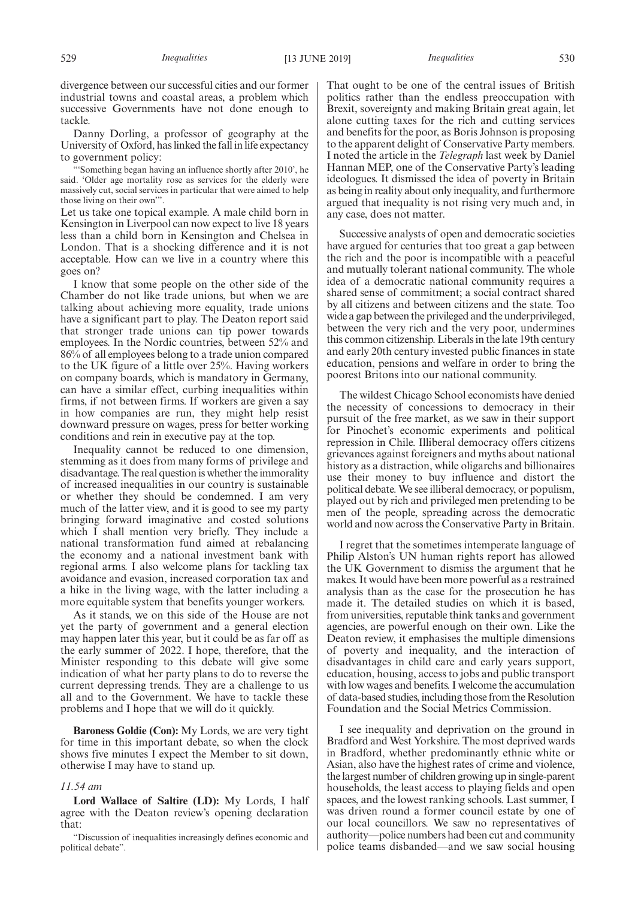divergence between our successful cities and our former industrial towns and coastal areas, a problem which successive Governments have not done enough to tackle.

Danny Dorling, a professor of geography at the University of Oxford, has linked the fall in life expectancy to government policy:

"'Something began having an influence shortly after 2010', he said. 'Older age mortality rose as services for the elderly were massively cut, social services in particular that were aimed to help those living on their own'".

Let us take one topical example. A male child born in Kensington in Liverpool can now expect to live 18 years less than a child born in Kensington and Chelsea in London. That is a shocking difference and it is not acceptable. How can we live in a country where this goes on?

I know that some people on the other side of the Chamber do not like trade unions, but when we are talking about achieving more equality, trade unions have a significant part to play. The Deaton report said that stronger trade unions can tip power towards employees. In the Nordic countries, between 52% and 86% of all employees belong to a trade union compared to the UK figure of a little over 25%. Having workers on company boards, which is mandatory in Germany, can have a similar effect, curbing inequalities within firms, if not between firms. If workers are given a say in how companies are run, they might help resist downward pressure on wages, press for better working conditions and rein in executive pay at the top.

Inequality cannot be reduced to one dimension, stemming as it does from many forms of privilege and disadvantage. The real question is whether the immorality of increased inequalities in our country is sustainable or whether they should be condemned. I am very much of the latter view, and it is good to see my party bringing forward imaginative and costed solutions which I shall mention very briefly. They include a national transformation fund aimed at rebalancing the economy and a national investment bank with regional arms. I also welcome plans for tackling tax avoidance and evasion, increased corporation tax and a hike in the living wage, with the latter including a more equitable system that benefits younger workers.

As it stands, we on this side of the House are not yet the party of government and a general election may happen later this year, but it could be as far off as the early summer of 2022. I hope, therefore, that the Minister responding to this debate will give some indication of what her party plans to do to reverse the current depressing trends. They are a challenge to us all and to the Government. We have to tackle these problems and I hope that we will do it quickly.

**Baroness Goldie (Con):** My Lords, we are very tight for time in this important debate, so when the clock shows five minutes I expect the Member to sit down, otherwise I may have to stand up.

#### *11.54 am*

**Lord Wallace of Saltire (LD):** My Lords, I half agree with the Deaton review's opening declaration that:

"Discussion of inequalities increasingly defines economic and political debate".

That ought to be one of the central issues of British politics rather than the endless preoccupation with Brexit, sovereignty and making Britain great again, let alone cutting taxes for the rich and cutting services and benefits for the poor, as Boris Johnson is proposing to the apparent delight of Conservative Party members. I noted the article in the *Telegraph* last week by Daniel Hannan MEP, one of the Conservative Party's leading ideologues. It dismissed the idea of poverty in Britain as being in reality about only inequality, and furthermore argued that inequality is not rising very much and, in any case, does not matter.

Successive analysts of open and democratic societies have argued for centuries that too great a gap between the rich and the poor is incompatible with a peaceful and mutually tolerant national community. The whole idea of a democratic national community requires a shared sense of commitment; a social contract shared by all citizens and between citizens and the state. Too wide a gap between the privileged and the underprivileged, between the very rich and the very poor, undermines this common citizenship. Liberals in the late 19th century and early 20th century invested public finances in state education, pensions and welfare in order to bring the poorest Britons into our national community.

The wildest Chicago School economists have denied the necessity of concessions to democracy in their pursuit of the free market, as we saw in their support for Pinochet's economic experiments and political repression in Chile. Illiberal democracy offers citizens grievances against foreigners and myths about national history as a distraction, while oligarchs and billionaires use their money to buy influence and distort the political debate. We see illiberal democracy, or populism, played out by rich and privileged men pretending to be men of the people, spreading across the democratic world and now across the Conservative Party in Britain.

I regret that the sometimes intemperate language of Philip Alston's UN human rights report has allowed the UK Government to dismiss the argument that he makes. It would have been more powerful as a restrained analysis than as the case for the prosecution he has made it. The detailed studies on which it is based, from universities, reputable think tanks and government agencies, are powerful enough on their own. Like the Deaton review, it emphasises the multiple dimensions of poverty and inequality, and the interaction of disadvantages in child care and early years support, education, housing, access to jobs and public transport with low wages and benefits. I welcome the accumulation of data-based studies, including those from the Resolution Foundation and the Social Metrics Commission.

I see inequality and deprivation on the ground in Bradford and West Yorkshire. The most deprived wards in Bradford, whether predominantly ethnic white or Asian, also have the highest rates of crime and violence, the largest number of children growing up in single-parent households, the least access to playing fields and open spaces, and the lowest ranking schools. Last summer, I was driven round a former council estate by one of our local councillors. We saw no representatives of authority—police numbers had been cut and community police teams disbanded—and we saw social housing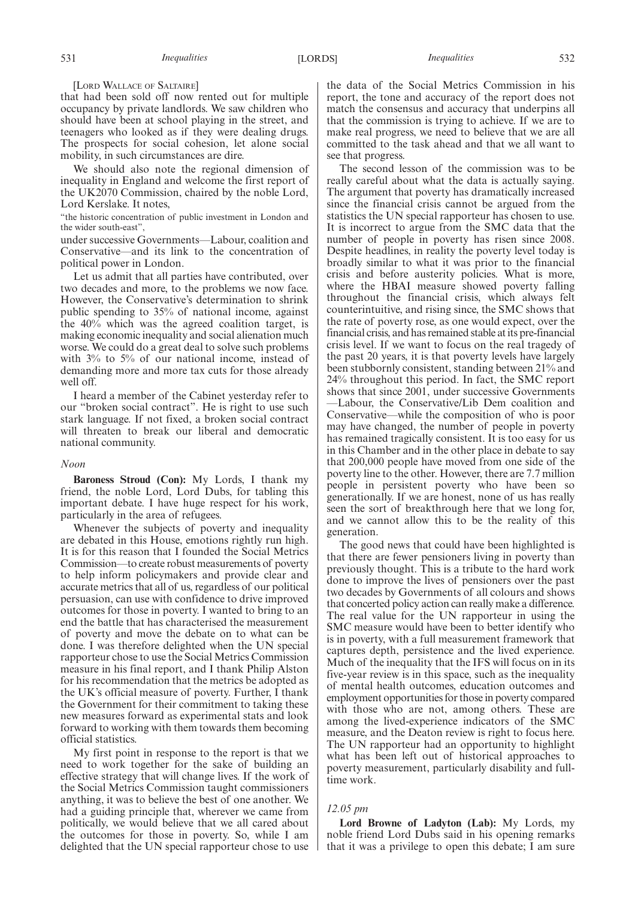#### [LORD WALLACE OF SALTAIRE]

that had been sold off now rented out for multiple occupancy by private landlords. We saw children who should have been at school playing in the street, and teenagers who looked as if they were dealing drugs. The prospects for social cohesion, let alone social mobility, in such circumstances are dire.

We should also note the regional dimension of inequality in England and welcome the first report of the UK2070 Commission, chaired by the noble Lord, Lord Kerslake. It notes,

"the historic concentration of public investment in London and the wider south-east",

under successive Governments—Labour, coalition and Conservative—and its link to the concentration of political power in London.

Let us admit that all parties have contributed, over two decades and more, to the problems we now face. However, the Conservative's determination to shrink public spending to 35% of national income, against the 40% which was the agreed coalition target, is making economic inequality and social alienation much worse. We could do a great deal to solve such problems with 3% to 5% of our national income, instead of demanding more and more tax cuts for those already well off.

I heard a member of the Cabinet yesterday refer to our "broken social contract". He is right to use such stark language. If not fixed, a broken social contract will threaten to break our liberal and democratic national community.

## *Noon*

**Baroness Stroud (Con):** My Lords, I thank my friend, the noble Lord, Lord Dubs, for tabling this important debate. I have huge respect for his work, particularly in the area of refugees.

Whenever the subjects of poverty and inequality are debated in this House, emotions rightly run high. It is for this reason that I founded the Social Metrics Commission—to create robust measurements of poverty to help inform policymakers and provide clear and accurate metrics that all of us, regardless of our political persuasion, can use with confidence to drive improved outcomes for those in poverty. I wanted to bring to an end the battle that has characterised the measurement of poverty and move the debate on to what can be done. I was therefore delighted when the UN special rapporteur chose to use the Social Metrics Commission measure in his final report, and I thank Philip Alston for his recommendation that the metrics be adopted as the UK's official measure of poverty. Further, I thank the Government for their commitment to taking these new measures forward as experimental stats and look forward to working with them towards them becoming official statistics.

My first point in response to the report is that we need to work together for the sake of building an effective strategy that will change lives. If the work of the Social Metrics Commission taught commissioners anything, it was to believe the best of one another. We had a guiding principle that, wherever we came from politically, we would believe that we all cared about the outcomes for those in poverty. So, while I am delighted that the UN special rapporteur chose to use

the data of the Social Metrics Commission in his report, the tone and accuracy of the report does not match the consensus and accuracy that underpins all that the commission is trying to achieve. If we are to make real progress, we need to believe that we are all committed to the task ahead and that we all want to see that progress.

The second lesson of the commission was to be really careful about what the data is actually saying. The argument that poverty has dramatically increased since the financial crisis cannot be argued from the statistics the UN special rapporteur has chosen to use. It is incorrect to argue from the SMC data that the number of people in poverty has risen since 2008. Despite headlines, in reality the poverty level today is broadly similar to what it was prior to the financial crisis and before austerity policies. What is more, where the HBAI measure showed poverty falling throughout the financial crisis, which always felt counterintuitive, and rising since, the SMC shows that the rate of poverty rose, as one would expect, over the financial crisis, and has remained stable at its pre-financial crisis level. If we want to focus on the real tragedy of the past 20 years, it is that poverty levels have largely been stubbornly consistent, standing between 21% and 24% throughout this period. In fact, the SMC report shows that since 2001, under successive Governments —Labour, the Conservative/Lib Dem coalition and Conservative—while the composition of who is poor may have changed, the number of people in poverty has remained tragically consistent. It is too easy for us in this Chamber and in the other place in debate to say that 200,000 people have moved from one side of the poverty line to the other. However, there are 7.7 million people in persistent poverty who have been so generationally. If we are honest, none of us has really seen the sort of breakthrough here that we long for, and we cannot allow this to be the reality of this generation.

The good news that could have been highlighted is that there are fewer pensioners living in poverty than previously thought. This is a tribute to the hard work done to improve the lives of pensioners over the past two decades by Governments of all colours and shows that concerted policy action can really make a difference. The real value for the UN rapporteur in using the SMC measure would have been to better identify who is in poverty, with a full measurement framework that captures depth, persistence and the lived experience. Much of the inequality that the IFS will focus on in its five-year review is in this space, such as the inequality of mental health outcomes, education outcomes and employment opportunities for those in poverty compared with those who are not, among others. These are among the lived-experience indicators of the SMC measure, and the Deaton review is right to focus here. The UN rapporteur had an opportunity to highlight what has been left out of historical approaches to poverty measurement, particularly disability and fulltime work.

#### *12.05 pm*

**Lord Browne of Ladyton (Lab):** My Lords, my noble friend Lord Dubs said in his opening remarks that it was a privilege to open this debate; I am sure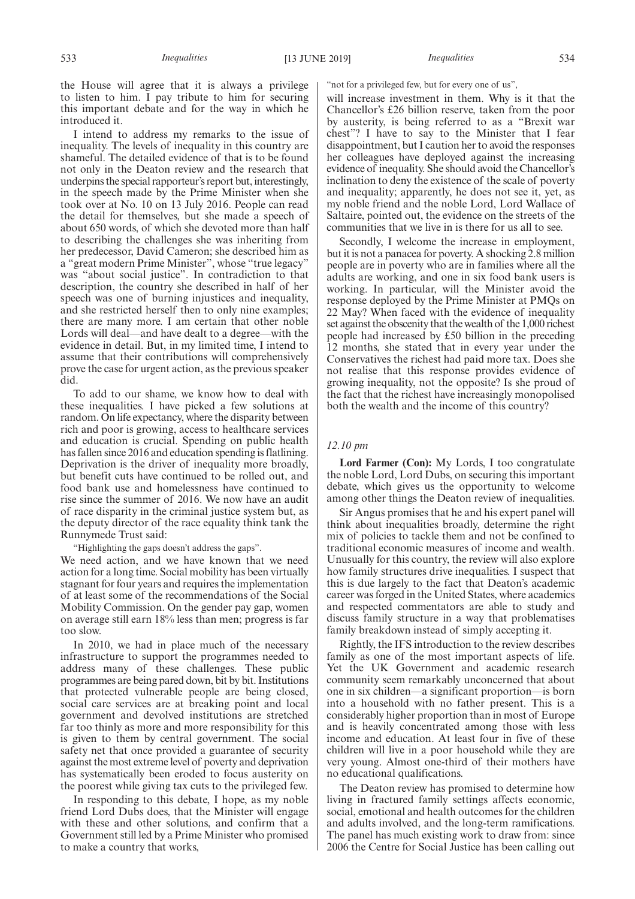the House will agree that it is always a privilege to listen to him. I pay tribute to him for securing this important debate and for the way in which he introduced it.

I intend to address my remarks to the issue of inequality. The levels of inequality in this country are shameful. The detailed evidence of that is to be found not only in the Deaton review and the research that underpins the special rapporteur's report but, interestingly, in the speech made by the Prime Minister when she took over at No. 10 on 13 July 2016. People can read the detail for themselves, but she made a speech of about 650 words, of which she devoted more than half to describing the challenges she was inheriting from her predecessor, David Cameron; she described him as a "great modern Prime Minister", whose "true legacy" was "about social justice". In contradiction to that description, the country she described in half of her speech was one of burning injustices and inequality, and she restricted herself then to only nine examples; there are many more. I am certain that other noble Lords will deal—and have dealt to a degree—with the evidence in detail. But, in my limited time, I intend to assume that their contributions will comprehensively prove the case for urgent action, as the previous speaker did.

To add to our shame, we know how to deal with these inequalities. I have picked a few solutions at random. On life expectancy, where the disparity between rich and poor is growing, access to healthcare services and education is crucial. Spending on public health has fallen since 2016 and education spending is flatlining. Deprivation is the driver of inequality more broadly, but benefit cuts have continued to be rolled out, and food bank use and homelessness have continued to rise since the summer of 2016. We now have an audit of race disparity in the criminal justice system but, as the deputy director of the race equality think tank the Runnymede Trust said:

"Highlighting the gaps doesn't address the gaps".

We need action, and we have known that we need action for a long time. Social mobility has been virtually stagnant for four years and requires the implementation of at least some of the recommendations of the Social Mobility Commission. On the gender pay gap, women on average still earn 18% less than men; progress is far too slow.

In 2010, we had in place much of the necessary infrastructure to support the programmes needed to address many of these challenges. These public programmes are being pared down, bit by bit. Institutions that protected vulnerable people are being closed, social care services are at breaking point and local government and devolved institutions are stretched far too thinly as more and more responsibility for this is given to them by central government. The social safety net that once provided a guarantee of security against the most extreme level of poverty and deprivation has systematically been eroded to focus austerity on the poorest while giving tax cuts to the privileged few.

In responding to this debate, I hope, as my noble friend Lord Dubs does, that the Minister will engage with these and other solutions, and confirm that a Government still led by a Prime Minister who promised to make a country that works,

"not for a privileged few, but for every one of us",

will increase investment in them. Why is it that the Chancellor's £26 billion reserve, taken from the poor by austerity, is being referred to as a "Brexit war chest"? I have to say to the Minister that I fear disappointment, but I caution her to avoid the responses her colleagues have deployed against the increasing evidence of inequality. She should avoid the Chancellor's inclination to deny the existence of the scale of poverty and inequality; apparently, he does not see it, yet, as my noble friend and the noble Lord, Lord Wallace of Saltaire, pointed out, the evidence on the streets of the communities that we live in is there for us all to see.

Secondly, I welcome the increase in employment, but it is not a panacea for poverty. A shocking 2.8 million people are in poverty who are in families where all the adults are working, and one in six food bank users is working. In particular, will the Minister avoid the response deployed by the Prime Minister at PMQs on 22 May? When faced with the evidence of inequality set against the obscenity that the wealth of the 1,000 richest people had increased by £50 billion in the preceding 12 months, she stated that in every year under the Conservatives the richest had paid more tax. Does she not realise that this response provides evidence of growing inequality, not the opposite? Is she proud of the fact that the richest have increasingly monopolised both the wealth and the income of this country?

## *12.10 pm*

**Lord Farmer (Con):** My Lords, I too congratulate the noble Lord, Lord Dubs, on securing this important debate, which gives us the opportunity to welcome among other things the Deaton review of inequalities.

Sir Angus promises that he and his expert panel will think about inequalities broadly, determine the right mix of policies to tackle them and not be confined to traditional economic measures of income and wealth. Unusually for this country, the review will also explore how family structures drive inequalities. I suspect that this is due largely to the fact that Deaton's academic career was forged in the United States, where academics and respected commentators are able to study and discuss family structure in a way that problematises family breakdown instead of simply accepting it.

Rightly, the IFS introduction to the review describes family as one of the most important aspects of life. Yet the UK Government and academic research community seem remarkably unconcerned that about one in six children—a significant proportion—is born into a household with no father present. This is a considerably higher proportion than in most of Europe and is heavily concentrated among those with less income and education. At least four in five of these children will live in a poor household while they are very young. Almost one-third of their mothers have no educational qualifications.

The Deaton review has promised to determine how living in fractured family settings affects economic, social, emotional and health outcomes for the children and adults involved, and the long-term ramifications. The panel has much existing work to draw from: since 2006 the Centre for Social Justice has been calling out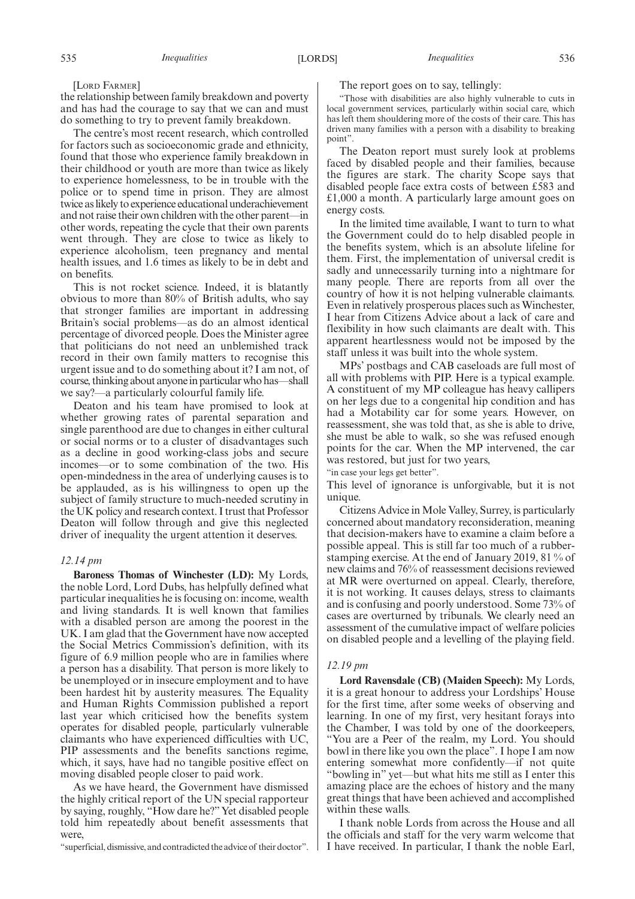the relationship between family breakdown and poverty and has had the courage to say that we can and must do something to try to prevent family breakdown.

The centre's most recent research, which controlled for factors such as socioeconomic grade and ethnicity, found that those who experience family breakdown in their childhood or youth are more than twice as likely to experience homelessness, to be in trouble with the police or to spend time in prison. They are almost twice as likely to experience educational underachievement and not raise their own children with the other parent—in other words, repeating the cycle that their own parents went through. They are close to twice as likely to experience alcoholism, teen pregnancy and mental health issues, and 1.6 times as likely to be in debt and on benefits.

This is not rocket science. Indeed, it is blatantly obvious to more than 80% of British adults, who say that stronger families are important in addressing Britain's social problems—as do an almost identical percentage of divorced people. Does the Minister agree that politicians do not need an unblemished track record in their own family matters to recognise this urgent issue and to do something about it? I am not, of course, thinking about anyone in particular who has—shall we say?—a particularly colourful family life.

Deaton and his team have promised to look at whether growing rates of parental separation and single parenthood are due to changes in either cultural or social norms or to a cluster of disadvantages such as a decline in good working-class jobs and secure incomes—or to some combination of the two. His open-mindedness in the area of underlying causes is to be applauded, as is his willingness to open up the subject of family structure to much-needed scrutiny in the UK policy and research context. I trust that Professor Deaton will follow through and give this neglected driver of inequality the urgent attention it deserves.

## *12.14 pm*

**Baroness Thomas of Winchester (LD):** My Lords, the noble Lord, Lord Dubs, has helpfully defined what particular inequalities he is focusing on: income, wealth and living standards. It is well known that families with a disabled person are among the poorest in the UK. I am glad that the Government have now accepted the Social Metrics Commission's definition, with its figure of 6.9 million people who are in families where a person has a disability. That person is more likely to be unemployed or in insecure employment and to have been hardest hit by austerity measures. The Equality and Human Rights Commission published a report last year which criticised how the benefits system operates for disabled people, particularly vulnerable claimants who have experienced difficulties with UC, PIP assessments and the benefits sanctions regime, which, it says, have had no tangible positive effect on moving disabled people closer to paid work.

As we have heard, the Government have dismissed the highly critical report of the UN special rapporteur by saying, roughly, "How dare he?" Yet disabled people told him repeatedly about benefit assessments that were,

"superficial, dismissive, and contradicted the advice of their doctor".

#### The report goes on to say, tellingly:

"Those with disabilities are also highly vulnerable to cuts in local government services, particularly within social care, which has left them shouldering more of the costs of their care. This has driven many families with a person with a disability to breaking point".

The Deaton report must surely look at problems faced by disabled people and their families, because the figures are stark. The charity Scope says that disabled people face extra costs of between £583 and £1,000 a month. A particularly large amount goes on energy costs.

In the limited time available, I want to turn to what the Government could do to help disabled people in the benefits system, which is an absolute lifeline for them. First, the implementation of universal credit is sadly and unnecessarily turning into a nightmare for many people. There are reports from all over the country of how it is not helping vulnerable claimants. Even in relatively prosperous places such as Winchester, I hear from Citizens Advice about a lack of care and flexibility in how such claimants are dealt with. This apparent heartlessness would not be imposed by the staff unless it was built into the whole system.

MPs' postbags and CAB caseloads are full most of all with problems with PIP. Here is a typical example. A constituent of my MP colleague has heavy callipers on her legs due to a congenital hip condition and has had a Motability car for some years. However, on reassessment, she was told that, as she is able to drive, she must be able to walk, so she was refused enough points for the car. When the MP intervened, the car was restored, but just for two years,

"in case your legs get better".

This level of ignorance is unforgivable, but it is not unique.

Citizens Advice in Mole Valley, Surrey, is particularly concerned about mandatory reconsideration, meaning that decision-makers have to examine a claim before a possible appeal. This is still far too much of a rubberstamping exercise. At the end of January 2019, 81 % of new claims and 76% of reassessment decisions reviewed at MR were overturned on appeal. Clearly, therefore, it is not working. It causes delays, stress to claimants and is confusing and poorly understood. Some 73% of cases are overturned by tribunals. We clearly need an assessment of the cumulative impact of welfare policies on disabled people and a levelling of the playing field.

#### *12.19 pm*

**Lord Ravensdale (CB) (Maiden Speech):** My Lords, it is a great honour to address your Lordships' House for the first time, after some weeks of observing and learning. In one of my first, very hesitant forays into the Chamber, I was told by one of the doorkeepers, "You are a Peer of the realm, my Lord. You should bowl in there like you own the place". I hope I am now entering somewhat more confidently—if not quite "bowling in" yet—but what hits me still as I enter this amazing place are the echoes of history and the many great things that have been achieved and accomplished within these walls.

I thank noble Lords from across the House and all the officials and staff for the very warm welcome that I have received. In particular, I thank the noble Earl,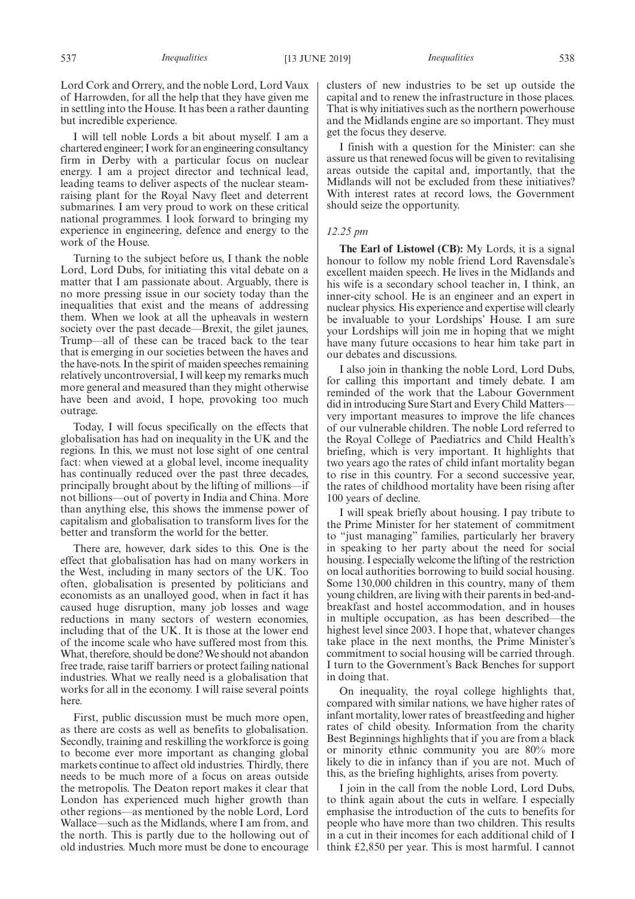Lord Cork and Orrery, and the noble Lord, Lord Vaux of Harrowden, for all the help that they have given me in settling into the House. It has been a rather daunting but incredible experience.

I will tell noble Lords a bit about myself. I am a chartered engineer; I work for an engineering consultancy firm in Derby with a particular focus on nuclear energy. I am a project director and technical lead, leading teams to deliver aspects of the nuclear steamraising plant for the Royal Navy fleet and deterrent submarines. I am very proud to work on these critical national programmes. I look forward to bringing my experience in engineering, defence and energy to the work of the House.

Turning to the subject before us, I thank the noble Lord, Lord Dubs, for initiating this vital debate on a matter that I am passionate about. Arguably, there is no more pressing issue in our society today than the inequalities that exist and the means of addressing them. When we look at all the upheavals in western society over the past decade—Brexit, the gilet jaunes, Trump—all of these can be traced back to the tear that is emerging in our societies between the haves and the have-nots. In the spirit of maiden speeches remaining relatively uncontroversial, I will keep my remarks much more general and measured than they might otherwise have been and avoid, I hope, provoking too much outrage.

Today, I will focus specifically on the effects that globalisation has had on inequality in the UK and the regions. In this, we must not lose sight of one central fact: when viewed at a global level, income inequality has continually reduced over the past three decades, principally brought about by the lifting of millions—if not billions—out of poverty in India and China. More than anything else, this shows the immense power of capitalism and globalisation to transform lives for the better and transform the world for the better.

There are, however, dark sides to this. One is the effect that globalisation has had on many workers in the West, including in many sectors of the UK. Too often, globalisation is presented by politicians and economists as an unalloyed good, when in fact it has caused huge disruption, many job losses and wage reductions in many sectors of western economies, including that of the UK. It is those at the lower end of the income scale who have suffered most from this. What, therefore, should be done? We should not abandon free trade, raise tariff barriers or protect failing national industries. What we really need is a globalisation that works for all in the economy. I will raise several points here.

First, public discussion must be much more open, as there are costs as well as benefits to globalisation. Secondly, training and reskilling the workforce is going to become ever more important as changing global markets continue to affect old industries. Thirdly, there needs to be much more of a focus on areas outside the metropolis. The Deaton report makes it clear that London has experienced much higher growth than other regions—as mentioned by the noble Lord, Lord Wallace—such as the Midlands, where I am from, and the north. This is partly due to the hollowing out of old industries. Much more must be done to encourage clusters of new industries to be set up outside the capital and to renew the infrastructure in those places. That is why initiatives such as the northern powerhouse and the Midlands engine are so important. They must get the focus they deserve.

I finish with a question for the Minister: can she assure us that renewed focus will be given to revitalising areas outside the capital and, importantly, that the Midlands will not be excluded from these initiatives? With interest rates at record lows, the Government should seize the opportunity.

#### *12.25 pm*

**The Earl of Listowel (CB):** My Lords, it is a signal honour to follow my noble friend Lord Ravensdale's excellent maiden speech. He lives in the Midlands and his wife is a secondary school teacher in, I think, an inner-city school. He is an engineer and an expert in nuclear physics. His experience and expertise will clearly be invaluable to your Lordships' House. I am sure your Lordships will join me in hoping that we might have many future occasions to hear him take part in our debates and discussions.

I also join in thanking the noble Lord, Lord Dubs, for calling this important and timely debate. I am reminded of the work that the Labour Government did in introducing Sure Start and Every Child Matters very important measures to improve the life chances of our vulnerable children. The noble Lord referred to the Royal College of Paediatrics and Child Health's briefing, which is very important. It highlights that two years ago the rates of child infant mortality began to rise in this country. For a second successive year, the rates of childhood mortality have been rising after 100 years of decline.

I will speak briefly about housing. I pay tribute to the Prime Minister for her statement of commitment to "just managing" families, particularly her bravery in speaking to her party about the need for social housing. I especially welcome the lifting of the restriction on local authorities borrowing to build social housing. Some 130,000 children in this country, many of them young children, are living with their parents in bed-andbreakfast and hostel accommodation, and in houses in multiple occupation, as has been described—the highest level since 2003. I hope that, whatever changes take place in the next months, the Prime Minister's commitment to social housing will be carried through. I turn to the Government's Back Benches for support in doing that.

On inequality, the royal college highlights that, compared with similar nations, we have higher rates of infant mortality, lower rates of breastfeeding and higher rates of child obesity. Information from the charity Best Beginnings highlights that if you are from a black or minority ethnic community you are 80% more likely to die in infancy than if you are not. Much of this, as the briefing highlights, arises from poverty.

I join in the call from the noble Lord, Lord Dubs, to think again about the cuts in welfare. I especially emphasise the introduction of the cuts to benefits for people who have more than two children. This results in a cut in their incomes for each additional child of I think £2,850 per year. This is most harmful. I cannot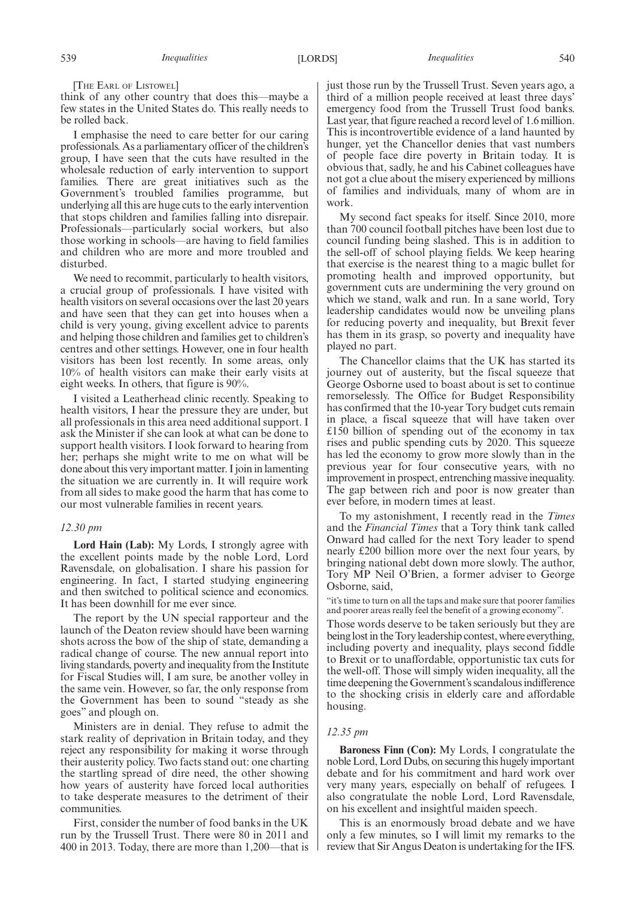[THE EARL OF LISTOWEL]

think of any other country that does this—maybe a few states in the United States do. This really needs to be rolled back.

I emphasise the need to care better for our caring professionals. As a parliamentary officer of the children's group, I have seen that the cuts have resulted in the wholesale reduction of early intervention to support families. There are great initiatives such as the Government's troubled families programme, but underlying all this are huge cuts to the early intervention that stops children and families falling into disrepair. Professionals—particularly social workers, but also those working in schools—are having to field families and children who are more and more troubled and disturbed.

We need to recommit, particularly to health visitors. a crucial group of professionals. I have visited with health visitors on several occasions over the last 20 years and have seen that they can get into houses when a child is very young, giving excellent advice to parents and helping those children and families get to children's centres and other settings. However, one in four health visitors has been lost recently. In some areas, only 10% of health visitors can make their early visits at eight weeks. In others, that figure is 90%.

I visited a Leatherhead clinic recently. Speaking to health visitors, I hear the pressure they are under, but all professionals in this area need additional support. I ask the Minister if she can look at what can be done to support health visitors. I look forward to hearing from her; perhaps she might write to me on what will be done about this very important matter. I join in lamenting the situation we are currently in. It will require work from all sides to make good the harm that has come to our most vulnerable families in recent years.

#### *12.30 pm*

**Lord Hain (Lab):** My Lords, I strongly agree with the excellent points made by the noble Lord, Lord Ravensdale, on globalisation. I share his passion for engineering. In fact, I started studying engineering and then switched to political science and economics. It has been downhill for me ever since.

The report by the UN special rapporteur and the launch of the Deaton review should have been warning shots across the bow of the ship of state, demanding a radical change of course. The new annual report into living standards, poverty and inequality from the Institute for Fiscal Studies will, I am sure, be another volley in the same vein. However, so far, the only response from the Government has been to sound "steady as she goes" and plough on.

Ministers are in denial. They refuse to admit the stark reality of deprivation in Britain today, and they reject any responsibility for making it worse through their austerity policy. Two facts stand out: one charting the startling spread of dire need, the other showing how years of austerity have forced local authorities to take desperate measures to the detriment of their communities.

First, consider the number of food banks in the UK run by the Trussell Trust. There were 80 in 2011 and 400 in 2013. Today, there are more than 1,200—that is just those run by the Trussell Trust. Seven years ago, a third of a million people received at least three days' emergency food from the Trussell Trust food banks. Last year, that figure reached a record level of 1.6 million. This is incontrovertible evidence of a land haunted by hunger, yet the Chancellor denies that vast numbers of people face dire poverty in Britain today. It is obvious that, sadly, he and his Cabinet colleagues have not got a clue about the misery experienced by millions of families and individuals, many of whom are in work.

My second fact speaks for itself. Since 2010, more than 700 council football pitches have been lost due to council funding being slashed. This is in addition to the sell-off of school playing fields. We keep hearing that exercise is the nearest thing to a magic bullet for promoting health and improved opportunity, but government cuts are undermining the very ground on which we stand, walk and run. In a sane world, Tory leadership candidates would now be unveiling plans for reducing poverty and inequality, but Brexit fever has them in its grasp, so poverty and inequality have played no part.

The Chancellor claims that the UK has started its journey out of austerity, but the fiscal squeeze that George Osborne used to boast about is set to continue remorselessly. The Office for Budget Responsibility has confirmed that the 10-year Tory budget cuts remain in place, a fiscal squeeze that will have taken over £150 billion of spending out of the economy in tax rises and public spending cuts by 2020. This squeeze has led the economy to grow more slowly than in the previous year for four consecutive years, with no improvement in prospect, entrenching massive inequality. The gap between rich and poor is now greater than ever before, in modern times at least.

To my astonishment, I recently read in the *Times* and the *Financial Times* that a Tory think tank called Onward had called for the next Tory leader to spend nearly £200 billion more over the next four years, by bringing national debt down more slowly. The author, Tory MP Neil O'Brien, a former adviser to George Osborne, said,

"it's time to turn on all the taps and make sure that poorer families and poorer areas really feel the benefit of a growing economy".

Those words deserve to be taken seriously but they are being lost in the Tory leadership contest, where everything, including poverty and inequality, plays second fiddle to Brexit or to unaffordable, opportunistic tax cuts for the well-off. Those will simply widen inequality, all the time deepening the Government's scandalous indifference to the shocking crisis in elderly care and affordable housing.

## *12.35 pm*

**Baroness Finn (Con):** My Lords, I congratulate the noble Lord, Lord Dubs, on securing this hugely important debate and for his commitment and hard work over very many years, especially on behalf of refugees. I also congratulate the noble Lord, Lord Ravensdale, on his excellent and insightful maiden speech.

This is an enormously broad debate and we have only a few minutes, so I will limit my remarks to the review that Sir Angus Deaton is undertaking for the IFS.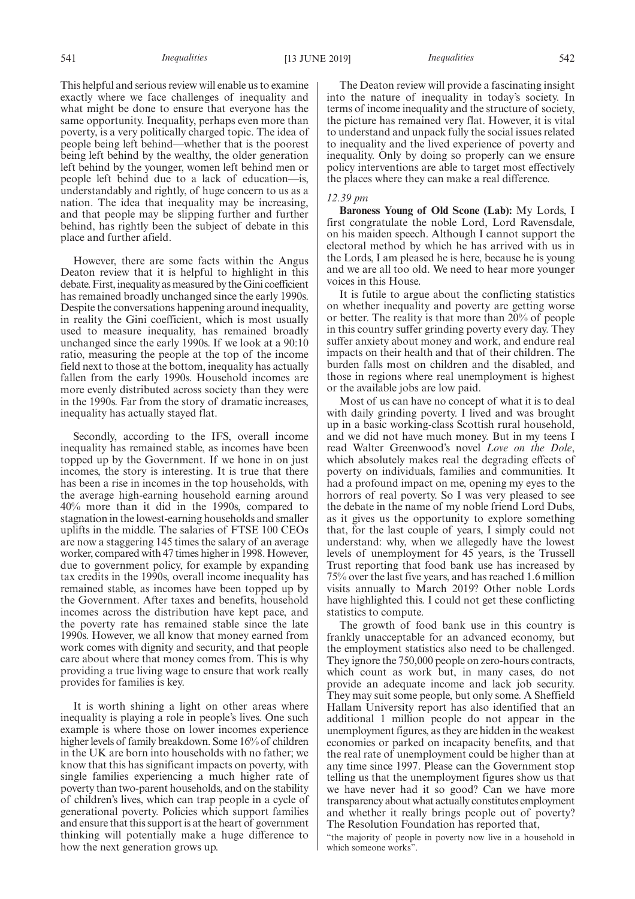This helpful and serious review will enable us to examine exactly where we face challenges of inequality and what might be done to ensure that everyone has the same opportunity. Inequality, perhaps even more than poverty, is a very politically charged topic. The idea of people being left behind—whether that is the poorest being left behind by the wealthy, the older generation left behind by the younger, women left behind men or people left behind due to a lack of education—is, understandably and rightly, of huge concern to us as a nation. The idea that inequality may be increasing, and that people may be slipping further and further behind, has rightly been the subject of debate in this place and further afield.

However, there are some facts within the Angus Deaton review that it is helpful to highlight in this debate. First, inequality as measured by the Gini coefficient has remained broadly unchanged since the early 1990s. Despite the conversations happening around inequality, in reality the Gini coefficient, which is most usually used to measure inequality, has remained broadly unchanged since the early 1990s. If we look at a 90:10 ratio, measuring the people at the top of the income field next to those at the bottom, inequality has actually fallen from the early 1990s. Household incomes are more evenly distributed across society than they were in the 1990s. Far from the story of dramatic increases, inequality has actually stayed flat.

Secondly, according to the IFS, overall income inequality has remained stable, as incomes have been topped up by the Government. If we hone in on just incomes, the story is interesting. It is true that there has been a rise in incomes in the top households, with the average high-earning household earning around 40% more than it did in the 1990s, compared to stagnation in the lowest-earning households and smaller uplifts in the middle. The salaries of FTSE 100 CEOs are now a staggering 145 times the salary of an average worker, compared with 47 times higher in 1998. However, due to government policy, for example by expanding tax credits in the 1990s, overall income inequality has remained stable, as incomes have been topped up by the Government. After taxes and benefits, household incomes across the distribution have kept pace, and the poverty rate has remained stable since the late 1990s. However, we all know that money earned from work comes with dignity and security, and that people care about where that money comes from. This is why providing a true living wage to ensure that work really provides for families is key.

It is worth shining a light on other areas where inequality is playing a role in people's lives. One such example is where those on lower incomes experience higher levels of family breakdown. Some 16% of children in the UK are born into households with no father; we know that this has significant impacts on poverty, with single families experiencing a much higher rate of poverty than two-parent households, and on the stability of children's lives, which can trap people in a cycle of generational poverty. Policies which support families and ensure that this support is at the heart of government thinking will potentially make a huge difference to how the next generation grows up.

The Deaton review will provide a fascinating insight into the nature of inequality in today's society. In terms of income inequality and the structure of society, the picture has remained very flat. However, it is vital to understand and unpack fully the social issues related to inequality and the lived experience of poverty and inequality. Only by doing so properly can we ensure policy interventions are able to target most effectively the places where they can make a real difference.

## *12.39 pm*

**Baroness Young of Old Scone (Lab):** My Lords, I first congratulate the noble Lord, Lord Ravensdale, on his maiden speech. Although I cannot support the electoral method by which he has arrived with us in the Lords, I am pleased he is here, because he is young and we are all too old. We need to hear more younger voices in this House.

It is futile to argue about the conflicting statistics on whether inequality and poverty are getting worse or better. The reality is that more than 20% of people in this country suffer grinding poverty every day. They suffer anxiety about money and work, and endure real impacts on their health and that of their children. The burden falls most on children and the disabled, and those in regions where real unemployment is highest or the available jobs are low paid.

Most of us can have no concept of what it is to deal with daily grinding poverty. I lived and was brought up in a basic working-class Scottish rural household, and we did not have much money. But in my teens I read Walter Greenwood's novel *Love on the Dole*, which absolutely makes real the degrading effects of poverty on individuals, families and communities. It had a profound impact on me, opening my eyes to the horrors of real poverty. So I was very pleased to see the debate in the name of my noble friend Lord Dubs, as it gives us the opportunity to explore something that, for the last couple of years, I simply could not understand: why, when we allegedly have the lowest levels of unemployment for 45 years, is the Trussell Trust reporting that food bank use has increased by 75% over the last five years, and has reached 1.6 million visits annually to March 2019? Other noble Lords have highlighted this. I could not get these conflicting statistics to compute.

The growth of food bank use in this country is frankly unacceptable for an advanced economy, but the employment statistics also need to be challenged. They ignore the 750,000 people on zero-hours contracts, which count as work but, in many cases, do not provide an adequate income and lack job security. They may suit some people, but only some. A Sheffield Hallam University report has also identified that an additional 1 million people do not appear in the unemployment figures, as they are hidden in the weakest economies or parked on incapacity benefits, and that the real rate of unemployment could be higher than at any time since 1997. Please can the Government stop telling us that the unemployment figures show us that we have never had it so good? Can we have more transparency about what actually constitutes employment and whether it really brings people out of poverty? The Resolution Foundation has reported that,

"the majority of people in poverty now live in a household in which someone works".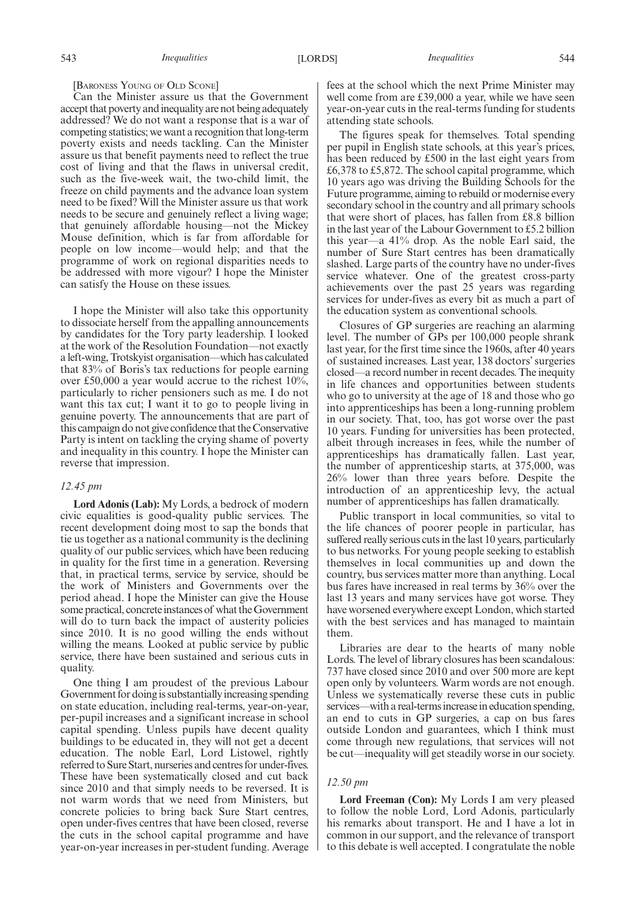#### [BARONESS YOUNG OF OLD SCONE]

Can the Minister assure us that the Government accept that poverty and inequality are not being adequately addressed? We do not want a response that is a war of competing statistics; we want a recognition that long-term poverty exists and needs tackling. Can the Minister assure us that benefit payments need to reflect the true cost of living and that the flaws in universal credit, such as the five-week wait, the two-child limit, the freeze on child payments and the advance loan system need to be fixed? Will the Minister assure us that work needs to be secure and genuinely reflect a living wage; that genuinely affordable housing—not the Mickey Mouse definition, which is far from affordable for people on low income—would help; and that the programme of work on regional disparities needs to be addressed with more vigour? I hope the Minister can satisfy the House on these issues.

I hope the Minister will also take this opportunity to dissociate herself from the appalling announcements by candidates for the Tory party leadership. I looked at the work of the Resolution Foundation—not exactly a left-wing, Trotskyist organisation—which has calculated that 83% of Boris's tax reductions for people earning over £50,000 a year would accrue to the richest 10%, particularly to richer pensioners such as me. I do not want this tax cut; I want it to go to people living in genuine poverty. The announcements that are part of this campaign do not give confidence that the Conservative Party is intent on tackling the crying shame of poverty and inequality in this country. I hope the Minister can reverse that impression.

## *12.45 pm*

**Lord Adonis (Lab):** My Lords, a bedrock of modern civic equalities is good-quality public services. The recent development doing most to sap the bonds that tie us together as a national community is the declining quality of our public services, which have been reducing in quality for the first time in a generation. Reversing that, in practical terms, service by service, should be the work of Ministers and Governments over the period ahead. I hope the Minister can give the House some practical, concrete instances of what the Government will do to turn back the impact of austerity policies since 2010. It is no good willing the ends without willing the means. Looked at public service by public service, there have been sustained and serious cuts in quality.

One thing I am proudest of the previous Labour Government for doing is substantially increasing spending on state education, including real-terms, year-on-year, per-pupil increases and a significant increase in school capital spending. Unless pupils have decent quality buildings to be educated in, they will not get a decent education. The noble Earl, Lord Listowel, rightly referred to Sure Start, nurseries and centres for under-fives. These have been systematically closed and cut back since 2010 and that simply needs to be reversed. It is not warm words that we need from Ministers, but concrete policies to bring back Sure Start centres, open under-fives centres that have been closed, reverse the cuts in the school capital programme and have year-on-year increases in per-student funding. Average

fees at the school which the next Prime Minister may well come from are £39,000 a year, while we have seen year-on-year cuts in the real-terms funding for students attending state schools.

The figures speak for themselves. Total spending per pupil in English state schools, at this year's prices, has been reduced by £500 in the last eight years from £6,378 to £5,872. The school capital programme, which 10 years ago was driving the Building Schools for the Future programme, aiming to rebuild or modernise every secondary school in the country and all primary schools that were short of places, has fallen from £8.8 billion in the last year of the Labour Government to £5.2 billion this year—a 41% drop. As the noble Earl said, the number of Sure Start centres has been dramatically slashed. Large parts of the country have no under-fives service whatever. One of the greatest cross-party achievements over the past 25 years was regarding services for under-fives as every bit as much a part of the education system as conventional schools.

Closures of GP surgeries are reaching an alarming level. The number of GPs per 100,000 people shrank last year, for the first time since the 1960s, after 40 years of sustained increases. Last year, 138 doctors' surgeries closed—a record number in recent decades. The inequity in life chances and opportunities between students who go to university at the age of 18 and those who go into apprenticeships has been a long-running problem in our society. That, too, has got worse over the past 10 years. Funding for universities has been protected, albeit through increases in fees, while the number of apprenticeships has dramatically fallen. Last year, the number of apprenticeship starts, at 375,000, was 26% lower than three years before. Despite the introduction of an apprenticeship levy, the actual number of apprenticeships has fallen dramatically.

Public transport in local communities, so vital to the life chances of poorer people in particular, has suffered really serious cuts in the last 10 years, particularly to bus networks. For young people seeking to establish themselves in local communities up and down the country, bus services matter more than anything. Local bus fares have increased in real terms by 36% over the last 13 years and many services have got worse. They have worsened everywhere except London, which started with the best services and has managed to maintain them.

Libraries are dear to the hearts of many noble Lords. The level of library closures has been scandalous: 737 have closed since 2010 and over 500 more are kept open only by volunteers. Warm words are not enough. Unless we systematically reverse these cuts in public services—with a real-terms increase in education spending, an end to cuts in GP surgeries, a cap on bus fares outside London and guarantees, which I think must come through new regulations, that services will not be cut—inequality will get steadily worse in our society.

#### *12.50 pm*

**Lord Freeman (Con):** My Lords I am very pleased to follow the noble Lord, Lord Adonis, particularly his remarks about transport. He and I have a lot in common in our support, and the relevance of transport to this debate is well accepted. I congratulate the noble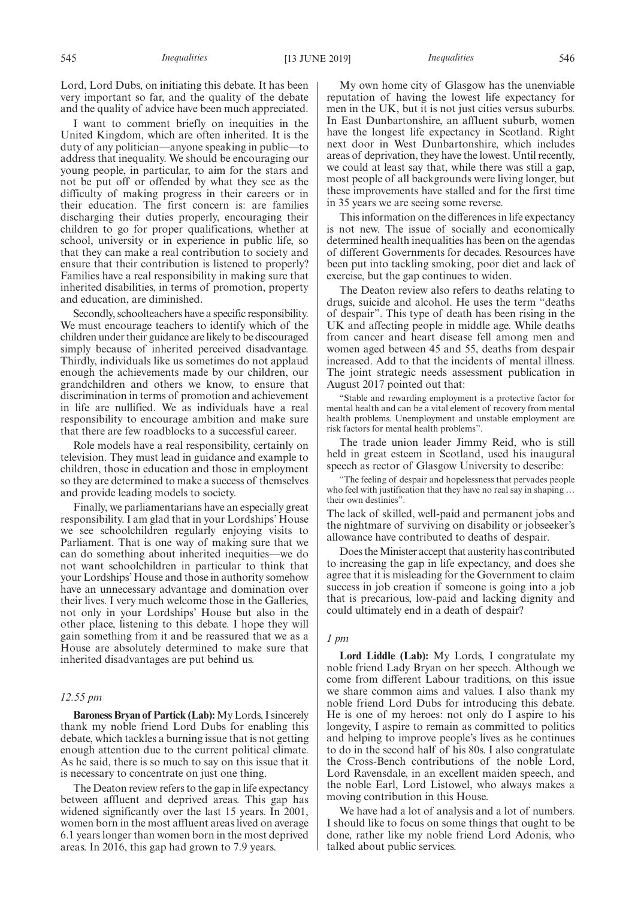Lord, Lord Dubs, on initiating this debate. It has been very important so far, and the quality of the debate and the quality of advice have been much appreciated.

I want to comment briefly on inequities in the United Kingdom, which are often inherited. It is the duty of any politician—anyone speaking in public—to address that inequality. We should be encouraging our young people, in particular, to aim for the stars and not be put off or offended by what they see as the difficulty of making progress in their careers or in their education. The first concern is: are families discharging their duties properly, encouraging their children to go for proper qualifications, whether at school, university or in experience in public life, so that they can make a real contribution to society and ensure that their contribution is listened to properly? Families have a real responsibility in making sure that inherited disabilities, in terms of promotion, property and education, are diminished.

Secondly, schoolteachers have a specific responsibility. We must encourage teachers to identify which of the children under their guidance are likely to be discouraged simply because of inherited perceived disadvantage. Thirdly, individuals like us sometimes do not applaud enough the achievements made by our children, our grandchildren and others we know, to ensure that discrimination in terms of promotion and achievement in life are nullified. We as individuals have a real responsibility to encourage ambition and make sure that there are few roadblocks to a successful career.

Role models have a real responsibility, certainly on television. They must lead in guidance and example to children, those in education and those in employment so they are determined to make a success of themselves and provide leading models to society.

Finally, we parliamentarians have an especially great responsibility. I am glad that in your Lordships' House we see schoolchildren regularly enjoying visits to Parliament. That is one way of making sure that we can do something about inherited inequities—we do not want schoolchildren in particular to think that your Lordships' House and those in authority somehow have an unnecessary advantage and domination over their lives. I very much welcome those in the Galleries, not only in your Lordships' House but also in the other place, listening to this debate. I hope they will gain something from it and be reassured that we as a House are absolutely determined to make sure that inherited disadvantages are put behind us.

## *12.55 pm*

**Baroness Bryan of Partick (Lab):**My Lords, I sincerely thank my noble friend Lord Dubs for enabling this debate, which tackles a burning issue that is not getting enough attention due to the current political climate. As he said, there is so much to say on this issue that it is necessary to concentrate on just one thing.

The Deaton review refers to the gap in life expectancy between affluent and deprived areas. This gap has widened significantly over the last 15 years. In 2001, women born in the most affluent areas lived on average 6.1 years longer than women born in the most deprived areas. In 2016, this gap had grown to 7.9 years.

My own home city of Glasgow has the unenviable reputation of having the lowest life expectancy for men in the UK, but it is not just cities versus suburbs. In East Dunbartonshire, an affluent suburb, women have the longest life expectancy in Scotland. Right next door in West Dunbartonshire, which includes areas of deprivation, they have the lowest. Until recently, we could at least say that, while there was still a gap, most people of all backgrounds were living longer, but these improvements have stalled and for the first time in 35 years we are seeing some reverse.

This information on the differences in life expectancy is not new. The issue of socially and economically determined health inequalities has been on the agendas of different Governments for decades. Resources have been put into tackling smoking, poor diet and lack of exercise, but the gap continues to widen.

The Deaton review also refers to deaths relating to drugs, suicide and alcohol. He uses the term "deaths of despair". This type of death has been rising in the UK and affecting people in middle age. While deaths from cancer and heart disease fell among men and women aged between 45 and 55, deaths from despair increased. Add to that the incidents of mental illness. The joint strategic needs assessment publication in August 2017 pointed out that:

"Stable and rewarding employment is a protective factor for mental health and can be a vital element of recovery from mental health problems. Unemployment and unstable employment are risk factors for mental health problems".

The trade union leader Jimmy Reid, who is still held in great esteem in Scotland, used his inaugural speech as rector of Glasgow University to describe:

"The feeling of despair and hopelessness that pervades people who feel with justification that they have no real say in shaping … their own destinies".

The lack of skilled, well-paid and permanent jobs and the nightmare of surviving on disability or jobseeker's allowance have contributed to deaths of despair.

Does the Minister accept that austerity has contributed to increasing the gap in life expectancy, and does she agree that it is misleading for the Government to claim success in job creation if someone is going into a job that is precarious, low-paid and lacking dignity and could ultimately end in a death of despair?

## *1 pm*

**Lord Liddle (Lab):** My Lords, I congratulate my noble friend Lady Bryan on her speech. Although we come from different Labour traditions, on this issue we share common aims and values. I also thank my noble friend Lord Dubs for introducing this debate. He is one of my heroes: not only do I aspire to his longevity, I aspire to remain as committed to politics and helping to improve people's lives as he continues to do in the second half of his 80s. I also congratulate the Cross-Bench contributions of the noble Lord, Lord Ravensdale, in an excellent maiden speech, and the noble Earl, Lord Listowel, who always makes a moving contribution in this House.

We have had a lot of analysis and a lot of numbers. I should like to focus on some things that ought to be done, rather like my noble friend Lord Adonis, who talked about public services.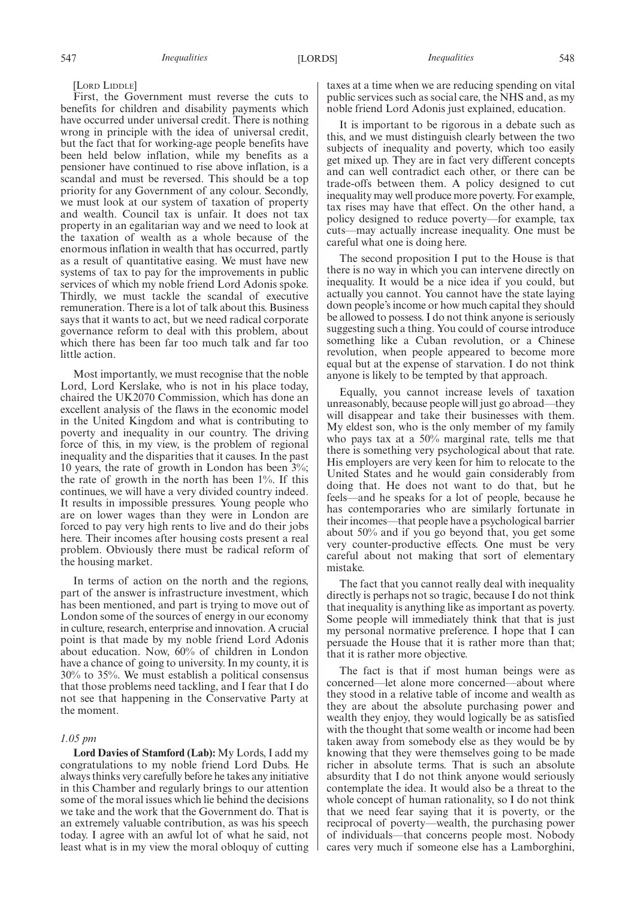[LORD LIDDLE]

First, the Government must reverse the cuts to benefits for children and disability payments which have occurred under universal credit. There is nothing wrong in principle with the idea of universal credit, but the fact that for working-age people benefits have been held below inflation, while my benefits as a pensioner have continued to rise above inflation, is a scandal and must be reversed. This should be a top priority for any Government of any colour. Secondly, we must look at our system of taxation of property and wealth. Council tax is unfair. It does not tax property in an egalitarian way and we need to look at the taxation of wealth as a whole because of the enormous inflation in wealth that has occurred, partly as a result of quantitative easing. We must have new systems of tax to pay for the improvements in public services of which my noble friend Lord Adonis spoke. Thirdly, we must tackle the scandal of executive remuneration. There is a lot of talk about this. Business says that it wants to act, but we need radical corporate governance reform to deal with this problem, about which there has been far too much talk and far too little action.

Most importantly, we must recognise that the noble Lord, Lord Kerslake, who is not in his place today, chaired the UK2070 Commission, which has done an excellent analysis of the flaws in the economic model in the United Kingdom and what is contributing to poverty and inequality in our country. The driving force of this, in my view, is the problem of regional inequality and the disparities that it causes. In the past 10 years, the rate of growth in London has been 3%; the rate of growth in the north has been 1%. If this continues, we will have a very divided country indeed. It results in impossible pressures. Young people who are on lower wages than they were in London are forced to pay very high rents to live and do their jobs here. Their incomes after housing costs present a real problem. Obviously there must be radical reform of the housing market.

In terms of action on the north and the regions, part of the answer is infrastructure investment, which has been mentioned, and part is trying to move out of London some of the sources of energy in our economy in culture, research, enterprise and innovation. A crucial point is that made by my noble friend Lord Adonis about education. Now, 60% of children in London have a chance of going to university. In my county, it is 30% to 35%. We must establish a political consensus that those problems need tackling, and I fear that I do not see that happening in the Conservative Party at the moment.

#### *1.05 pm*

**Lord Davies of Stamford (Lab):** My Lords, I add my congratulations to my noble friend Lord Dubs. He always thinks very carefully before he takes any initiative in this Chamber and regularly brings to our attention some of the moral issues which lie behind the decisions we take and the work that the Government do. That is an extremely valuable contribution, as was his speech today. I agree with an awful lot of what he said, not least what is in my view the moral obloquy of cutting taxes at a time when we are reducing spending on vital public services such as social care, the NHS and, as my noble friend Lord Adonis just explained, education.

It is important to be rigorous in a debate such as this, and we must distinguish clearly between the two subjects of inequality and poverty, which too easily get mixed up. They are in fact very different concepts and can well contradict each other, or there can be trade-offs between them. A policy designed to cut inequality may well produce more poverty. For example, tax rises may have that effect. On the other hand, a policy designed to reduce poverty—for example, tax cuts—may actually increase inequality. One must be careful what one is doing here.

The second proposition I put to the House is that there is no way in which you can intervene directly on inequality. It would be a nice idea if you could, but actually you cannot. You cannot have the state laying down people's income or how much capital they should be allowed to possess. I do not think anyone is seriously suggesting such a thing. You could of course introduce something like a Cuban revolution, or a Chinese revolution, when people appeared to become more equal but at the expense of starvation. I do not think anyone is likely to be tempted by that approach.

Equally, you cannot increase levels of taxation unreasonably, because people will just go abroad—they will disappear and take their businesses with them. My eldest son, who is the only member of my family who pays tax at a 50% marginal rate, tells me that there is something very psychological about that rate. His employers are very keen for him to relocate to the United States and he would gain considerably from doing that. He does not want to do that, but he feels—and he speaks for a lot of people, because he has contemporaries who are similarly fortunate in their incomes—that people have a psychological barrier about 50% and if you go beyond that, you get some very counter-productive effects. One must be very careful about not making that sort of elementary mistake.

The fact that you cannot really deal with inequality directly is perhaps not so tragic, because I do not think that inequality is anything like as important as poverty. Some people will immediately think that that is just my personal normative preference. I hope that I can persuade the House that it is rather more than that; that it is rather more objective.

The fact is that if most human beings were as concerned—let alone more concerned—about where they stood in a relative table of income and wealth as they are about the absolute purchasing power and wealth they enjoy, they would logically be as satisfied with the thought that some wealth or income had been taken away from somebody else as they would be by knowing that they were themselves going to be made richer in absolute terms. That is such an absolute absurdity that I do not think anyone would seriously contemplate the idea. It would also be a threat to the whole concept of human rationality, so I do not think that we need fear saying that it is poverty, or the reciprocal of poverty—wealth, the purchasing power of individuals—that concerns people most. Nobody cares very much if someone else has a Lamborghini,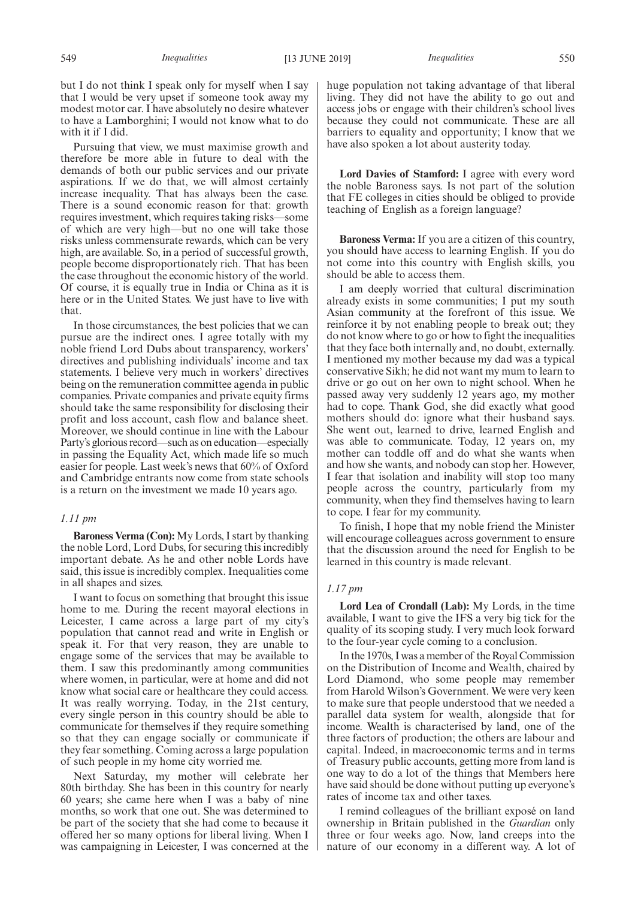but I do not think I speak only for myself when I say that I would be very upset if someone took away my modest motor car. I have absolutely no desire whatever to have a Lamborghini; I would not know what to do with it if I did.

Pursuing that view, we must maximise growth and therefore be more able in future to deal with the demands of both our public services and our private aspirations. If we do that, we will almost certainly increase inequality. That has always been the case. There is a sound economic reason for that: growth requires investment, which requires taking risks—some of which are very high—but no one will take those risks unless commensurate rewards, which can be very high, are available. So, in a period of successful growth, people become disproportionately rich. That has been the case throughout the economic history of the world. Of course, it is equally true in India or China as it is here or in the United States. We just have to live with that.

In those circumstances, the best policies that we can pursue are the indirect ones. I agree totally with my noble friend Lord Dubs about transparency, workers' directives and publishing individuals' income and tax statements. I believe very much in workers' directives being on the remuneration committee agenda in public companies. Private companies and private equity firms should take the same responsibility for disclosing their profit and loss account, cash flow and balance sheet. Moreover, we should continue in line with the Labour Party's glorious record—such as on education—especially in passing the Equality Act, which made life so much easier for people. Last week's news that 60% of Oxford and Cambridge entrants now come from state schools is a return on the investment we made 10 years ago.

## *1.11 pm*

**Baroness Verma (Con):** My Lords, I start by thanking the noble Lord, Lord Dubs, for securing this incredibly important debate. As he and other noble Lords have said, this issue is incredibly complex. Inequalities come in all shapes and sizes.

I want to focus on something that brought this issue home to me. During the recent mayoral elections in Leicester, I came across a large part of my city's population that cannot read and write in English or speak it. For that very reason, they are unable to engage some of the services that may be available to them. I saw this predominantly among communities where women, in particular, were at home and did not know what social care or healthcare they could access. It was really worrying. Today, in the 21st century, every single person in this country should be able to communicate for themselves if they require something so that they can engage socially or communicate if they fear something. Coming across a large population of such people in my home city worried me.

Next Saturday, my mother will celebrate her 80th birthday. She has been in this country for nearly 60 years; she came here when I was a baby of nine months, so work that one out. She was determined to be part of the society that she had come to because it offered her so many options for liberal living. When I was campaigning in Leicester, I was concerned at the

huge population not taking advantage of that liberal living. They did not have the ability to go out and access jobs or engage with their children's school lives because they could not communicate. These are all barriers to equality and opportunity; I know that we have also spoken a lot about austerity today.

**Lord Davies of Stamford:** I agree with every word the noble Baroness says. Is not part of the solution that FE colleges in cities should be obliged to provide teaching of English as a foreign language?

**Baroness Verma:** If you are a citizen of this country, you should have access to learning English. If you do not come into this country with English skills, you should be able to access them.

I am deeply worried that cultural discrimination already exists in some communities; I put my south Asian community at the forefront of this issue. We reinforce it by not enabling people to break out; they do not know where to go or how to fight the inequalities that they face both internally and, no doubt, externally. I mentioned my mother because my dad was a typical conservative Sikh; he did not want my mum to learn to drive or go out on her own to night school. When he passed away very suddenly 12 years ago, my mother had to cope. Thank God, she did exactly what good mothers should do: ignore what their husband says. She went out, learned to drive, learned English and was able to communicate. Today, 12 years on, my mother can toddle off and do what she wants when and how she wants, and nobody can stop her. However, I fear that isolation and inability will stop too many people across the country, particularly from my community, when they find themselves having to learn to cope. I fear for my community.

To finish, I hope that my noble friend the Minister will encourage colleagues across government to ensure that the discussion around the need for English to be learned in this country is made relevant.

#### *1.17 pm*

**Lord Lea of Crondall (Lab):** My Lords, in the time available, I want to give the IFS a very big tick for the quality of its scoping study. I very much look forward to the four-year cycle coming to a conclusion.

In the 1970s, I was a member of the Royal Commission on the Distribution of Income and Wealth, chaired by Lord Diamond, who some people may remember from Harold Wilson's Government. We were very keen to make sure that people understood that we needed a parallel data system for wealth, alongside that for income. Wealth is characterised by land, one of the three factors of production; the others are labour and capital. Indeed, in macroeconomic terms and in terms of Treasury public accounts, getting more from land is one way to do a lot of the things that Members here have said should be done without putting up everyone's rates of income tax and other taxes.

I remind colleagues of the brilliant exposé on land ownership in Britain published in the *Guardian* only three or four weeks ago. Now, land creeps into the nature of our economy in a different way. A lot of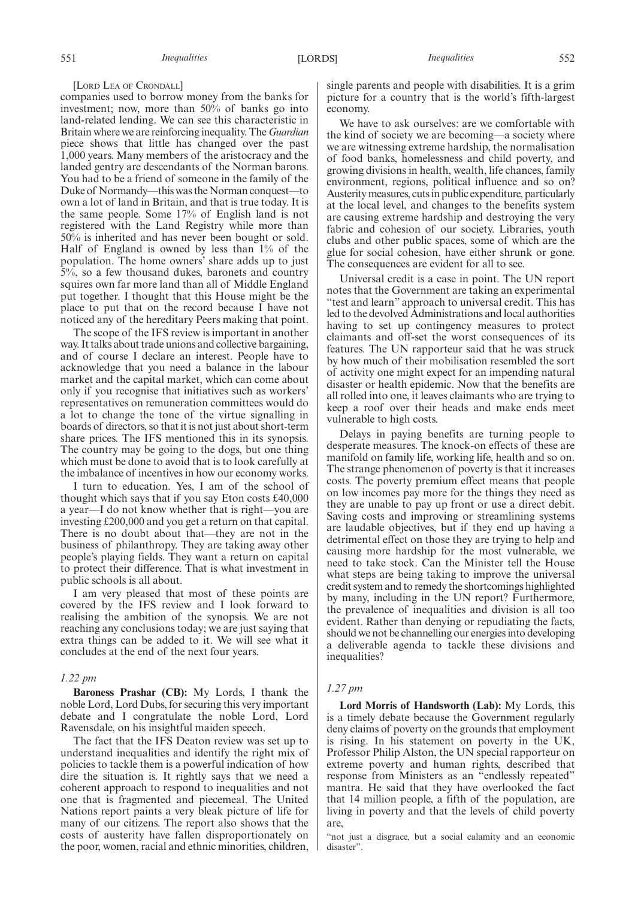#### [LORD LEA OF CRONDALL]

companies used to borrow money from the banks for investment; now, more than 50% of banks go into land-related lending. We can see this characteristic in Britain where we are reinforcing inequality. The *Guardian* piece shows that little has changed over the past 1,000 years. Many members of the aristocracy and the landed gentry are descendants of the Norman barons. You had to be a friend of someone in the family of the Duke of Normandy—this was the Norman conquest—to own a lot of land in Britain, and that is true today. It is the same people. Some 17% of English land is not registered with the Land Registry while more than 50% is inherited and has never been bought or sold. Half of England is owned by less than 1% of the population. The home owners' share adds up to just 5%, so a few thousand dukes, baronets and country squires own far more land than all of Middle England put together. I thought that this House might be the place to put that on the record because I have not noticed any of the hereditary Peers making that point.

The scope of the IFS review is important in another way. It talks about trade unions and collective bargaining, and of course I declare an interest. People have to acknowledge that you need a balance in the labour market and the capital market, which can come about only if you recognise that initiatives such as workers' representatives on remuneration committees would do a lot to change the tone of the virtue signalling in boards of directors, so that it is not just about short-term share prices. The IFS mentioned this in its synopsis. The country may be going to the dogs, but one thing which must be done to avoid that is to look carefully at the imbalance of incentives in how our economy works.

I turn to education. Yes, I am of the school of thought which says that if you say Eton costs £40,000 a year—I do not know whether that is right—you are investing £200,000 and you get a return on that capital. There is no doubt about that—they are not in the business of philanthropy. They are taking away other people's playing fields. They want a return on capital to protect their difference. That is what investment in public schools is all about.

I am very pleased that most of these points are covered by the IFS review and I look forward to realising the ambition of the synopsis. We are not reaching any conclusions today; we are just saying that extra things can be added to it. We will see what it concludes at the end of the next four years.

#### *1.22 pm*

**Baroness Prashar (CB):** My Lords, I thank the noble Lord, Lord Dubs, for securing this very important debate and I congratulate the noble Lord, Lord Ravensdale, on his insightful maiden speech.

The fact that the IFS Deaton review was set up to understand inequalities and identify the right mix of policies to tackle them is a powerful indication of how dire the situation is. It rightly says that we need a coherent approach to respond to inequalities and not one that is fragmented and piecemeal. The United Nations report paints a very bleak picture of life for many of our citizens. The report also shows that the costs of austerity have fallen disproportionately on the poor, women, racial and ethnic minorities, children, single parents and people with disabilities. It is a grim picture for a country that is the world's fifth-largest economy.

We have to ask ourselves: are we comfortable with the kind of society we are becoming—a society where we are witnessing extreme hardship, the normalisation of food banks, homelessness and child poverty, and growing divisions in health, wealth, life chances, family environment, regions, political influence and so on? Austerity measures, cuts in public expenditure, particularly at the local level, and changes to the benefits system are causing extreme hardship and destroying the very fabric and cohesion of our society. Libraries, youth clubs and other public spaces, some of which are the glue for social cohesion, have either shrunk or gone. The consequences are evident for all to see.

Universal credit is a case in point. The UN report notes that the Government are taking an experimental "test and learn" approach to universal credit. This has led to the devolved Administrations and local authorities having to set up contingency measures to protect claimants and off-set the worst consequences of its features. The UN rapporteur said that he was struck by how much of their mobilisation resembled the sort of activity one might expect for an impending natural disaster or health epidemic. Now that the benefits are all rolled into one, it leaves claimants who are trying to keep a roof over their heads and make ends meet vulnerable to high costs.

Delays in paying benefits are turning people to desperate measures. The knock-on effects of these are manifold on family life, working life, health and so on. The strange phenomenon of poverty is that it increases costs. The poverty premium effect means that people on low incomes pay more for the things they need as they are unable to pay up front or use a direct debit. Saving costs and improving or streamlining systems are laudable objectives, but if they end up having a detrimental effect on those they are trying to help and causing more hardship for the most vulnerable, we need to take stock. Can the Minister tell the House what steps are being taking to improve the universal credit system and to remedy the shortcomings highlighted by many, including in the UN report? Furthermore, the prevalence of inequalities and division is all too evident. Rather than denying or repudiating the facts, should we not be channelling our energies into developing a deliverable agenda to tackle these divisions and inequalities?

#### *1.27 pm*

**Lord Morris of Handsworth (Lab):** My Lords, this is a timely debate because the Government regularly deny claims of poverty on the grounds that employment is rising. In his statement on poverty in the UK, Professor Philip Alston, the UN special rapporteur on extreme poverty and human rights, described that response from Ministers as an "endlessly repeated" mantra. He said that they have overlooked the fact that 14 million people, a fifth of the population, are living in poverty and that the levels of child poverty are,

"not just a disgrace, but a social calamity and an economic disaster".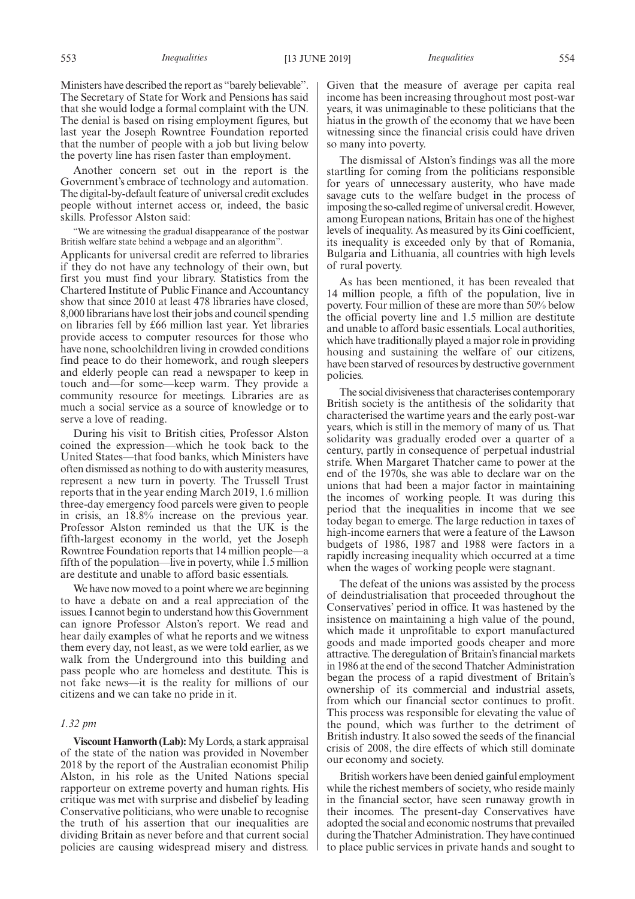Ministers have described the report as "barely believable". The Secretary of State for Work and Pensions has said that she would lodge a formal complaint with the UN. The denial is based on rising employment figures, but last year the Joseph Rowntree Foundation reported that the number of people with a job but living below the poverty line has risen faster than employment.

Another concern set out in the report is the Government's embrace of technology and automation. The digital-by-default feature of universal credit excludes people without internet access or, indeed, the basic skills. Professor Alston said:

"We are witnessing the gradual disappearance of the postwar British welfare state behind a webpage and an algorithm".

Applicants for universal credit are referred to libraries if they do not have any technology of their own, but first you must find your library. Statistics from the Chartered Institute of Public Finance and Accountancy show that since 2010 at least 478 libraries have closed, 8,000 librarians have lost their jobs and council spending on libraries fell by £66 million last year. Yet libraries provide access to computer resources for those who have none, schoolchildren living in crowded conditions find peace to do their homework, and rough sleepers and elderly people can read a newspaper to keep in touch and—for some—keep warm. They provide a community resource for meetings. Libraries are as much a social service as a source of knowledge or to serve a love of reading.

During his visit to British cities, Professor Alston coined the expression—which he took back to the United States—that food banks, which Ministers have often dismissed as nothing to do with austerity measures, represent a new turn in poverty. The Trussell Trust reports that in the year ending March 2019, 1.6 million three-day emergency food parcels were given to people in crisis, an 18.8% increase on the previous year. Professor Alston reminded us that the UK is the fifth-largest economy in the world, yet the Joseph Rowntree Foundation reports that 14 million people—a fifth of the population—live in poverty, while 1.5 million are destitute and unable to afford basic essentials.

We have now moved to a point where we are beginning to have a debate on and a real appreciation of the issues. I cannot begin to understand how this Government can ignore Professor Alston's report. We read and hear daily examples of what he reports and we witness them every day, not least, as we were told earlier, as we walk from the Underground into this building and pass people who are homeless and destitute. This is not fake news—it is the reality for millions of our citizens and we can take no pride in it.

## *1.32 pm*

**Viscount Hanworth (Lab):**My Lords, a stark appraisal of the state of the nation was provided in November 2018 by the report of the Australian economist Philip Alston, in his role as the United Nations special rapporteur on extreme poverty and human rights. His critique was met with surprise and disbelief by leading Conservative politicians, who were unable to recognise the truth of his assertion that our inequalities are dividing Britain as never before and that current social policies are causing widespread misery and distress. Given that the measure of average per capita real income has been increasing throughout most post-war years, it was unimaginable to these politicians that the hiatus in the growth of the economy that we have been witnessing since the financial crisis could have driven so many into poverty.

The dismissal of Alston's findings was all the more startling for coming from the politicians responsible for years of unnecessary austerity, who have made savage cuts to the welfare budget in the process of imposing the so-called regime of universal credit. However, among European nations, Britain has one of the highest levels of inequality. As measured by its Gini coefficient, its inequality is exceeded only by that of Romania, Bulgaria and Lithuania, all countries with high levels of rural poverty.

As has been mentioned, it has been revealed that 14 million people, a fifth of the population, live in poverty. Four million of these are more than 50% below the official poverty line and 1.5 million are destitute and unable to afford basic essentials. Local authorities, which have traditionally played a major role in providing housing and sustaining the welfare of our citizens, have been starved of resources by destructive government policies.

The social divisiveness that characterises contemporary British society is the antithesis of the solidarity that characterised the wartime years and the early post-war years, which is still in the memory of many of us. That solidarity was gradually eroded over a quarter of a century, partly in consequence of perpetual industrial strife. When Margaret Thatcher came to power at the end of the 1970s, she was able to declare war on the unions that had been a major factor in maintaining the incomes of working people. It was during this period that the inequalities in income that we see today began to emerge. The large reduction in taxes of high-income earners that were a feature of the Lawson budgets of 1986, 1987 and 1988 were factors in a rapidly increasing inequality which occurred at a time when the wages of working people were stagnant.

The defeat of the unions was assisted by the process of deindustrialisation that proceeded throughout the Conservatives' period in office. It was hastened by the insistence on maintaining a high value of the pound, which made it unprofitable to export manufactured goods and made imported goods cheaper and more attractive. The deregulation of Britain's financial markets in 1986 at the end of the second Thatcher Administration began the process of a rapid divestment of Britain's ownership of its commercial and industrial assets, from which our financial sector continues to profit. This process was responsible for elevating the value of the pound, which was further to the detriment of British industry. It also sowed the seeds of the financial crisis of 2008, the dire effects of which still dominate our economy and society.

British workers have been denied gainful employment while the richest members of society, who reside mainly in the financial sector, have seen runaway growth in their incomes. The present-day Conservatives have adopted the social and economic nostrums that prevailed during the Thatcher Administration. They have continued to place public services in private hands and sought to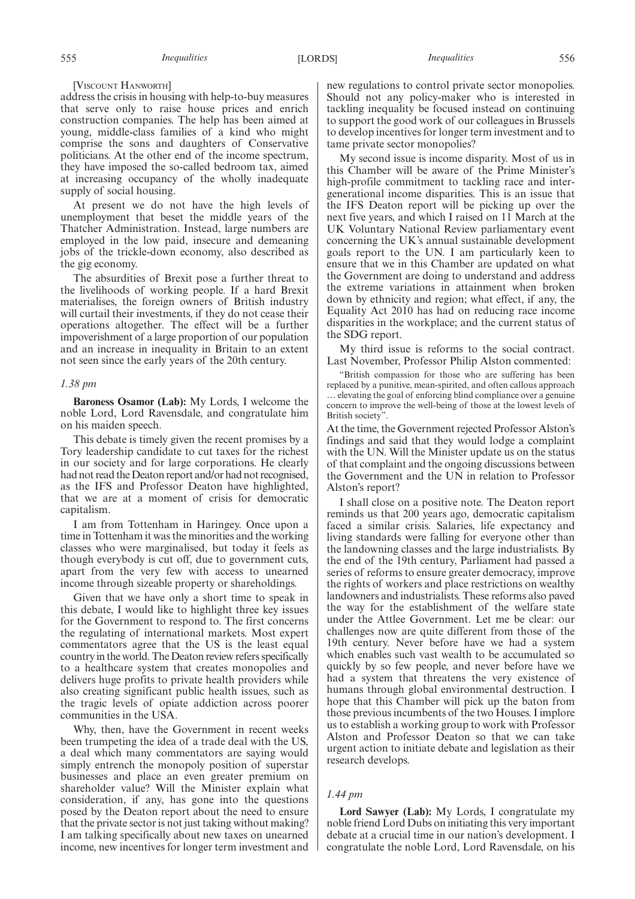[VISCOUNT HANWORTH]

address the crisis in housing with help-to-buy measures that serve only to raise house prices and enrich construction companies. The help has been aimed at young, middle-class families of a kind who might comprise the sons and daughters of Conservative politicians. At the other end of the income spectrum, they have imposed the so-called bedroom tax, aimed at increasing occupancy of the wholly inadequate supply of social housing.

At present we do not have the high levels of unemployment that beset the middle years of the Thatcher Administration. Instead, large numbers are employed in the low paid, insecure and demeaning jobs of the trickle-down economy, also described as the gig economy.

The absurdities of Brexit pose a further threat to the livelihoods of working people. If a hard Brexit materialises, the foreign owners of British industry will curtail their investments, if they do not cease their operations altogether. The effect will be a further impoverishment of a large proportion of our population and an increase in inequality in Britain to an extent not seen since the early years of the 20th century.

#### *1.38 pm*

**Baroness Osamor (Lab):** My Lords, I welcome the noble Lord, Lord Ravensdale, and congratulate him on his maiden speech.

This debate is timely given the recent promises by a Tory leadership candidate to cut taxes for the richest in our society and for large corporations. He clearly had not read the Deaton report and/or had not recognised, as the IFS and Professor Deaton have highlighted, that we are at a moment of crisis for democratic capitalism.

I am from Tottenham in Haringey. Once upon a time in Tottenham it was the minorities and the working classes who were marginalised, but today it feels as though everybody is cut off, due to government cuts, apart from the very few with access to unearned income through sizeable property or shareholdings.

Given that we have only a short time to speak in this debate, I would like to highlight three key issues for the Government to respond to. The first concerns the regulating of international markets. Most expert commentators agree that the US is the least equal country in the world. The Deaton review refers specifically to a healthcare system that creates monopolies and delivers huge profits to private health providers while also creating significant public health issues, such as the tragic levels of opiate addiction across poorer communities in the USA.

Why, then, have the Government in recent weeks been trumpeting the idea of a trade deal with the US, a deal which many commentators are saying would simply entrench the monopoly position of superstar businesses and place an even greater premium on shareholder value? Will the Minister explain what consideration, if any, has gone into the questions posed by the Deaton report about the need to ensure that the private sector is not just taking without making? I am talking specifically about new taxes on unearned income, new incentives for longer term investment and

new regulations to control private sector monopolies. Should not any policy-maker who is interested in tackling inequality be focused instead on continuing to support the good work of our colleagues in Brussels to develop incentives for longer term investment and to tame private sector monopolies?

My second issue is income disparity. Most of us in this Chamber will be aware of the Prime Minister's high-profile commitment to tackling race and intergenerational income disparities. This is an issue that the IFS Deaton report will be picking up over the next five years, and which I raised on 11 March at the UK Voluntary National Review parliamentary event concerning the UK's annual sustainable development goals report to the UN. I am particularly keen to ensure that we in this Chamber are updated on what the Government are doing to understand and address the extreme variations in attainment when broken down by ethnicity and region; what effect, if any, the Equality Act 2010 has had on reducing race income disparities in the workplace; and the current status of the SDG report.

My third issue is reforms to the social contract. Last November, Professor Philip Alston commented:

"British compassion for those who are suffering has been replaced by a punitive, mean-spirited, and often callous approach … elevating the goal of enforcing blind compliance over a genuine concern to improve the well-being of those at the lowest levels of British society".

At the time, the Government rejected Professor Alston's findings and said that they would lodge a complaint with the UN. Will the Minister update us on the status of that complaint and the ongoing discussions between the Government and the UN in relation to Professor Alston's report?

I shall close on a positive note. The Deaton report reminds us that 200 years ago, democratic capitalism faced a similar crisis. Salaries, life expectancy and living standards were falling for everyone other than the landowning classes and the large industrialists. By the end of the 19th century, Parliament had passed a series of reforms to ensure greater democracy, improve the rights of workers and place restrictions on wealthy landowners and industrialists. These reforms also paved the way for the establishment of the welfare state under the Attlee Government. Let me be clear: our challenges now are quite different from those of the 19th century. Never before have we had a system which enables such vast wealth to be accumulated so quickly by so few people, and never before have we had a system that threatens the very existence of humans through global environmental destruction. I hope that this Chamber will pick up the baton from those previous incumbents of the two Houses. I implore us to establish a working group to work with Professor Alston and Professor Deaton so that we can take urgent action to initiate debate and legislation as their research develops.

### *1.44 pm*

**Lord Sawyer (Lab):** My Lords, I congratulate my noble friend Lord Dubs on initiating this very important debate at a crucial time in our nation's development. I congratulate the noble Lord, Lord Ravensdale, on his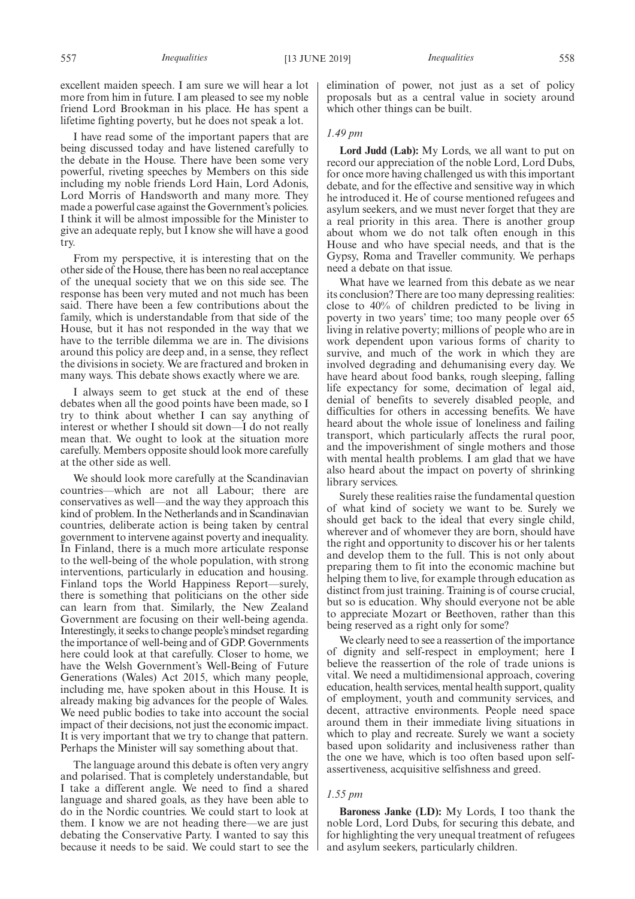excellent maiden speech. I am sure we will hear a lot more from him in future. I am pleased to see my noble friend Lord Brookman in his place. He has spent a lifetime fighting poverty, but he does not speak a lot.

I have read some of the important papers that are being discussed today and have listened carefully to the debate in the House. There have been some very powerful, riveting speeches by Members on this side including my noble friends Lord Hain, Lord Adonis, Lord Morris of Handsworth and many more. They made a powerful case against the Government's policies. I think it will be almost impossible for the Minister to give an adequate reply, but I know she will have a good try.

From my perspective, it is interesting that on the other side of the House, there has been no real acceptance of the unequal society that we on this side see. The response has been very muted and not much has been said. There have been a few contributions about the family, which is understandable from that side of the House, but it has not responded in the way that we have to the terrible dilemma we are in. The divisions around this policy are deep and, in a sense, they reflect the divisions in society. We are fractured and broken in many ways. This debate shows exactly where we are.

I always seem to get stuck at the end of these debates when all the good points have been made, so I try to think about whether I can say anything of interest or whether I should sit down—I do not really mean that. We ought to look at the situation more carefully. Members opposite should look more carefully at the other side as well.

We should look more carefully at the Scandinavian countries—which are not all Labour; there are conservatives as well—and the way they approach this kind of problem. In the Netherlands and in Scandinavian countries, deliberate action is being taken by central government to intervene against poverty and inequality. In Finland, there is a much more articulate response to the well-being of the whole population, with strong interventions, particularly in education and housing. Finland tops the World Happiness Report—surely, there is something that politicians on the other side can learn from that. Similarly, the New Zealand Government are focusing on their well-being agenda. Interestingly, it seeks to change people's mindset regarding the importance of well-being and of GDP. Governments here could look at that carefully. Closer to home, we have the Welsh Government's Well-Being of Future Generations (Wales) Act 2015, which many people, including me, have spoken about in this House. It is already making big advances for the people of Wales. We need public bodies to take into account the social impact of their decisions, not just the economic impact. It is very important that we try to change that pattern. Perhaps the Minister will say something about that.

The language around this debate is often very angry and polarised. That is completely understandable, but I take a different angle. We need to find a shared language and shared goals, as they have been able to do in the Nordic countries. We could start to look at them. I know we are not heading there—we are just debating the Conservative Party. I wanted to say this because it needs to be said. We could start to see the

elimination of power, not just as a set of policy proposals but as a central value in society around which other things can be built.

## *1.49 pm*

**Lord Judd (Lab):** My Lords, we all want to put on record our appreciation of the noble Lord, Lord Dubs, for once more having challenged us with this important debate, and for the effective and sensitive way in which he introduced it. He of course mentioned refugees and asylum seekers, and we must never forget that they are a real priority in this area. There is another group about whom we do not talk often enough in this House and who have special needs, and that is the Gypsy, Roma and Traveller community. We perhaps need a debate on that issue.

What have we learned from this debate as we near its conclusion? There are too many depressing realities: close to 40% of children predicted to be living in poverty in two years' time; too many people over 65 living in relative poverty; millions of people who are in work dependent upon various forms of charity to survive, and much of the work in which they are involved degrading and dehumanising every day. We have heard about food banks, rough sleeping, falling life expectancy for some, decimation of legal aid, denial of benefits to severely disabled people, and difficulties for others in accessing benefits. We have heard about the whole issue of loneliness and failing transport, which particularly affects the rural poor, and the impoverishment of single mothers and those with mental health problems. I am glad that we have also heard about the impact on poverty of shrinking library services.

Surely these realities raise the fundamental question of what kind of society we want to be. Surely we should get back to the ideal that every single child, wherever and of whomever they are born, should have the right and opportunity to discover his or her talents and develop them to the full. This is not only about preparing them to fit into the economic machine but helping them to live, for example through education as distinct from just training. Training is of course crucial, but so is education. Why should everyone not be able to appreciate Mozart or Beethoven, rather than this being reserved as a right only for some?

We clearly need to see a reassertion of the importance of dignity and self-respect in employment; here I believe the reassertion of the role of trade unions is vital. We need a multidimensional approach, covering education, health services, mental health support, quality of employment, youth and community services, and decent, attractive environments. People need space around them in their immediate living situations in which to play and recreate. Surely we want a society based upon solidarity and inclusiveness rather than the one we have, which is too often based upon selfassertiveness, acquisitive selfishness and greed.

#### *1.55 pm*

**Baroness Janke (LD):** My Lords, I too thank the noble Lord, Lord Dubs, for securing this debate, and for highlighting the very unequal treatment of refugees and asylum seekers, particularly children.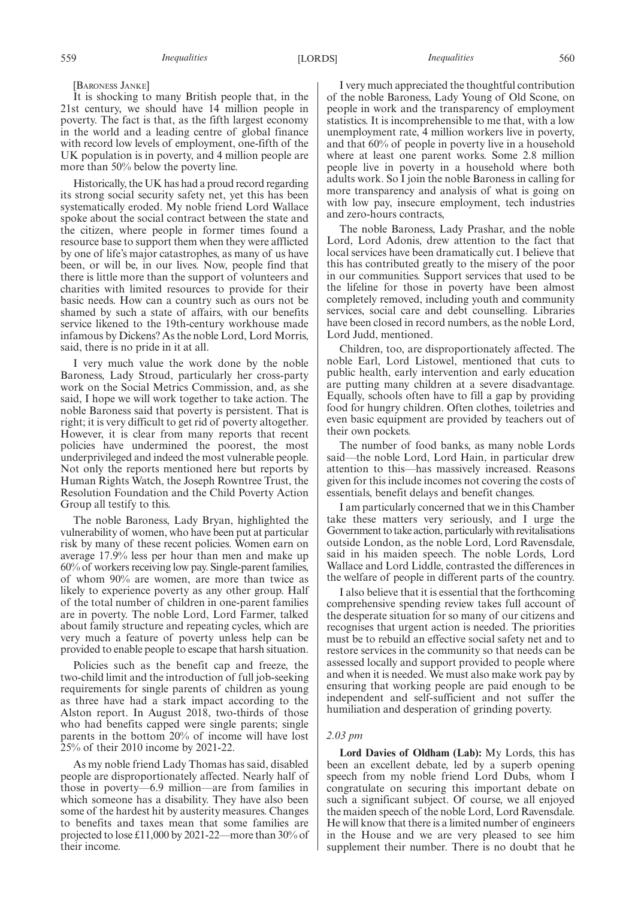[BARONESS JANKE]

It is shocking to many British people that, in the 21st century, we should have 14 million people in poverty. The fact is that, as the fifth largest economy in the world and a leading centre of global finance with record low levels of employment, one-fifth of the UK population is in poverty, and 4 million people are more than 50% below the poverty line.

Historically, the UK has had a proud record regarding its strong social security safety net, yet this has been systematically eroded. My noble friend Lord Wallace spoke about the social contract between the state and the citizen, where people in former times found a resource base to support them when they were afflicted by one of life's major catastrophes, as many of us have been, or will be, in our lives. Now, people find that there is little more than the support of volunteers and charities with limited resources to provide for their basic needs. How can a country such as ours not be shamed by such a state of affairs, with our benefits service likened to the 19th-century workhouse made infamous by Dickens? As the noble Lord, Lord Morris, said, there is no pride in it at all.

I very much value the work done by the noble Baroness, Lady Stroud, particularly her cross-party work on the Social Metrics Commission, and, as she said, I hope we will work together to take action. The noble Baroness said that poverty is persistent. That is right; it is very difficult to get rid of poverty altogether. However, it is clear from many reports that recent policies have undermined the poorest, the most underprivileged and indeed the most vulnerable people. Not only the reports mentioned here but reports by Human Rights Watch, the Joseph Rowntree Trust, the Resolution Foundation and the Child Poverty Action Group all testify to this.

The noble Baroness, Lady Bryan, highlighted the vulnerability of women, who have been put at particular risk by many of these recent policies. Women earn on average 17.9% less per hour than men and make up 60% of workers receiving low pay. Single-parent families, of whom 90% are women, are more than twice as likely to experience poverty as any other group. Half of the total number of children in one-parent families are in poverty. The noble Lord, Lord Farmer, talked about family structure and repeating cycles, which are very much a feature of poverty unless help can be provided to enable people to escape that harsh situation.

Policies such as the benefit cap and freeze, the two-child limit and the introduction of full job-seeking requirements for single parents of children as young as three have had a stark impact according to the Alston report. In August 2018, two-thirds of those who had benefits capped were single parents; single parents in the bottom 20% of income will have lost 25% of their 2010 income by 2021-22.

As my noble friend Lady Thomas has said, disabled people are disproportionately affected. Nearly half of those in poverty—6.9 million—are from families in which someone has a disability. They have also been some of the hardest hit by austerity measures. Changes to benefits and taxes mean that some families are projected to lose £11,000 by 2021-22—more than 30% of their income.

I very much appreciated the thoughtful contribution of the noble Baroness, Lady Young of Old Scone, on people in work and the transparency of employment statistics. It is incomprehensible to me that, with a low unemployment rate, 4 million workers live in poverty, and that 60% of people in poverty live in a household where at least one parent works. Some 2.8 million people live in poverty in a household where both adults work. So I join the noble Baroness in calling for more transparency and analysis of what is going on with low pay, insecure employment, tech industries and zero-hours contracts,

The noble Baroness, Lady Prashar, and the noble Lord, Lord Adonis, drew attention to the fact that local services have been dramatically cut. I believe that this has contributed greatly to the misery of the poor in our communities. Support services that used to be the lifeline for those in poverty have been almost completely removed, including youth and community services, social care and debt counselling. Libraries have been closed in record numbers, as the noble Lord, Lord Judd, mentioned.

Children, too, are disproportionately affected. The noble Earl, Lord Listowel, mentioned that cuts to public health, early intervention and early education are putting many children at a severe disadvantage. Equally, schools often have to fill a gap by providing food for hungry children. Often clothes, toiletries and even basic equipment are provided by teachers out of their own pockets.

The number of food banks, as many noble Lords said—the noble Lord, Lord Hain, in particular drew attention to this—has massively increased. Reasons given for this include incomes not covering the costs of essentials, benefit delays and benefit changes.

I am particularly concerned that we in this Chamber take these matters very seriously, and I urge the Government to take action, particularly with revitalisations outside London, as the noble Lord, Lord Ravensdale, said in his maiden speech. The noble Lords, Lord Wallace and Lord Liddle, contrasted the differences in the welfare of people in different parts of the country.

I also believe that it is essential that the forthcoming comprehensive spending review takes full account of the desperate situation for so many of our citizens and recognises that urgent action is needed. The priorities must be to rebuild an effective social safety net and to restore services in the community so that needs can be assessed locally and support provided to people where and when it is needed. We must also make work pay by ensuring that working people are paid enough to be independent and self-sufficient and not suffer the humiliation and desperation of grinding poverty.

## *2.03 pm*

**Lord Davies of Oldham (Lab):** My Lords, this has been an excellent debate, led by a superb opening speech from my noble friend Lord Dubs, whom I congratulate on securing this important debate on such a significant subject. Of course, we all enjoyed the maiden speech of the noble Lord, Lord Ravensdale. He will know that there is a limited number of engineers in the House and we are very pleased to see him supplement their number. There is no doubt that he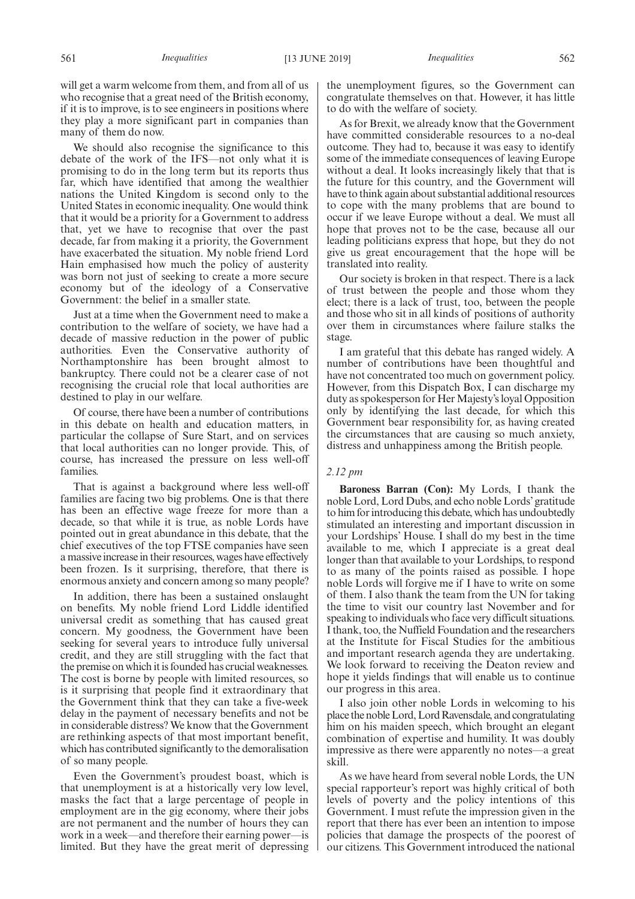will get a warm welcome from them, and from all of us who recognise that a great need of the British economy, if it is to improve, is to see engineers in positions where they play a more significant part in companies than many of them do now.

We should also recognise the significance to this debate of the work of the IFS—not only what it is promising to do in the long term but its reports thus far, which have identified that among the wealthier nations the United Kingdom is second only to the United States in economic inequality. One would think that it would be a priority for a Government to address that, yet we have to recognise that over the past decade, far from making it a priority, the Government have exacerbated the situation. My noble friend Lord Hain emphasised how much the policy of austerity was born not just of seeking to create a more secure economy but of the ideology of a Conservative Government: the belief in a smaller state.

Just at a time when the Government need to make a contribution to the welfare of society, we have had a decade of massive reduction in the power of public authorities. Even the Conservative authority of Northamptonshire has been brought almost to bankruptcy. There could not be a clearer case of not recognising the crucial role that local authorities are destined to play in our welfare.

Of course, there have been a number of contributions in this debate on health and education matters, in particular the collapse of Sure Start, and on services that local authorities can no longer provide. This, of course, has increased the pressure on less well-off families.

That is against a background where less well-off families are facing two big problems. One is that there has been an effective wage freeze for more than a decade, so that while it is true, as noble Lords have pointed out in great abundance in this debate, that the chief executives of the top FTSE companies have seen a massive increase in their resources, wages have effectively been frozen. Is it surprising, therefore, that there is enormous anxiety and concern among so many people?

In addition, there has been a sustained onslaught on benefits. My noble friend Lord Liddle identified universal credit as something that has caused great concern. My goodness, the Government have been seeking for several years to introduce fully universal credit, and they are still struggling with the fact that the premise on which it is founded has crucial weaknesses. The cost is borne by people with limited resources, so is it surprising that people find it extraordinary that the Government think that they can take a five-week delay in the payment of necessary benefits and not be in considerable distress? We know that the Government are rethinking aspects of that most important benefit, which has contributed significantly to the demoralisation of so many people.

Even the Government's proudest boast, which is that unemployment is at a historically very low level, masks the fact that a large percentage of people in employment are in the gig economy, where their jobs are not permanent and the number of hours they can work in a week—and therefore their earning power—is limited. But they have the great merit of depressing the unemployment figures, so the Government can congratulate themselves on that. However, it has little to do with the welfare of society.

As for Brexit, we already know that the Government have committed considerable resources to a no-deal outcome. They had to, because it was easy to identify some of the immediate consequences of leaving Europe without a deal. It looks increasingly likely that that is the future for this country, and the Government will have to think again about substantial additional resources to cope with the many problems that are bound to occur if we leave Europe without a deal. We must all hope that proves not to be the case, because all our leading politicians express that hope, but they do not give us great encouragement that the hope will be translated into reality.

Our society is broken in that respect. There is a lack of trust between the people and those whom they elect; there is a lack of trust, too, between the people and those who sit in all kinds of positions of authority over them in circumstances where failure stalks the stage.

I am grateful that this debate has ranged widely. A number of contributions have been thoughtful and have not concentrated too much on government policy. However, from this Dispatch Box, I can discharge my duty as spokesperson for Her Majesty's loyal Opposition only by identifying the last decade, for which this Government bear responsibility for, as having created the circumstances that are causing so much anxiety, distress and unhappiness among the British people.

#### *2.12 pm*

**Baroness Barran (Con):** My Lords, I thank the noble Lord, Lord Dubs, and echo noble Lords' gratitude to him for introducing this debate, which has undoubtedly stimulated an interesting and important discussion in your Lordships' House. I shall do my best in the time available to me, which I appreciate is a great deal longer than that available to your Lordships, to respond to as many of the points raised as possible. I hope noble Lords will forgive me if I have to write on some of them. I also thank the team from the UN for taking the time to visit our country last November and for speaking to individuals who face very difficult situations. I thank, too, the Nuffield Foundation and the researchers at the Institute for Fiscal Studies for the ambitious and important research agenda they are undertaking. We look forward to receiving the Deaton review and hope it yields findings that will enable us to continue our progress in this area.

I also join other noble Lords in welcoming to his place the noble Lord, Lord Ravensdale, and congratulating him on his maiden speech, which brought an elegant combination of expertise and humility. It was doubly impressive as there were apparently no notes—a great skill.

As we have heard from several noble Lords, the UN special rapporteur's report was highly critical of both levels of poverty and the policy intentions of this Government. I must refute the impression given in the report that there has ever been an intention to impose policies that damage the prospects of the poorest of our citizens. This Government introduced the national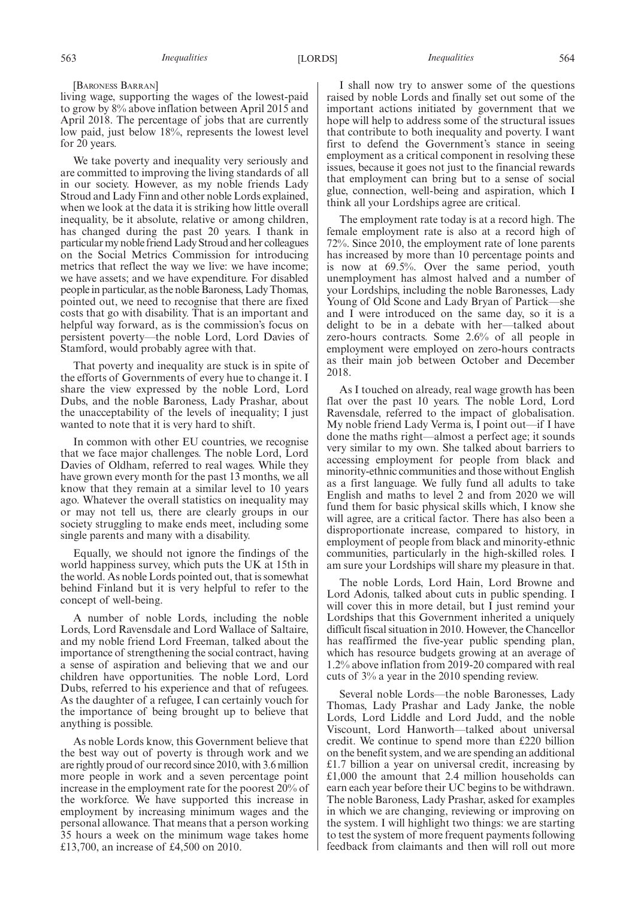#### [BARONESS BARRAN]

living wage, supporting the wages of the lowest-paid to grow by 8% above inflation between April 2015 and April 2018. The percentage of jobs that are currently low paid, just below 18%, represents the lowest level for 20 years.

We take poverty and inequality very seriously and are committed to improving the living standards of all in our society. However, as my noble friends Lady Stroud and Lady Finn and other noble Lords explained, when we look at the data it is striking how little overall inequality, be it absolute, relative or among children, has changed during the past 20 years. I thank in particular my noble friend Lady Stroud and her colleagues on the Social Metrics Commission for introducing metrics that reflect the way we live: we have income; we have assets; and we have expenditure. For disabled people in particular, as the noble Baroness, Lady Thomas, pointed out, we need to recognise that there are fixed costs that go with disability. That is an important and helpful way forward, as is the commission's focus on persistent poverty—the noble Lord, Lord Davies of Stamford, would probably agree with that.

That poverty and inequality are stuck is in spite of the efforts of Governments of every hue to change it. I share the view expressed by the noble Lord, Lord Dubs, and the noble Baroness, Lady Prashar, about the unacceptability of the levels of inequality; I just wanted to note that it is very hard to shift.

In common with other EU countries, we recognise that we face major challenges. The noble Lord, Lord Davies of Oldham, referred to real wages. While they have grown every month for the past 13 months, we all know that they remain at a similar level to 10 years ago. Whatever the overall statistics on inequality may or may not tell us, there are clearly groups in our society struggling to make ends meet, including some single parents and many with a disability.

Equally, we should not ignore the findings of the world happiness survey, which puts the UK at 15th in the world. As noble Lords pointed out, that is somewhat behind Finland but it is very helpful to refer to the concept of well-being.

A number of noble Lords, including the noble Lords, Lord Ravensdale and Lord Wallace of Saltaire, and my noble friend Lord Freeman, talked about the importance of strengthening the social contract, having a sense of aspiration and believing that we and our children have opportunities. The noble Lord, Lord Dubs, referred to his experience and that of refugees. As the daughter of a refugee, I can certainly vouch for the importance of being brought up to believe that anything is possible.

As noble Lords know, this Government believe that the best way out of poverty is through work and we are rightly proud of our record since 2010, with 3.6 million more people in work and a seven percentage point increase in the employment rate for the poorest 20% of the workforce. We have supported this increase in employment by increasing minimum wages and the personal allowance. That means that a person working 35 hours a week on the minimum wage takes home £13,700, an increase of £4,500 on 2010.

I shall now try to answer some of the questions raised by noble Lords and finally set out some of the important actions initiated by government that we hope will help to address some of the structural issues that contribute to both inequality and poverty. I want first to defend the Government's stance in seeing employment as a critical component in resolving these issues, because it goes not just to the financial rewards that employment can bring but to a sense of social glue, connection, well-being and aspiration, which I think all your Lordships agree are critical.

The employment rate today is at a record high. The female employment rate is also at a record high of 72%. Since 2010, the employment rate of lone parents has increased by more than 10 percentage points and is now at 69.5%. Over the same period, youth unemployment has almost halved and a number of your Lordships, including the noble Baronesses, Lady Young of Old Scone and Lady Bryan of Partick—she and I were introduced on the same day, so it is a delight to be in a debate with her—talked about zero-hours contracts. Some 2.6% of all people in employment were employed on zero-hours contracts as their main job between October and December 2018.

As I touched on already, real wage growth has been flat over the past 10 years. The noble Lord, Lord Ravensdale, referred to the impact of globalisation. My noble friend Lady Verma is, I point out—if I have done the maths right—almost a perfect age; it sounds very similar to my own. She talked about barriers to accessing employment for people from black and minority-ethnic communities and those without English as a first language. We fully fund all adults to take English and maths to level 2 and from 2020 we will fund them for basic physical skills which, I know she will agree, are a critical factor. There has also been a disproportionate increase, compared to history, in employment of people from black and minority-ethnic communities, particularly in the high-skilled roles. I am sure your Lordships will share my pleasure in that.

The noble Lords, Lord Hain, Lord Browne and Lord Adonis, talked about cuts in public spending. I will cover this in more detail, but I just remind your Lordships that this Government inherited a uniquely difficult fiscal situation in 2010. However, the Chancellor has reaffirmed the five-year public spending plan, which has resource budgets growing at an average of 1.2% above inflation from 2019-20 compared with real cuts of 3% a year in the 2010 spending review.

Several noble Lords—the noble Baronesses, Lady Thomas, Lady Prashar and Lady Janke, the noble Lords, Lord Liddle and Lord Judd, and the noble Viscount, Lord Hanworth—talked about universal credit. We continue to spend more than £220 billion on the benefit system, and we are spending an additional £1.7 billion a year on universal credit, increasing by £1,000 the amount that 2.4 million households can earn each year before their UC begins to be withdrawn. The noble Baroness, Lady Prashar, asked for examples in which we are changing, reviewing or improving on the system. I will highlight two things: we are starting to test the system of more frequent payments following feedback from claimants and then will roll out more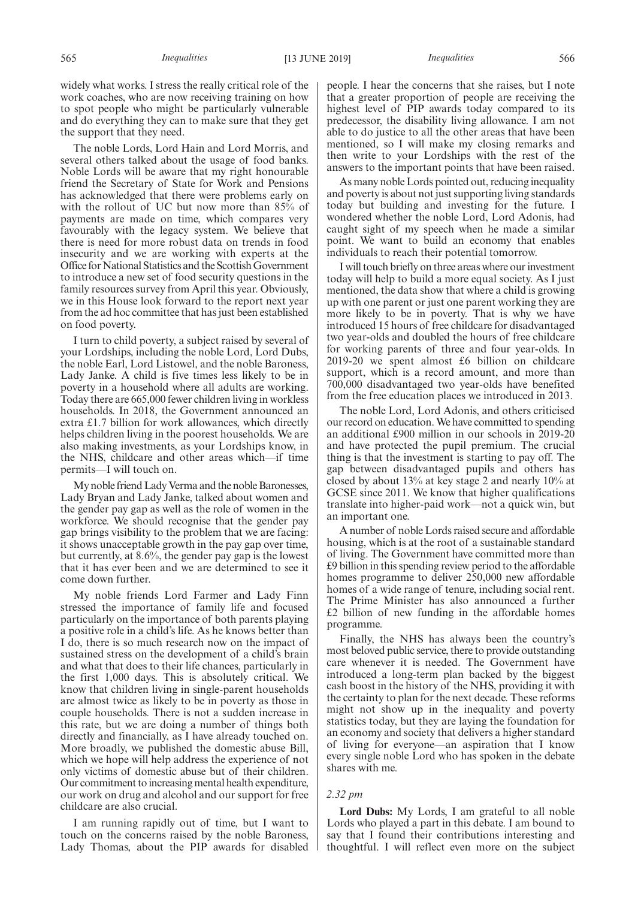widely what works. I stress the really critical role of the work coaches, who are now receiving training on how to spot people who might be particularly vulnerable and do everything they can to make sure that they get the support that they need.

The noble Lords, Lord Hain and Lord Morris, and several others talked about the usage of food banks. Noble Lords will be aware that my right honourable friend the Secretary of State for Work and Pensions has acknowledged that there were problems early on with the rollout of UC but now more than 85% of payments are made on time, which compares very favourably with the legacy system. We believe that there is need for more robust data on trends in food insecurity and we are working with experts at the Office for National Statistics and the Scottish Government to introduce a new set of food security questions in the family resources survey from April this year. Obviously, we in this House look forward to the report next year from the ad hoc committee that has just been established on food poverty.

I turn to child poverty, a subject raised by several of your Lordships, including the noble Lord, Lord Dubs, the noble Earl, Lord Listowel, and the noble Baroness, Lady Janke. A child is five times less likely to be in poverty in a household where all adults are working. Today there are 665,000 fewer children living in workless households. In 2018, the Government announced an extra £1.7 billion for work allowances, which directly helps children living in the poorest households. We are also making investments, as your Lordships know, in the NHS, childcare and other areas which—if time permits—I will touch on.

My noble friend Lady Verma and the noble Baronesses, Lady Bryan and Lady Janke, talked about women and the gender pay gap as well as the role of women in the workforce. We should recognise that the gender pay gap brings visibility to the problem that we are facing: it shows unacceptable growth in the pay gap over time, but currently, at 8.6%, the gender pay gap is the lowest that it has ever been and we are determined to see it come down further.

My noble friends Lord Farmer and Lady Finn stressed the importance of family life and focused particularly on the importance of both parents playing a positive role in a child's life. As he knows better than I do, there is so much research now on the impact of sustained stress on the development of a child's brain and what that does to their life chances, particularly in the first 1,000 days. This is absolutely critical. We know that children living in single-parent households are almost twice as likely to be in poverty as those in couple households. There is not a sudden increase in this rate, but we are doing a number of things both directly and financially, as I have already touched on. More broadly, we published the domestic abuse Bill, which we hope will help address the experience of not only victims of domestic abuse but of their children. Our commitment to increasing mental health expenditure, our work on drug and alcohol and our support for free childcare are also crucial.

I am running rapidly out of time, but I want to touch on the concerns raised by the noble Baroness, Lady Thomas, about the PIP awards for disabled people. I hear the concerns that she raises, but I note that a greater proportion of people are receiving the highest level of PIP awards today compared to its predecessor, the disability living allowance. I am not able to do justice to all the other areas that have been mentioned, so I will make my closing remarks and then write to your Lordships with the rest of the answers to the important points that have been raised.

As many noble Lords pointed out, reducing inequality and poverty is about not just supporting living standards today but building and investing for the future. I wondered whether the noble Lord, Lord Adonis, had caught sight of my speech when he made a similar point. We want to build an economy that enables individuals to reach their potential tomorrow.

I will touch briefly on three areas where our investment today will help to build a more equal society. As I just mentioned, the data show that where a child is growing up with one parent or just one parent working they are more likely to be in poverty. That is why we have introduced 15 hours of free childcare for disadvantaged two year-olds and doubled the hours of free childcare for working parents of three and four year-olds. In 2019-20 we spent almost £6 billion on childcare support, which is a record amount, and more than 700,000 disadvantaged two year-olds have benefited from the free education places we introduced in 2013.

The noble Lord, Lord Adonis, and others criticised our record on education. We have committed to spending an additional £900 million in our schools in 2019-20 and have protected the pupil premium. The crucial thing is that the investment is starting to pay off. The gap between disadvantaged pupils and others has closed by about 13% at key stage 2 and nearly 10% at GCSE since 2011. We know that higher qualifications translate into higher-paid work—not a quick win, but an important one.

A number of noble Lords raised secure and affordable housing, which is at the root of a sustainable standard of living. The Government have committed more than £9 billion in this spending review period to the affordable homes programme to deliver 250,000 new affordable homes of a wide range of tenure, including social rent. The Prime Minister has also announced a further £2 billion of new funding in the affordable homes programme.

Finally, the NHS has always been the country's most beloved public service, there to provide outstanding care whenever it is needed. The Government have introduced a long-term plan backed by the biggest cash boost in the history of the NHS, providing it with the certainty to plan for the next decade. These reforms might not show up in the inequality and poverty statistics today, but they are laying the foundation for an economy and society that delivers a higher standard of living for everyone—an aspiration that I know every single noble Lord who has spoken in the debate shares with me.

#### *2.32 pm*

**Lord Dubs:** My Lords, I am grateful to all noble Lords who played a part in this debate. I am bound to say that I found their contributions interesting and thoughtful. I will reflect even more on the subject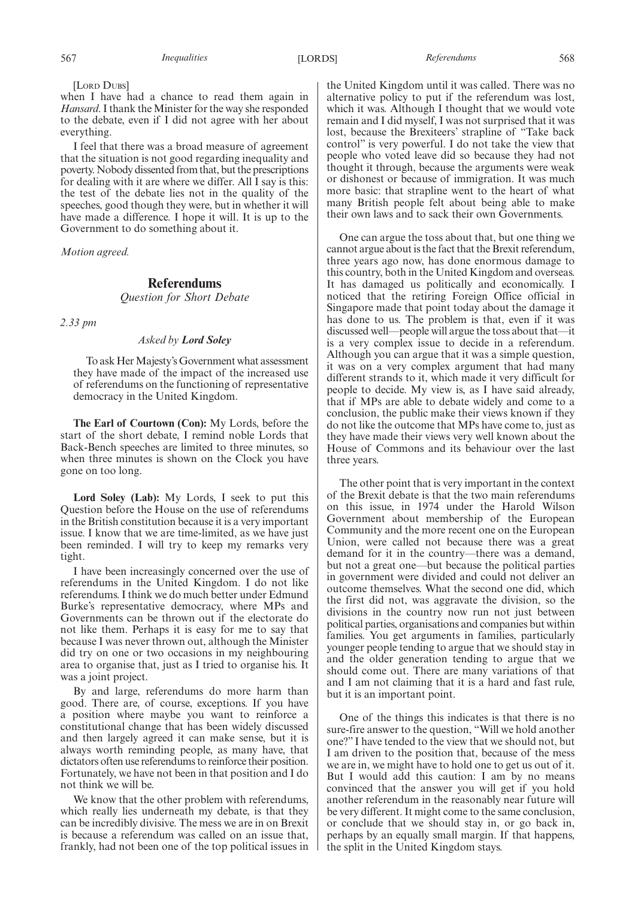the United Kingdom until it was called. There was no alternative policy to put if the referendum was lost, which it was. Although I thought that we would vote remain and I did myself, I was not surprised that it was lost, because the Brexiteers' strapline of "Take back control" is very powerful. I do not take the view that people who voted leave did so because they had not thought it through, because the arguments were weak or dishonest or because of immigration. It was much more basic: that strapline went to the heart of what many British people felt about being able to make their own laws and to sack their own Governments.

One can argue the toss about that, but one thing we cannot argue about is the fact that the Brexit referendum, three years ago now, has done enormous damage to this country, both in the United Kingdom and overseas. It has damaged us politically and economically. I noticed that the retiring Foreign Office official in Singapore made that point today about the damage it has done to us. The problem is that, even if it was discussed well—people will argue the toss about that—it is a very complex issue to decide in a referendum. Although you can argue that it was a simple question, it was on a very complex argument that had many different strands to it, which made it very difficult for people to decide. My view is, as I have said already, that if MPs are able to debate widely and come to a conclusion, the public make their views known if they do not like the outcome that MPs have come to, just as they have made their views very well known about the House of Commons and its behaviour over the last three years.

The other point that is very important in the context of the Brexit debate is that the two main referendums on this issue, in 1974 under the Harold Wilson Government about membership of the European Community and the more recent one on the European Union, were called not because there was a great demand for it in the country—there was a demand, but not a great one—but because the political parties in government were divided and could not deliver an outcome themselves. What the second one did, which the first did not, was aggravate the division, so the divisions in the country now run not just between political parties, organisations and companies but within families. You get arguments in families, particularly younger people tending to argue that we should stay in and the older generation tending to argue that we should come out. There are many variations of that and I am not claiming that it is a hard and fast rule, but it is an important point.

One of the things this indicates is that there is no sure-fire answer to the question, "Will we hold another one?" I have tended to the view that we should not, but I am driven to the position that, because of the mess we are in, we might have to hold one to get us out of it. But I would add this caution: I am by no means convinced that the answer you will get if you hold another referendum in the reasonably near future will be very different. It might come to the same conclusion, or conclude that we should stay in, or go back in, perhaps by an equally small margin. If that happens, the split in the United Kingdom stays.

[LORD DUBS]

when I have had a chance to read them again in *Hansard*. I thank the Minister for the way she responded to the debate, even if I did not agree with her about everything.

I feel that there was a broad measure of agreement that the situation is not good regarding inequality and poverty. Nobody dissented from that, but the prescriptions for dealing with it are where we differ. All I say is this: the test of the debate lies not in the quality of the speeches, good though they were, but in whether it will have made a difference. I hope it will. It is up to the Government to do something about it.

*Motion agreed.*

## **Referendums** *Question for Short Debate*

*2.33 pm*

### *Asked by Lord Soley*

To ask Her Majesty's Government what assessment they have made of the impact of the increased use of referendums on the functioning of representative democracy in the United Kingdom.

**The Earl of Courtown (Con):** My Lords, before the start of the short debate, I remind noble Lords that Back-Bench speeches are limited to three minutes, so when three minutes is shown on the Clock you have gone on too long.

**Lord Soley (Lab):** My Lords, I seek to put this Question before the House on the use of referendums in the British constitution because it is a very important issue. I know that we are time-limited, as we have just been reminded. I will try to keep my remarks very tight.

I have been increasingly concerned over the use of referendums in the United Kingdom. I do not like referendums. I think we do much better under Edmund Burke's representative democracy, where MPs and Governments can be thrown out if the electorate do not like them. Perhaps it is easy for me to say that because I was never thrown out, although the Minister did try on one or two occasions in my neighbouring area to organise that, just as I tried to organise his. It was a joint project.

By and large, referendums do more harm than good. There are, of course, exceptions. If you have a position where maybe you want to reinforce a constitutional change that has been widely discussed and then largely agreed it can make sense, but it is always worth reminding people, as many have, that dictators often use referendums to reinforce their position. Fortunately, we have not been in that position and I do not think we will be.

We know that the other problem with referendums, which really lies underneath my debate, is that they can be incredibly divisive. The mess we are in on Brexit is because a referendum was called on an issue that, frankly, had not been one of the top political issues in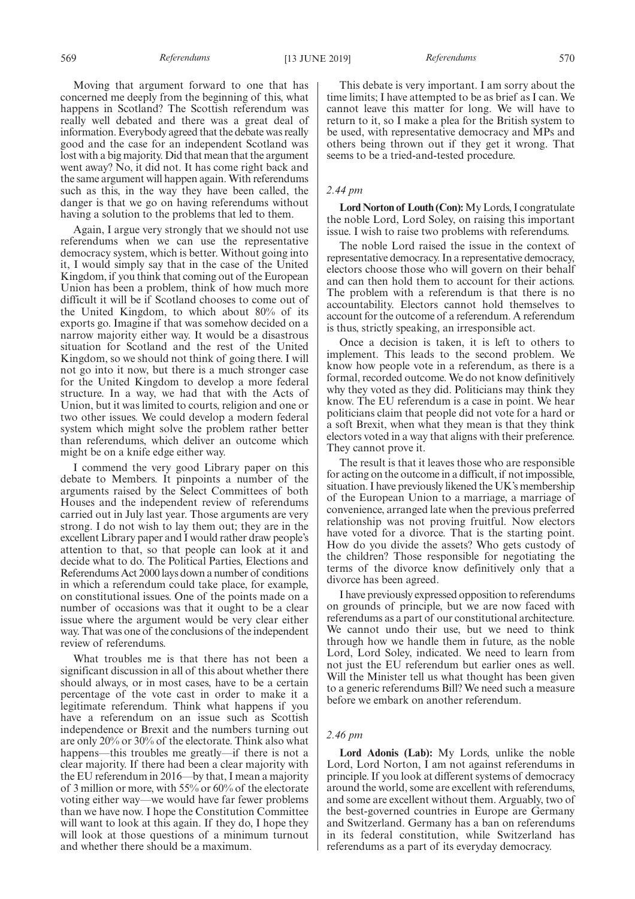569 *Referendums* [13 JUNE 2019] *Referendums* 570

Moving that argument forward to one that has concerned me deeply from the beginning of this, what happens in Scotland? The Scottish referendum was really well debated and there was a great deal of information. Everybody agreed that the debate was really good and the case for an independent Scotland was lost with a big majority. Did that mean that the argument went away? No, it did not. It has come right back and the same argument will happen again. With referendums such as this, in the way they have been called, the danger is that we go on having referendums without having a solution to the problems that led to them.

Again, I argue very strongly that we should not use referendums when we can use the representative democracy system, which is better. Without going into it, I would simply say that in the case of the United Kingdom, if you think that coming out of the European Union has been a problem, think of how much more difficult it will be if Scotland chooses to come out of the United Kingdom, to which about 80% of its exports go. Imagine if that was somehow decided on a narrow majority either way. It would be a disastrous situation for Scotland and the rest of the United Kingdom, so we should not think of going there. I will not go into it now, but there is a much stronger case for the United Kingdom to develop a more federal structure. In a way, we had that with the Acts of Union, but it was limited to courts, religion and one or two other issues. We could develop a modern federal system which might solve the problem rather better than referendums, which deliver an outcome which might be on a knife edge either way.

I commend the very good Library paper on this debate to Members. It pinpoints a number of the arguments raised by the Select Committees of both Houses and the independent review of referendums carried out in July last year. Those arguments are very strong. I do not wish to lay them out; they are in the excellent Library paper and I would rather draw people's attention to that, so that people can look at it and decide what to do. The Political Parties, Elections and Referendums Act 2000 lays down a number of conditions in which a referendum could take place, for example, on constitutional issues. One of the points made on a number of occasions was that it ought to be a clear issue where the argument would be very clear either way. That was one of the conclusions of the independent review of referendums.

What troubles me is that there has not been a significant discussion in all of this about whether there should always, or in most cases, have to be a certain percentage of the vote cast in order to make it a legitimate referendum. Think what happens if you have a referendum on an issue such as Scottish independence or Brexit and the numbers turning out are only 20% or 30% of the electorate. Think also what happens—this troubles me greatly—if there is not a clear majority. If there had been a clear majority with the EU referendum in 2016—by that, I mean a majority of 3 million or more, with 55% or 60% of the electorate voting either way—we would have far fewer problems than we have now. I hope the Constitution Committee will want to look at this again. If they do, I hope they will look at those questions of a minimum turnout and whether there should be a maximum.

This debate is very important. I am sorry about the time limits; I have attempted to be as brief as I can. We cannot leave this matter for long. We will have to return to it, so I make a plea for the British system to be used, with representative democracy and MPs and others being thrown out if they get it wrong. That seems to be a tried-and-tested procedure.

## *2.44 pm*

**Lord Norton of Louth (Con):**My Lords, I congratulate the noble Lord, Lord Soley, on raising this important issue. I wish to raise two problems with referendums.

The noble Lord raised the issue in the context of representative democracy. In a representative democracy, electors choose those who will govern on their behalf and can then hold them to account for their actions. The problem with a referendum is that there is no accountability. Electors cannot hold themselves to account for the outcome of a referendum. A referendum is thus, strictly speaking, an irresponsible act.

Once a decision is taken, it is left to others to implement. This leads to the second problem. We know how people vote in a referendum, as there is a formal, recorded outcome. We do not know definitively why they voted as they did. Politicians may think they know. The EU referendum is a case in point. We hear politicians claim that people did not vote for a hard or a soft Brexit, when what they mean is that they think electors voted in a way that aligns with their preference. They cannot prove it.

The result is that it leaves those who are responsible for acting on the outcome in a difficult, if not impossible, situation. I have previously likened the UK's membership of the European Union to a marriage, a marriage of convenience, arranged late when the previous preferred relationship was not proving fruitful. Now electors have voted for a divorce. That is the starting point. How do you divide the assets? Who gets custody of the children? Those responsible for negotiating the terms of the divorce know definitively only that a divorce has been agreed.

I have previously expressed opposition to referendums on grounds of principle, but we are now faced with referendums as a part of our constitutional architecture. We cannot undo their use, but we need to think through how we handle them in future, as the noble Lord, Lord Soley, indicated. We need to learn from not just the EU referendum but earlier ones as well. Will the Minister tell us what thought has been given to a generic referendums Bill? We need such a measure before we embark on another referendum.

## *2.46 pm*

**Lord Adonis (Lab):** My Lords, unlike the noble Lord, Lord Norton, I am not against referendums in principle. If you look at different systems of democracy around the world, some are excellent with referendums, and some are excellent without them. Arguably, two of the best-governed countries in Europe are Germany and Switzerland. Germany has a ban on referendums in its federal constitution, while Switzerland has referendums as a part of its everyday democracy.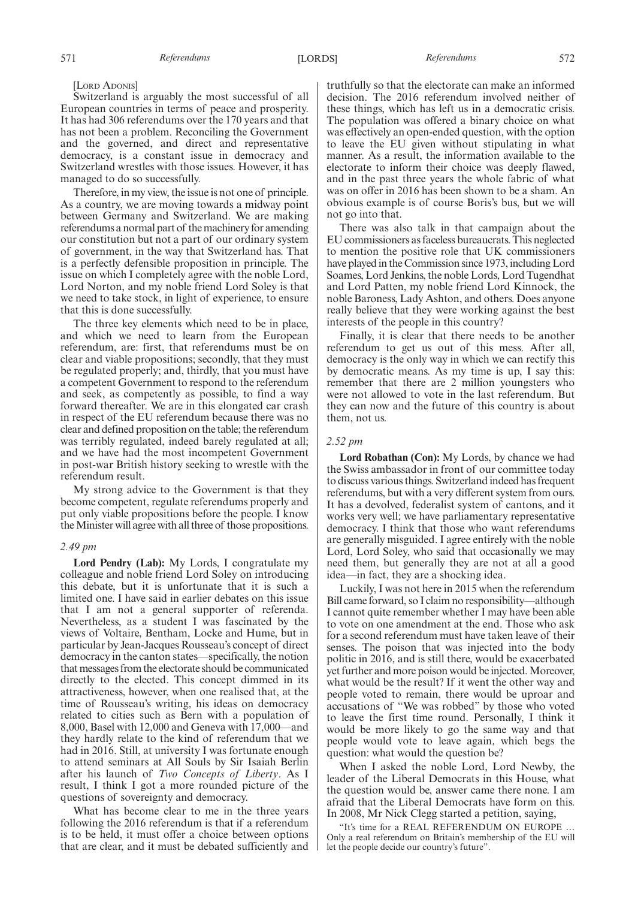[LORD ADONIS]

Switzerland is arguably the most successful of all European countries in terms of peace and prosperity. It has had 306 referendums over the 170 years and that has not been a problem. Reconciling the Government and the governed, and direct and representative democracy, is a constant issue in democracy and Switzerland wrestles with those issues. However, it has managed to do so successfully.

Therefore, in my view, the issue is not one of principle. As a country, we are moving towards a midway point between Germany and Switzerland. We are making referendums a normal part of the machinery for amending our constitution but not a part of our ordinary system of government, in the way that Switzerland has. That is a perfectly defensible proposition in principle. The issue on which I completely agree with the noble Lord, Lord Norton, and my noble friend Lord Soley is that we need to take stock, in light of experience, to ensure that this is done successfully.

The three key elements which need to be in place, and which we need to learn from the European referendum, are: first, that referendums must be on clear and viable propositions; secondly, that they must be regulated properly; and, thirdly, that you must have a competent Government to respond to the referendum and seek, as competently as possible, to find a way forward thereafter. We are in this elongated car crash in respect of the EU referendum because there was no clear and defined proposition on the table; the referendum was terribly regulated, indeed barely regulated at all; and we have had the most incompetent Government in post-war British history seeking to wrestle with the referendum result.

My strong advice to the Government is that they become competent, regulate referendums properly and put only viable propositions before the people. I know the Minister will agree with all three of those propositions.

#### *2.49 pm*

**Lord Pendry (Lab):** My Lords, I congratulate my colleague and noble friend Lord Soley on introducing this debate, but it is unfortunate that it is such a limited one. I have said in earlier debates on this issue that I am not a general supporter of referenda. Nevertheless, as a student I was fascinated by the views of Voltaire, Bentham, Locke and Hume, but in particular by Jean-Jacques Rousseau's concept of direct democracy in the canton states—specifically, the notion that messages from the electorate should be communicated directly to the elected. This concept dimmed in its attractiveness, however, when one realised that, at the time of Rousseau's writing, his ideas on democracy related to cities such as Bern with a population of 8,000, Basel with 12,000 and Geneva with 17,000—and they hardly relate to the kind of referendum that we had in 2016. Still, at university I was fortunate enough to attend seminars at All Souls by Sir Isaiah Berlin after his launch of *Two Concepts of Liberty*. As I result, I think I got a more rounded picture of the questions of sovereignty and democracy.

What has become clear to me in the three years following the 2016 referendum is that if a referendum is to be held, it must offer a choice between options that are clear, and it must be debated sufficiently and truthfully so that the electorate can make an informed decision. The 2016 referendum involved neither of these things, which has left us in a democratic crisis. The population was offered a binary choice on what was effectively an open-ended question, with the option to leave the EU given without stipulating in what manner. As a result, the information available to the electorate to inform their choice was deeply flawed, and in the past three years the whole fabric of what was on offer in 2016 has been shown to be a sham. An obvious example is of course Boris's bus, but we will not go into that.

There was also talk in that campaign about the EU commissioners as faceless bureaucrats. This neglected to mention the positive role that UK commissioners have played in the Commission since 1973, including Lord Soames, Lord Jenkins, the noble Lords, Lord Tugendhat and Lord Patten, my noble friend Lord Kinnock, the noble Baroness, Lady Ashton, and others. Does anyone really believe that they were working against the best interests of the people in this country?

Finally, it is clear that there needs to be another referendum to get us out of this mess. After all, democracy is the only way in which we can rectify this by democratic means. As my time is up, I say this: remember that there are 2 million youngsters who were not allowed to vote in the last referendum. But they can now and the future of this country is about them, not us.

### *2.52 pm*

**Lord Robathan (Con):** My Lords, by chance we had the Swiss ambassador in front of our committee today to discuss various things. Switzerland indeed has frequent referendums, but with a very different system from ours. It has a devolved, federalist system of cantons, and it works very well; we have parliamentary representative democracy. I think that those who want referendums are generally misguided. I agree entirely with the noble Lord, Lord Soley, who said that occasionally we may need them, but generally they are not at all a good idea—in fact, they are a shocking idea.

Luckily, I was not here in 2015 when the referendum Bill came forward, so I claim no responsibility—although I cannot quite remember whether I may have been able to vote on one amendment at the end. Those who ask for a second referendum must have taken leave of their senses. The poison that was injected into the body politic in 2016, and is still there, would be exacerbated yet further and more poison would be injected. Moreover, what would be the result? If it went the other way and people voted to remain, there would be uproar and accusations of "We was robbed" by those who voted to leave the first time round. Personally, I think it would be more likely to go the same way and that people would vote to leave again, which begs the question: what would the question be?

When I asked the noble Lord, Lord Newby, the leader of the Liberal Democrats in this House, what the question would be, answer came there none. I am afraid that the Liberal Democrats have form on this. In 2008, Mr Nick Clegg started a petition, saying,

"It's time for a REAL REFERENDUM ON EUROPE … Only a real referendum on Britain's membership of the EU will let the people decide our country's future".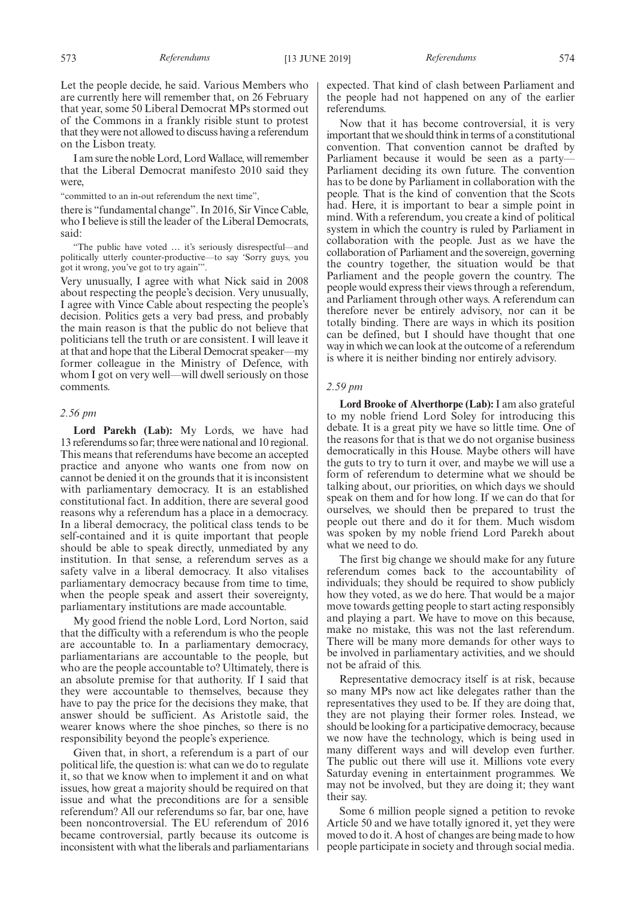Let the people decide, he said. Various Members who are currently here will remember that, on 26 February that year, some 50 Liberal Democrat MPs stormed out of the Commons in a frankly risible stunt to protest that they were not allowed to discuss having a referendum on the Lisbon treaty.

I am sure the noble Lord, Lord Wallace, will remember that the Liberal Democrat manifesto 2010 said they were,

"committed to an in-out referendum the next time",

there is "fundamental change". In 2016, Sir Vince Cable, who I believe is still the leader of the Liberal Democrats, said:

"The public have voted … it's seriously disrespectful—and politically utterly counter-productive—to say 'Sorry guys, you got it wrong, you've got to try again'".

Very unusually, I agree with what Nick said in 2008 about respecting the people's decision. Very unusually, I agree with Vince Cable about respecting the people's decision. Politics gets a very bad press, and probably the main reason is that the public do not believe that politicians tell the truth or are consistent. I will leave it at that and hope that the Liberal Democrat speaker—my former colleague in the Ministry of Defence, with whom I got on very well—will dwell seriously on those comments.

## *2.56 pm*

**Lord Parekh (Lab):** My Lords, we have had 13 referendums so far; three were national and 10 regional. This means that referendums have become an accepted practice and anyone who wants one from now on cannot be denied it on the grounds that it is inconsistent with parliamentary democracy. It is an established constitutional fact. In addition, there are several good reasons why a referendum has a place in a democracy. In a liberal democracy, the political class tends to be self-contained and it is quite important that people should be able to speak directly, unmediated by any institution. In that sense, a referendum serves as a safety valve in a liberal democracy. It also vitalises parliamentary democracy because from time to time, when the people speak and assert their sovereignty, parliamentary institutions are made accountable.

My good friend the noble Lord, Lord Norton, said that the difficulty with a referendum is who the people are accountable to. In a parliamentary democracy, parliamentarians are accountable to the people, but who are the people accountable to? Ultimately, there is an absolute premise for that authority. If I said that they were accountable to themselves, because they have to pay the price for the decisions they make, that answer should be sufficient. As Aristotle said, the wearer knows where the shoe pinches, so there is no responsibility beyond the people's experience.

Given that, in short, a referendum is a part of our political life, the question is: what can we do to regulate it, so that we know when to implement it and on what issues, how great a majority should be required on that issue and what the preconditions are for a sensible referendum? All our referendums so far, bar one, have been noncontroversial. The EU referendum of 2016 became controversial, partly because its outcome is inconsistent with what the liberals and parliamentarians expected. That kind of clash between Parliament and the people had not happened on any of the earlier referendums.

Now that it has become controversial, it is very important that we should think in terms of a constitutional convention. That convention cannot be drafted by Parliament because it would be seen as a party— Parliament deciding its own future. The convention has to be done by Parliament in collaboration with the people. That is the kind of convention that the Scots had. Here, it is important to bear a simple point in mind. With a referendum, you create a kind of political system in which the country is ruled by Parliament in collaboration with the people. Just as we have the collaboration of Parliament and the sovereign, governing the country together, the situation would be that Parliament and the people govern the country. The people would express their views through a referendum, and Parliament through other ways. A referendum can therefore never be entirely advisory, nor can it be totally binding. There are ways in which its position can be defined, but I should have thought that one way in which we can look at the outcome of a referendum is where it is neither binding nor entirely advisory.

#### *2.59 pm*

**Lord Brooke of Alverthorpe (Lab):** I am also grateful to my noble friend Lord Soley for introducing this debate. It is a great pity we have so little time. One of the reasons for that is that we do not organise business democratically in this House. Maybe others will have the guts to try to turn it over, and maybe we will use a form of referendum to determine what we should be talking about, our priorities, on which days we should speak on them and for how long. If we can do that for ourselves, we should then be prepared to trust the people out there and do it for them. Much wisdom was spoken by my noble friend Lord Parekh about what we need to do.

The first big change we should make for any future referendum comes back to the accountability of individuals; they should be required to show publicly how they voted, as we do here. That would be a major move towards getting people to start acting responsibly and playing a part. We have to move on this because, make no mistake, this was not the last referendum. There will be many more demands for other ways to be involved in parliamentary activities, and we should not be afraid of this.

Representative democracy itself is at risk, because so many MPs now act like delegates rather than the representatives they used to be. If they are doing that, they are not playing their former roles. Instead, we should be looking for a participative democracy, because we now have the technology, which is being used in many different ways and will develop even further. The public out there will use it. Millions vote every Saturday evening in entertainment programmes. We may not be involved, but they are doing it; they want their say.

Some 6 million people signed a petition to revoke Article 50 and we have totally ignored it, yet they were moved to do it. A host of changes are being made to how people participate in society and through social media.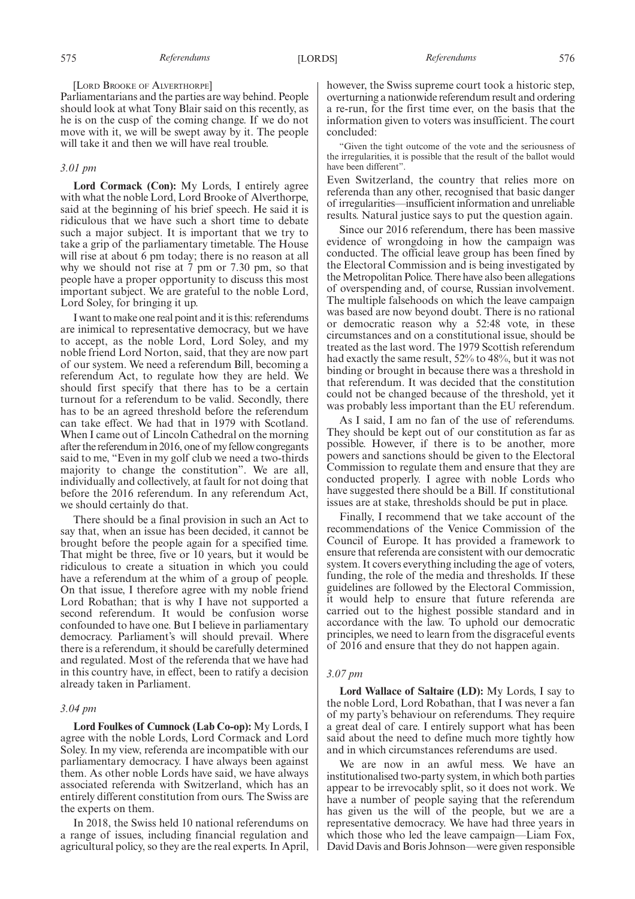#### [LORD BROOKE OF ALVERTHORPE]

Parliamentarians and the parties are way behind. People should look at what Tony Blair said on this recently, as he is on the cusp of the coming change. If we do not move with it, we will be swept away by it. The people will take it and then we will have real trouble.

#### *3.01 pm*

**Lord Cormack (Con):** My Lords, I entirely agree with what the noble Lord, Lord Brooke of Alverthorpe, said at the beginning of his brief speech. He said it is ridiculous that we have such a short time to debate such a major subject. It is important that we try to take a grip of the parliamentary timetable. The House will rise at about 6 pm today; there is no reason at all why we should not rise at  $7 \text{ pm}$  or  $7.30 \text{ pm}$ , so that people have a proper opportunity to discuss this most important subject. We are grateful to the noble Lord, Lord Soley, for bringing it up.

I want to make one real point and it is this: referendums are inimical to representative democracy, but we have to accept, as the noble Lord, Lord Soley, and my noble friend Lord Norton, said, that they are now part of our system. We need a referendum Bill, becoming a referendum Act, to regulate how they are held. We should first specify that there has to be a certain turnout for a referendum to be valid. Secondly, there has to be an agreed threshold before the referendum can take effect. We had that in 1979 with Scotland. When I came out of Lincoln Cathedral on the morning after the referendum in 2016, one of my fellow congregants said to me, "Even in my golf club we need a two-thirds majority to change the constitution". We are all, individually and collectively, at fault for not doing that before the 2016 referendum. In any referendum Act, we should certainly do that.

There should be a final provision in such an Act to say that, when an issue has been decided, it cannot be brought before the people again for a specified time. That might be three, five or 10 years, but it would be ridiculous to create a situation in which you could have a referendum at the whim of a group of people. On that issue, I therefore agree with my noble friend Lord Robathan; that is why I have not supported a second referendum. It would be confusion worse confounded to have one. But I believe in parliamentary democracy. Parliament's will should prevail. Where there is a referendum, it should be carefully determined and regulated. Most of the referenda that we have had in this country have, in effect, been to ratify a decision already taken in Parliament.

#### *3.04 pm*

**Lord Foulkes of Cumnock (Lab Co-op):** My Lords, I agree with the noble Lords, Lord Cormack and Lord Soley. In my view, referenda are incompatible with our parliamentary democracy. I have always been against them. As other noble Lords have said, we have always associated referenda with Switzerland, which has an entirely different constitution from ours. The Swiss are the experts on them.

In 2018, the Swiss held 10 national referendums on a range of issues, including financial regulation and agricultural policy, so they are the real experts. In April, however, the Swiss supreme court took a historic step, overturning a nationwide referendum result and ordering a re-run, for the first time ever, on the basis that the information given to voters was insufficient. The court concluded:

"Given the tight outcome of the vote and the seriousness of the irregularities, it is possible that the result of the ballot would have been different".

Even Switzerland, the country that relies more on referenda than any other, recognised that basic danger of irregularities—insufficient information and unreliable results. Natural justice says to put the question again.

Since our 2016 referendum, there has been massive evidence of wrongdoing in how the campaign was conducted. The official leave group has been fined by the Electoral Commission and is being investigated by the Metropolitan Police. There have also been allegations of overspending and, of course, Russian involvement. The multiple falsehoods on which the leave campaign was based are now beyond doubt. There is no rational or democratic reason why a 52:48 vote, in these circumstances and on a constitutional issue, should be treated as the last word. The 1979 Scottish referendum had exactly the same result, 52% to 48%, but it was not binding or brought in because there was a threshold in that referendum. It was decided that the constitution could not be changed because of the threshold, yet it was probably less important than the EU referendum.

As I said, I am no fan of the use of referendums. They should be kept out of our constitution as far as possible. However, if there is to be another, more powers and sanctions should be given to the Electoral Commission to regulate them and ensure that they are conducted properly. I agree with noble Lords who have suggested there should be a Bill. If constitutional issues are at stake, thresholds should be put in place.

Finally, I recommend that we take account of the recommendations of the Venice Commission of the Council of Europe. It has provided a framework to ensure that referenda are consistent with our democratic system. It covers everything including the age of voters, funding, the role of the media and thresholds. If these guidelines are followed by the Electoral Commission, it would help to ensure that future referenda are carried out to the highest possible standard and in accordance with the law. To uphold our democratic principles, we need to learn from the disgraceful events of 2016 and ensure that they do not happen again.

## *3.07 pm*

**Lord Wallace of Saltaire (LD):** My Lords, I say to the noble Lord, Lord Robathan, that I was never a fan of my party's behaviour on referendums. They require a great deal of care. I entirely support what has been said about the need to define much more tightly how and in which circumstances referendums are used.

We are now in an awful mess. We have an institutionalised two-party system, in which both parties appear to be irrevocably split, so it does not work. We have a number of people saying that the referendum has given us the will of the people, but we are a representative democracy. We have had three years in which those who led the leave campaign—Liam Fox, David Davis and Boris Johnson—were given responsible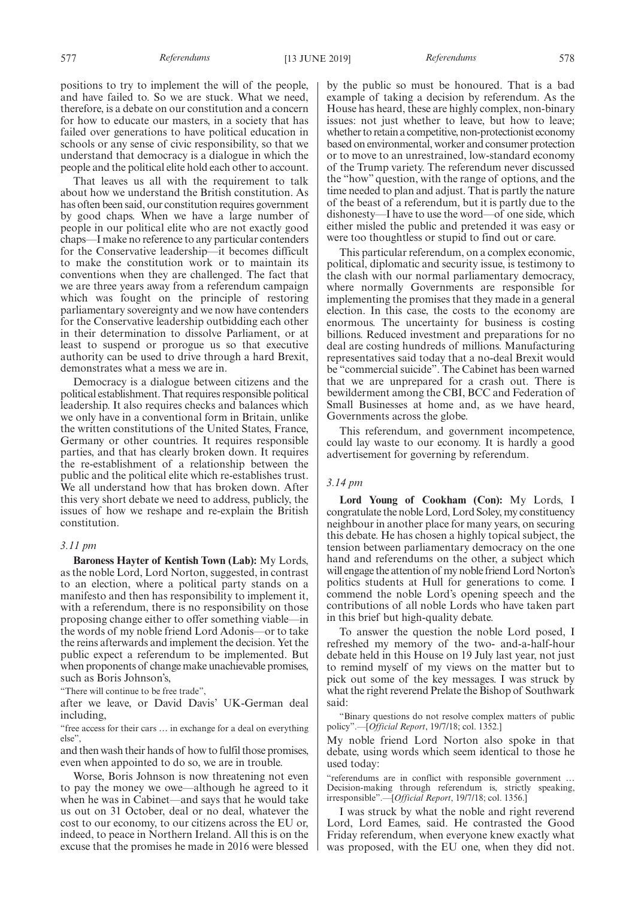positions to try to implement the will of the people, and have failed to. So we are stuck. What we need, therefore, is a debate on our constitution and a concern for how to educate our masters, in a society that has failed over generations to have political education in schools or any sense of civic responsibility, so that we understand that democracy is a dialogue in which the people and the political elite hold each other to account.

That leaves us all with the requirement to talk about how we understand the British constitution. As has often been said, our constitution requires government by good chaps. When we have a large number of people in our political elite who are not exactly good chaps—I make no reference to any particular contenders for the Conservative leadership—it becomes difficult to make the constitution work or to maintain its conventions when they are challenged. The fact that we are three years away from a referendum campaign which was fought on the principle of restoring parliamentary sovereignty and we now have contenders for the Conservative leadership outbidding each other in their determination to dissolve Parliament, or at least to suspend or prorogue us so that executive authority can be used to drive through a hard Brexit, demonstrates what a mess we are in.

Democracy is a dialogue between citizens and the political establishment. That requires responsible political leadership. It also requires checks and balances which we only have in a conventional form in Britain, unlike the written constitutions of the United States, France, Germany or other countries. It requires responsible parties, and that has clearly broken down. It requires the re-establishment of a relationship between the public and the political elite which re-establishes trust. We all understand how that has broken down. After this very short debate we need to address, publicly, the issues of how we reshape and re-explain the British constitution.

## *3.11 pm*

**Baroness Hayter of Kentish Town (Lab):** My Lords, as the noble Lord, Lord Norton, suggested, in contrast to an election, where a political party stands on a manifesto and then has responsibility to implement it, with a referendum, there is no responsibility on those proposing change either to offer something viable—in the words of my noble friend Lord Adonis—or to take the reins afterwards and implement the decision. Yet the public expect a referendum to be implemented. But when proponents of change make unachievable promises, such as Boris Johnson's,

"There will continue to be free trade",

after we leave, or David Davis' UK-German deal including,

"free access for their cars … in exchange for a deal on everything else",

and then wash their hands of how to fulfil those promises, even when appointed to do so, we are in trouble.

Worse, Boris Johnson is now threatening not even to pay the money we owe—although he agreed to it when he was in Cabinet—and says that he would take us out on 31 October, deal or no deal, whatever the cost to our economy, to our citizens across the EU or, indeed, to peace in Northern Ireland. All this is on the excuse that the promises he made in 2016 were blessed by the public so must be honoured. That is a bad example of taking a decision by referendum. As the House has heard, these are highly complex, non-binary issues: not just whether to leave, but how to leave; whether to retain a competitive, non-protectionist economy based on environmental, worker and consumer protection or to move to an unrestrained, low-standard economy of the Trump variety. The referendum never discussed the "how" question, with the range of options, and the time needed to plan and adjust. That is partly the nature of the beast of a referendum, but it is partly due to the dishonesty—I have to use the word—of one side, which either misled the public and pretended it was easy or were too thoughtless or stupid to find out or care.

This particular referendum, on a complex economic, political, diplomatic and security issue, is testimony to the clash with our normal parliamentary democracy, where normally Governments are responsible for implementing the promises that they made in a general election. In this case, the costs to the economy are enormous. The uncertainty for business is costing billions. Reduced investment and preparations for no deal are costing hundreds of millions. Manufacturing representatives said today that a no-deal Brexit would be "commercial suicide". The Cabinet has been warned that we are unprepared for a crash out. There is bewilderment among the CBI, BCC and Federation of Small Businesses at home and, as we have heard, Governments across the globe.

This referendum, and government incompetence, could lay waste to our economy. It is hardly a good advertisement for governing by referendum.

#### *3.14 pm*

**Lord Young of Cookham (Con):** My Lords, I congratulate the noble Lord, Lord Soley, my constituency neighbour in another place for many years, on securing this debate. He has chosen a highly topical subject, the tension between parliamentary democracy on the one hand and referendums on the other, a subject which will engage the attention of my noble friend Lord Norton's politics students at Hull for generations to come. I commend the noble Lord's opening speech and the contributions of all noble Lords who have taken part in this brief but high-quality debate.

To answer the question the noble Lord posed, I refreshed my memory of the two- and-a-half-hour debate held in this House on 19 July last year, not just to remind myself of my views on the matter but to pick out some of the key messages. I was struck by what the right reverend Prelate the Bishop of Southwark said:

"Binary questions do not resolve complex matters of public policy".—[*Official Report*, 19/7/18; col. 1352.]

My noble friend Lord Norton also spoke in that debate, using words which seem identical to those he used today:

"referendums are in conflict with responsible government … Decision-making through referendum is, strictly speaking, irresponsible".—[*Official Report*, 19/7/18; col. 1356.]

I was struck by what the noble and right reverend Lord, Lord Eames, said. He contrasted the Good Friday referendum, when everyone knew exactly what was proposed, with the EU one, when they did not.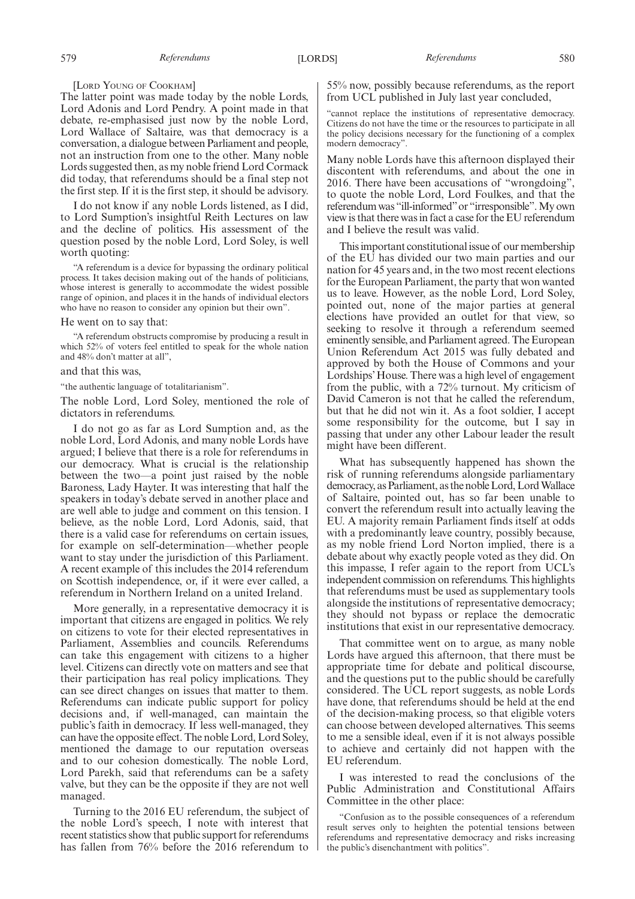[LORD YOUNG OF COOKHAM]

The latter point was made today by the noble Lords, Lord Adonis and Lord Pendry. A point made in that debate, re-emphasised just now by the noble Lord, Lord Wallace of Saltaire, was that democracy is a conversation, a dialogue between Parliament and people, not an instruction from one to the other. Many noble Lords suggested then, as my noble friend Lord Cormack did today, that referendums should be a final step not the first step. If it is the first step, it should be advisory.

I do not know if any noble Lords listened, as I did, to Lord Sumption's insightful Reith Lectures on law and the decline of politics. His assessment of the question posed by the noble Lord, Lord Soley, is well worth quoting:

"A referendum is a device for bypassing the ordinary political process. It takes decision making out of the hands of politicians, whose interest is generally to accommodate the widest possible range of opinion, and places it in the hands of individual electors who have no reason to consider any opinion but their own".

#### He went on to say that:

"A referendum obstructs compromise by producing a result in which 52% of voters feel entitled to speak for the whole nation and 48% don't matter at all",

## and that this was,

"the authentic language of totalitarianism".

The noble Lord, Lord Soley, mentioned the role of dictators in referendums.

I do not go as far as Lord Sumption and, as the noble Lord, Lord Adonis, and many noble Lords have argued; I believe that there is a role for referendums in our democracy. What is crucial is the relationship between the two—a point just raised by the noble Baroness, Lady Hayter. It was interesting that half the speakers in today's debate served in another place and are well able to judge and comment on this tension. I believe, as the noble Lord, Lord Adonis, said, that there is a valid case for referendums on certain issues, for example on self-determination—whether people want to stay under the jurisdiction of this Parliament. A recent example of this includes the 2014 referendum on Scottish independence, or, if it were ever called, a referendum in Northern Ireland on a united Ireland.

More generally, in a representative democracy it is important that citizens are engaged in politics. We rely on citizens to vote for their elected representatives in Parliament, Assemblies and councils. Referendums can take this engagement with citizens to a higher level. Citizens can directly vote on matters and see that their participation has real policy implications. They can see direct changes on issues that matter to them. Referendums can indicate public support for policy decisions and, if well-managed, can maintain the public's faith in democracy. If less well-managed, they can have the opposite effect. The noble Lord, Lord Soley, mentioned the damage to our reputation overseas and to our cohesion domestically. The noble Lord, Lord Parekh, said that referendums can be a safety valve, but they can be the opposite if they are not well managed.

Turning to the 2016 EU referendum, the subject of the noble Lord's speech, I note with interest that recent statistics show that public support for referendums has fallen from 76% before the 2016 referendum to

55% now, possibly because referendums, as the report from UCL published in July last year concluded,

"cannot replace the institutions of representative democracy. Citizens do not have the time or the resources to participate in all the policy decisions necessary for the functioning of a complex modern democracy".

Many noble Lords have this afternoon displayed their discontent with referendums, and about the one in 2016. There have been accusations of "wrongdoing", to quote the noble Lord, Lord Foulkes, and that the referendum was "ill-informed"or "irresponsible". My own view is that there was in fact a case for the EU referendum and I believe the result was valid.

This important constitutional issue of our membership of the EU has divided our two main parties and our nation for 45 years and, in the two most recent elections for the European Parliament, the party that won wanted us to leave. However, as the noble Lord, Lord Soley, pointed out, none of the major parties at general elections have provided an outlet for that view, so seeking to resolve it through a referendum seemed eminently sensible, and Parliament agreed. The European Union Referendum Act 2015 was fully debated and approved by both the House of Commons and your Lordships' House. There was a high level of engagement from the public, with a 72% turnout. My criticism of David Cameron is not that he called the referendum, but that he did not win it. As a foot soldier, I accept some responsibility for the outcome, but I say in passing that under any other Labour leader the result might have been different.

What has subsequently happened has shown the risk of running referendums alongside parliamentary democracy, as Parliament, as the noble Lord, Lord Wallace of Saltaire, pointed out, has so far been unable to convert the referendum result into actually leaving the EU. A majority remain Parliament finds itself at odds with a predominantly leave country, possibly because, as my noble friend Lord Norton implied, there is a debate about why exactly people voted as they did. On this impasse, I refer again to the report from UCL's independent commission on referendums. This highlights that referendums must be used as supplementary tools alongside the institutions of representative democracy; they should not bypass or replace the democratic institutions that exist in our representative democracy.

That committee went on to argue, as many noble Lords have argued this afternoon, that there must be appropriate time for debate and political discourse, and the questions put to the public should be carefully considered. The UCL report suggests, as noble Lords have done, that referendums should be held at the end of the decision-making process, so that eligible voters can choose between developed alternatives. This seems to me a sensible ideal, even if it is not always possible to achieve and certainly did not happen with the EU referendum.

I was interested to read the conclusions of the Public Administration and Constitutional Affairs Committee in the other place:

"Confusion as to the possible consequences of a referendum result serves only to heighten the potential tensions between referendums and representative democracy and risks increasing the public's disenchantment with politics".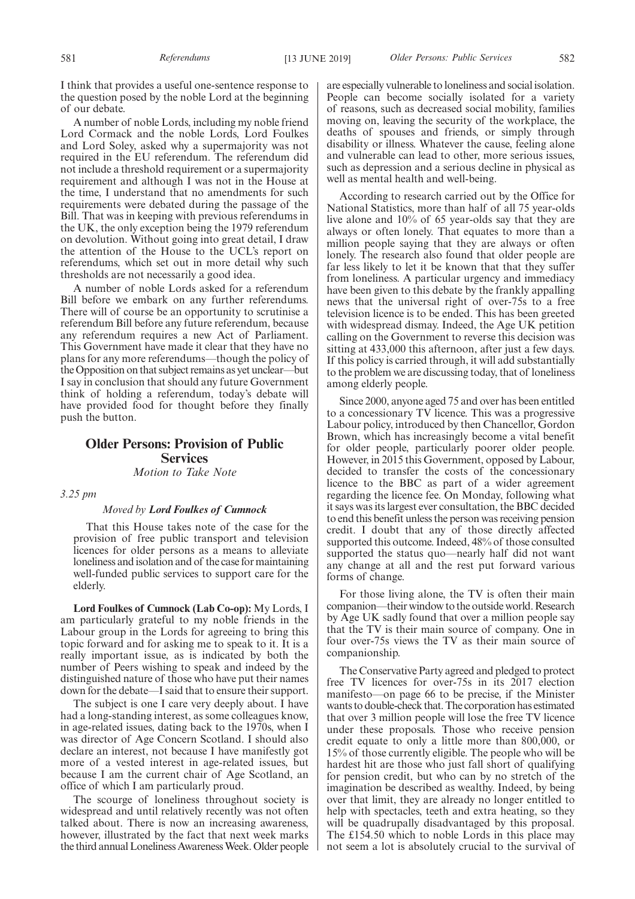I think that provides a useful one-sentence response to the question posed by the noble Lord at the beginning of our debate.

A number of noble Lords, including my noble friend Lord Cormack and the noble Lords, Lord Foulkes and Lord Soley, asked why a supermajority was not required in the EU referendum. The referendum did not include a threshold requirement or a supermajority requirement and although I was not in the House at the time, I understand that no amendments for such requirements were debated during the passage of the Bill. That was in keeping with previous referendums in the UK, the only exception being the 1979 referendum on devolution. Without going into great detail, I draw the attention of the House to the UCL's report on referendums, which set out in more detail why such thresholds are not necessarily a good idea.

A number of noble Lords asked for a referendum Bill before we embark on any further referendums. There will of course be an opportunity to scrutinise a referendum Bill before any future referendum, because any referendum requires a new Act of Parliament. This Government have made it clear that they have no plans for any more referendums—though the policy of the Opposition on that subject remains as yet unclear—but I say in conclusion that should any future Government think of holding a referendum, today's debate will have provided food for thought before they finally push the button.

## **Older Persons: Provision of Public Services**

*Motion to Take Note*

*3.25 pm*

## *Moved by Lord Foulkes of Cumnock*

That this House takes note of the case for the provision of free public transport and television licences for older persons as a means to alleviate loneliness and isolation and of the case for maintaining well-funded public services to support care for the elderly.

**Lord Foulkes of Cumnock (Lab Co-op):** My Lords, I am particularly grateful to my noble friends in the Labour group in the Lords for agreeing to bring this topic forward and for asking me to speak to it. It is a really important issue, as is indicated by both the number of Peers wishing to speak and indeed by the distinguished nature of those who have put their names down for the debate—I said that to ensure their support.

The subject is one I care very deeply about. I have had a long-standing interest, as some colleagues know, in age-related issues, dating back to the 1970s, when I was director of Age Concern Scotland. I should also declare an interest, not because I have manifestly got more of a vested interest in age-related issues, but because I am the current chair of Age Scotland, an office of which I am particularly proud.

The scourge of loneliness throughout society is widespread and until relatively recently was not often talked about. There is now an increasing awareness, however, illustrated by the fact that next week marks the third annual Loneliness Awareness Week. Older people are especially vulnerable to loneliness and social isolation. People can become socially isolated for a variety of reasons, such as decreased social mobility, families moving on, leaving the security of the workplace, the deaths of spouses and friends, or simply through disability or illness. Whatever the cause, feeling alone and vulnerable can lead to other, more serious issues, such as depression and a serious decline in physical as well as mental health and well-being.

According to research carried out by the Office for National Statistics, more than half of all 75 year-olds live alone and 10% of 65 year-olds say that they are always or often lonely. That equates to more than a million people saying that they are always or often lonely. The research also found that older people are far less likely to let it be known that that they suffer from loneliness. A particular urgency and immediacy have been given to this debate by the frankly appalling news that the universal right of over-75s to a free television licence is to be ended. This has been greeted with widespread dismay. Indeed, the Age UK petition calling on the Government to reverse this decision was sitting at 433,000 this afternoon, after just a few days. If this policy is carried through, it will add substantially to the problem we are discussing today, that of loneliness among elderly people.

Since 2000, anyone aged 75 and over has been entitled to a concessionary TV licence. This was a progressive Labour policy, introduced by then Chancellor, Gordon Brown, which has increasingly become a vital benefit for older people, particularly poorer older people. However, in 2015 this Government, opposed by Labour, decided to transfer the costs of the concessionary licence to the BBC as part of a wider agreement regarding the licence fee. On Monday, following what it says was its largest ever consultation, the BBC decided to end this benefit unless the person was receiving pension credit. I doubt that any of those directly affected supported this outcome. Indeed, 48% of those consulted supported the status quo—nearly half did not want any change at all and the rest put forward various forms of change.

For those living alone, the TV is often their main companion—their window to the outside world. Research by Age UK sadly found that over a million people say that the TV is their main source of company. One in four over-75s views the TV as their main source of companionship.

The Conservative Party agreed and pledged to protect free TV licences for over-75s in its 2017 election manifesto—on page 66 to be precise, if the Minister wants to double-check that. The corporation has estimated that over 3 million people will lose the free TV licence under these proposals. Those who receive pension credit equate to only a little more than 800,000, or 15% of those currently eligible. The people who will be hardest hit are those who just fall short of qualifying for pension credit, but who can by no stretch of the imagination be described as wealthy. Indeed, by being over that limit, they are already no longer entitled to help with spectacles, teeth and extra heating, so they will be quadrupally disadvantaged by this proposal. The £154.50 which to noble Lords in this place may not seem a lot is absolutely crucial to the survival of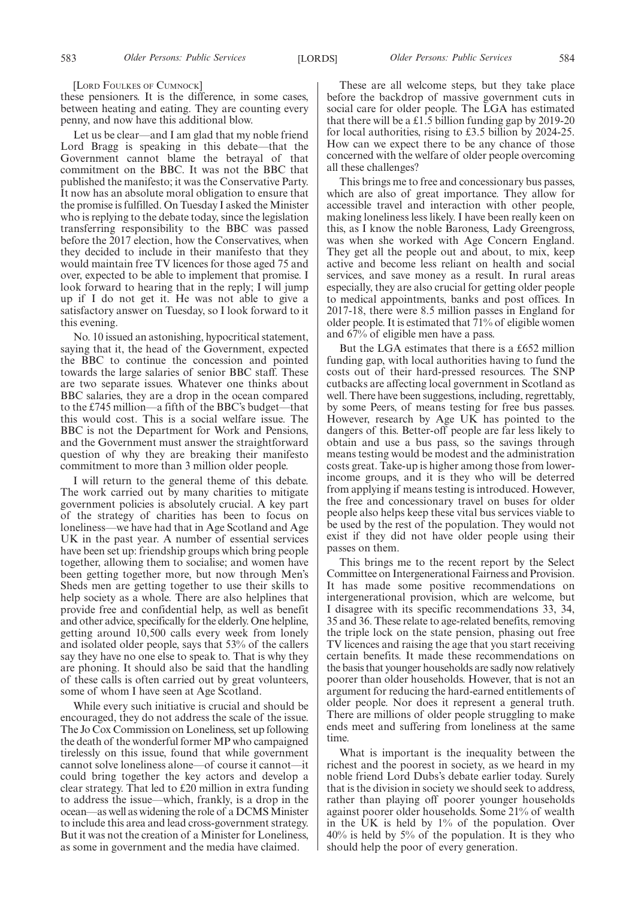[LORD FOULKES OF CUMNOCK]

these pensioners. It is the difference, in some cases, between heating and eating. They are counting every penny, and now have this additional blow.

Let us be clear—and I am glad that my noble friend Lord Bragg is speaking in this debate—that the Government cannot blame the betrayal of that commitment on the BBC. It was not the BBC that published the manifesto; it was the Conservative Party. It now has an absolute moral obligation to ensure that the promise is fulfilled. On Tuesday I asked the Minister who is replying to the debate today, since the legislation transferring responsibility to the BBC was passed before the 2017 election, how the Conservatives, when they decided to include in their manifesto that they would maintain free TV licences for those aged 75 and over, expected to be able to implement that promise. I look forward to hearing that in the reply; I will jump up if I do not get it. He was not able to give a satisfactory answer on Tuesday, so I look forward to it this evening.

No. 10 issued an astonishing, hypocritical statement, saying that it, the head of the Government, expected the BBC to continue the concession and pointed towards the large salaries of senior BBC staff. These are two separate issues. Whatever one thinks about BBC salaries, they are a drop in the ocean compared to the £745 million—a fifth of the BBC's budget—that this would cost. This is a social welfare issue. The BBC is not the Department for Work and Pensions, and the Government must answer the straightforward question of why they are breaking their manifesto commitment to more than 3 million older people.

I will return to the general theme of this debate. The work carried out by many charities to mitigate government policies is absolutely crucial. A key part of the strategy of charities has been to focus on loneliness—we have had that in Age Scotland and Age UK in the past year. A number of essential services have been set up: friendship groups which bring people together, allowing them to socialise; and women have been getting together more, but now through Men's Sheds men are getting together to use their skills to help society as a whole. There are also helplines that provide free and confidential help, as well as benefit and other advice, specifically for the elderly. One helpline, getting around 10,500 calls every week from lonely and isolated older people, says that 53% of the callers say they have no one else to speak to. That is why they are phoning. It should also be said that the handling of these calls is often carried out by great volunteers, some of whom I have seen at Age Scotland.

While every such initiative is crucial and should be encouraged, they do not address the scale of the issue. The Jo Cox Commission on Loneliness, set up following the death of the wonderful former MP who campaigned tirelessly on this issue, found that while government cannot solve loneliness alone—of course it cannot—it could bring together the key actors and develop a clear strategy. That led to £20 million in extra funding to address the issue—which, frankly, is a drop in the ocean—as well as widening the role of a DCMS Minister to include this area and lead cross-government strategy. But it was not the creation of a Minister for Loneliness, as some in government and the media have claimed.

These are all welcome steps, but they take place before the backdrop of massive government cuts in social care for older people. The LGA has estimated that there will be a £1.5 billion funding gap by 2019-20 for local authorities, rising to £3.5 billion by 2024-25. How can we expect there to be any chance of those concerned with the welfare of older people overcoming all these challenges?

This brings me to free and concessionary bus passes, which are also of great importance. They allow for accessible travel and interaction with other people, making loneliness less likely. I have been really keen on this, as I know the noble Baroness, Lady Greengross, was when she worked with Age Concern England. They get all the people out and about, to mix, keep active and become less reliant on health and social services, and save money as a result. In rural areas especially, they are also crucial for getting older people to medical appointments, banks and post offices. In 2017-18, there were 8.5 million passes in England for older people. It is estimated that 71% of eligible women and 67% of eligible men have a pass.

But the LGA estimates that there is a £652 million funding gap, with local authorities having to fund the costs out of their hard-pressed resources. The SNP cutbacks are affecting local government in Scotland as well. There have been suggestions, including, regrettably, by some Peers, of means testing for free bus passes. However, research by Age UK has pointed to the dangers of this. Better-off people are far less likely to obtain and use a bus pass, so the savings through means testing would be modest and the administration costs great. Take-up is higher among those from lowerincome groups, and it is they who will be deterred from applying if means testing is introduced. However, the free and concessionary travel on buses for older people also helps keep these vital bus services viable to be used by the rest of the population. They would not exist if they did not have older people using their passes on them.

This brings me to the recent report by the Select Committee on Intergenerational Fairness and Provision. It has made some positive recommendations on intergenerational provision, which are welcome, but I disagree with its specific recommendations 33, 34, 35 and 36. These relate to age-related benefits, removing the triple lock on the state pension, phasing out free TV licences and raising the age that you start receiving certain benefits. It made these recommendations on the basis that younger households are sadly now relatively poorer than older households. However, that is not an argument for reducing the hard-earned entitlements of older people. Nor does it represent a general truth. There are millions of older people struggling to make ends meet and suffering from loneliness at the same time.

What is important is the inequality between the richest and the poorest in society, as we heard in my noble friend Lord Dubs's debate earlier today. Surely that is the division in society we should seek to address, rather than playing off poorer younger households against poorer older households. Some 21% of wealth in the UK is held by  $1\%$  of the population. Over 40% is held by 5% of the population. It is they who should help the poor of every generation.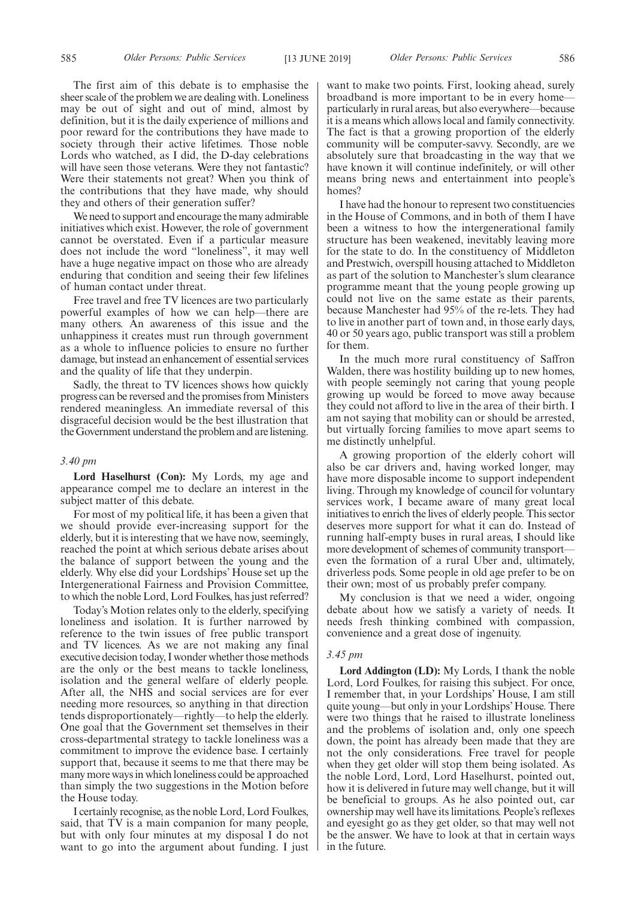The first aim of this debate is to emphasise the sheer scale of the problem we are dealing with. Loneliness may be out of sight and out of mind, almost by definition, but it is the daily experience of millions and poor reward for the contributions they have made to society through their active lifetimes. Those noble Lords who watched, as I did, the D-day celebrations will have seen those veterans. Were they not fantastic? Were their statements not great? When you think of the contributions that they have made, why should they and others of their generation suffer?

We need to support and encourage the many admirable initiatives which exist. However, the role of government cannot be overstated. Even if a particular measure does not include the word "loneliness", it may well have a huge negative impact on those who are already enduring that condition and seeing their few lifelines of human contact under threat.

Free travel and free TV licences are two particularly powerful examples of how we can help—there are many others. An awareness of this issue and the unhappiness it creates must run through government as a whole to influence policies to ensure no further damage, but instead an enhancement of essential services and the quality of life that they underpin.

Sadly, the threat to TV licences shows how quickly progress can be reversed and the promises from Ministers rendered meaningless. An immediate reversal of this disgraceful decision would be the best illustration that the Government understand the problem and are listening.

## *3.40 pm*

**Lord Haselhurst (Con):** My Lords, my age and appearance compel me to declare an interest in the subject matter of this debate.

For most of my political life, it has been a given that we should provide ever-increasing support for the elderly, but it is interesting that we have now, seemingly, reached the point at which serious debate arises about the balance of support between the young and the elderly. Why else did your Lordships' House set up the Intergenerational Fairness and Provision Committee, to which the noble Lord, Lord Foulkes, has just referred?

Today's Motion relates only to the elderly, specifying loneliness and isolation. It is further narrowed by reference to the twin issues of free public transport and TV licences. As we are not making any final executive decision today, I wonder whether those methods are the only or the best means to tackle loneliness, isolation and the general welfare of elderly people. After all, the NHS and social services are for ever needing more resources, so anything in that direction tends disproportionately—rightly—to help the elderly. One goal that the Government set themselves in their cross-departmental strategy to tackle loneliness was a commitment to improve the evidence base. I certainly support that, because it seems to me that there may be many more ways in which loneliness could be approached than simply the two suggestions in the Motion before the House today.

I certainly recognise, as the noble Lord, Lord Foulkes, said, that TV is a main companion for many people, but with only four minutes at my disposal I do not want to go into the argument about funding. I just want to make two points. First, looking ahead, surely broadband is more important to be in every home particularly in rural areas, but also everywhere—because it is a means which allows local and family connectivity. The fact is that a growing proportion of the elderly community will be computer-savvy. Secondly, are we absolutely sure that broadcasting in the way that we have known it will continue indefinitely, or will other means bring news and entertainment into people's homes?

I have had the honour to represent two constituencies in the House of Commons, and in both of them I have been a witness to how the intergenerational family structure has been weakened, inevitably leaving more for the state to do. In the constituency of Middleton and Prestwich, overspill housing attached to Middleton as part of the solution to Manchester's slum clearance programme meant that the young people growing up could not live on the same estate as their parents, because Manchester had 95% of the re-lets. They had to live in another part of town and, in those early days, 40 or 50 years ago, public transport was still a problem for them.

In the much more rural constituency of Saffron Walden, there was hostility building up to new homes, with people seemingly not caring that young people growing up would be forced to move away because they could not afford to live in the area of their birth. I am not saying that mobility can or should be arrested, but virtually forcing families to move apart seems to me distinctly unhelpful.

A growing proportion of the elderly cohort will also be car drivers and, having worked longer, may have more disposable income to support independent living. Through my knowledge of council for voluntary services work, I became aware of many great local initiatives to enrich the lives of elderly people. This sector deserves more support for what it can do. Instead of running half-empty buses in rural areas, I should like more development of schemes of community transport even the formation of a rural Uber and, ultimately, driverless pods. Some people in old age prefer to be on their own; most of us probably prefer company.

My conclusion is that we need a wider, ongoing debate about how we satisfy a variety of needs. It needs fresh thinking combined with compassion, convenience and a great dose of ingenuity.

#### *3.45 pm*

**Lord Addington (LD):** My Lords, I thank the noble Lord, Lord Foulkes, for raising this subject. For once, I remember that, in your Lordships' House, I am still quite young—but only in your Lordships' House. There were two things that he raised to illustrate loneliness and the problems of isolation and, only one speech down, the point has already been made that they are not the only considerations. Free travel for people when they get older will stop them being isolated. As the noble Lord, Lord, Lord Haselhurst, pointed out, how it is delivered in future may well change, but it will be beneficial to groups. As he also pointed out, car ownership may well have its limitations. People's reflexes and eyesight go as they get older, so that may well not be the answer. We have to look at that in certain ways in the future.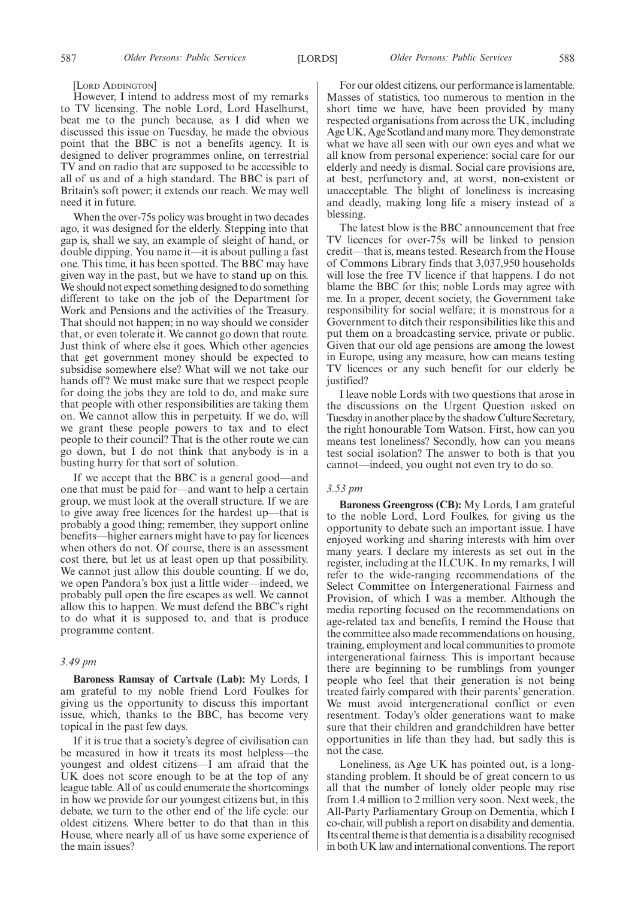[LORD ADDINGTON]

However, I intend to address most of my remarks to TV licensing. The noble Lord, Lord Haselhurst, beat me to the punch because, as I did when we discussed this issue on Tuesday, he made the obvious point that the BBC is not a benefits agency. It is designed to deliver programmes online, on terrestrial TV and on radio that are supposed to be accessible to all of us and of a high standard. The BBC is part of Britain's soft power; it extends our reach. We may well need it in future.

When the over-75s policy was brought in two decades ago, it was designed for the elderly. Stepping into that gap is, shall we say, an example of sleight of hand, or double dipping. You name it—it is about pulling a fast one. This time, it has been spotted. The BBC may have given way in the past, but we have to stand up on this. We should not expect something designed to do something different to take on the job of the Department for Work and Pensions and the activities of the Treasury. That should not happen; in no way should we consider that, or even tolerate it. We cannot go down that route. Just think of where else it goes. Which other agencies that get government money should be expected to subsidise somewhere else? What will we not take our hands off? We must make sure that we respect people for doing the jobs they are told to do, and make sure that people with other responsibilities are taking them on. We cannot allow this in perpetuity. If we do, will we grant these people powers to tax and to elect people to their council? That is the other route we can go down, but I do not think that anybody is in a busting hurry for that sort of solution.

If we accept that the BBC is a general good—and one that must be paid for—and want to help a certain group, we must look at the overall structure. If we are to give away free licences for the hardest up—that is probably a good thing; remember, they support online benefits—higher earners might have to pay for licences when others do not. Of course, there is an assessment cost there, but let us at least open up that possibility. We cannot just allow this double counting. If we do, we open Pandora's box just a little wider—indeed, we probably pull open the fire escapes as well. We cannot allow this to happen. We must defend the BBC's right to do what it is supposed to, and that is produce programme content.

## *3.49 pm*

**Baroness Ramsay of Cartvale (Lab):** My Lords, I am grateful to my noble friend Lord Foulkes for giving us the opportunity to discuss this important issue, which, thanks to the BBC, has become very topical in the past few days.

If it is true that a society's degree of civilisation can be measured in how it treats its most helpless—the youngest and oldest citizens—I am afraid that the UK does not score enough to be at the top of any league table. All of us could enumerate the shortcomings in how we provide for our youngest citizens but, in this debate, we turn to the other end of the life cycle: our oldest citizens. Where better to do that than in this House, where nearly all of us have some experience of the main issues?

For our oldest citizens, our performance is lamentable. Masses of statistics, too numerous to mention in the short time we have, have been provided by many respected organisations from across the UK, including Age UK, Age Scotland and many more. They demonstrate what we have all seen with our own eyes and what we all know from personal experience: social care for our elderly and needy is dismal. Social care provisions are, at best, perfunctory and, at worst, non-existent or unacceptable. The blight of loneliness is increasing and deadly, making long life a misery instead of a blessing.

The latest blow is the BBC announcement that free TV licences for over-75s will be linked to pension credit—that is, means tested. Research from the House of Commons Library finds that 3,037,950 households will lose the free TV licence if that happens. I do not blame the BBC for this; noble Lords may agree with me. In a proper, decent society, the Government take responsibility for social welfare; it is monstrous for a Government to ditch their responsibilities like this and put them on a broadcasting service, private or public. Given that our old age pensions are among the lowest in Europe, using any measure, how can means testing TV licences or any such benefit for our elderly be justified?

I leave noble Lords with two questions that arose in the discussions on the Urgent Question asked on Tuesday in another place by the shadow Culture Secretary, the right honourable Tom Watson. First, how can you means test loneliness? Secondly, how can you means test social isolation? The answer to both is that you cannot—indeed, you ought not even try to do so.

## *3.53 pm*

**Baroness Greengross (CB):** My Lords, I am grateful to the noble Lord, Lord Foulkes, for giving us the opportunity to debate such an important issue. I have enjoyed working and sharing interests with him over many years. I declare my interests as set out in the register, including at the ILCUK. In my remarks, I will refer to the wide-ranging recommendations of the Select Committee on Intergenerational Fairness and Provision, of which I was a member. Although the media reporting focused on the recommendations on age-related tax and benefits, I remind the House that the committee also made recommendations on housing, training, employment and local communities to promote intergenerational fairness. This is important because there are beginning to be rumblings from younger people who feel that their generation is not being treated fairly compared with their parents' generation. We must avoid intergenerational conflict or even resentment. Today's older generations want to make sure that their children and grandchildren have better opportunities in life than they had, but sadly this is not the case.

Loneliness, as Age UK has pointed out, is a longstanding problem. It should be of great concern to us all that the number of lonely older people may rise from 1.4 million to 2 million very soon. Next week, the All-Party Parliamentary Group on Dementia, which I co-chair, will publish a report on disability and dementia. Its central theme is that dementia is a disability recognised in both UK law and international conventions. The report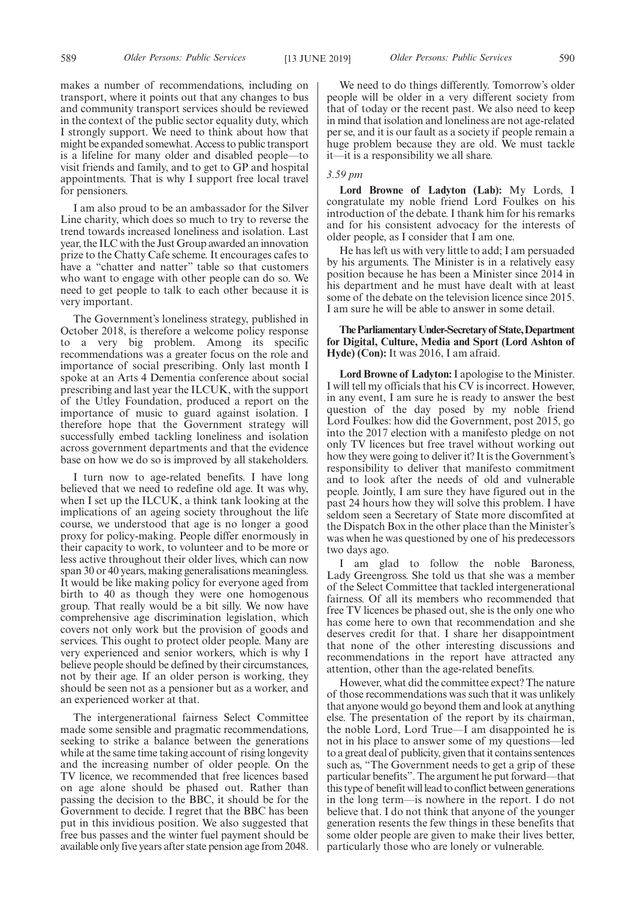makes a number of recommendations, including on transport, where it points out that any changes to bus and community transport services should be reviewed in the context of the public sector equality duty, which I strongly support. We need to think about how that might be expanded somewhat. Access to public transport is a lifeline for many older and disabled people—to visit friends and family, and to get to GP and hospital appointments. That is why I support free local travel for pensioners.

I am also proud to be an ambassador for the Silver Line charity, which does so much to try to reverse the trend towards increased loneliness and isolation. Last year, the ILC with the Just Group awarded an innovation prize to the Chatty Cafe scheme. It encourages cafes to have a "chatter and natter" table so that customers who want to engage with other people can do so. We need to get people to talk to each other because it is very important.

The Government's loneliness strategy, published in October 2018, is therefore a welcome policy response to a very big problem. Among its specific recommendations was a greater focus on the role and importance of social prescribing. Only last month I spoke at an Arts 4 Dementia conference about social prescribing and last year the ILCUK, with the support of the Utley Foundation, produced a report on the importance of music to guard against isolation. I therefore hope that the Government strategy will successfully embed tackling loneliness and isolation across government departments and that the evidence base on how we do so is improved by all stakeholders.

I turn now to age-related benefits. I have long believed that we need to redefine old age. It was why, when I set up the ILCUK, a think tank looking at the implications of an ageing society throughout the life course, we understood that age is no longer a good proxy for policy-making. People differ enormously in their capacity to work, to volunteer and to be more or less active throughout their older lives, which can now span 30 or 40 years, making generalisations meaningless. It would be like making policy for everyone aged from birth to 40 as though they were one homogenous group. That really would be a bit silly. We now have comprehensive age discrimination legislation, which covers not only work but the provision of goods and services. This ought to protect older people. Many are very experienced and senior workers, which is why I believe people should be defined by their circumstances, not by their age. If an older person is working, they should be seen not as a pensioner but as a worker, and an experienced worker at that.

The intergenerational fairness Select Committee made some sensible and pragmatic recommendations, seeking to strike a balance between the generations while at the same time taking account of rising longevity and the increasing number of older people. On the TV licence, we recommended that free licences based on age alone should be phased out. Rather than passing the decision to the BBC, it should be for the Government to decide. I regret that the BBC has been put in this invidious position. We also suggested that free bus passes and the winter fuel payment should be available only five years after state pension age from 2048.

We need to do things differently. Tomorrow's older people will be older in a very different society from that of today or the recent past. We also need to keep in mind that isolation and loneliness are not age-related per se, and it is our fault as a society if people remain a huge problem because they are old. We must tackle it—it is a responsibility we all share.

## *3.59 pm*

**Lord Browne of Ladyton (Lab):** My Lords, I congratulate my noble friend Lord Foulkes on his introduction of the debate. I thank him for his remarks and for his consistent advocacy for the interests of older people, as I consider that I am one.

He has left us with very little to add; I am persuaded by his arguments. The Minister is in a relatively easy position because he has been a Minister since 2014 in his department and he must have dealt with at least some of the debate on the television licence since 2015. I am sure he will be able to answer in some detail.

## **TheParliamentaryUnder-Secretaryof State,Department for Digital, Culture, Media and Sport (Lord Ashton of Hyde) (Con):** It was 2016, I am afraid.

**Lord Browne of Ladyton:**I apologise to the Minister. I will tell my officials that his CV is incorrect. However, in any event, I am sure he is ready to answer the best question of the day posed by my noble friend Lord Foulkes: how did the Government, post 2015, go into the 2017 election with a manifesto pledge on not only TV licences but free travel without working out how they were going to deliver it? It is the Government's responsibility to deliver that manifesto commitment and to look after the needs of old and vulnerable people. Jointly, I am sure they have figured out in the past 24 hours how they will solve this problem. I have seldom seen a Secretary of State more discomfited at the Dispatch Box in the other place than the Minister's was when he was questioned by one of his predecessors two days ago.

I am glad to follow the noble Baroness, Lady Greengross. She told us that she was a member of the Select Committee that tackled intergenerational fairness. Of all its members who recommended that free TV licences be phased out, she is the only one who has come here to own that recommendation and she deserves credit for that. I share her disappointment that none of the other interesting discussions and recommendations in the report have attracted any attention, other than the age-related benefits.

However, what did the committee expect? The nature of those recommendations was such that it was unlikely that anyone would go beyond them and look at anything else. The presentation of the report by its chairman, the noble Lord, Lord True—I am disappointed he is not in his place to answer some of my questions—led to a great deal of publicity, given that it contains sentences such as, "The Government needs to get a grip of these particular benefits". The argument he put forward—that this type of benefit will lead to conflict between generations in the long term—is nowhere in the report. I do not believe that. I do not think that anyone of the younger generation resents the few things in these benefits that some older people are given to make their lives better, particularly those who are lonely or vulnerable.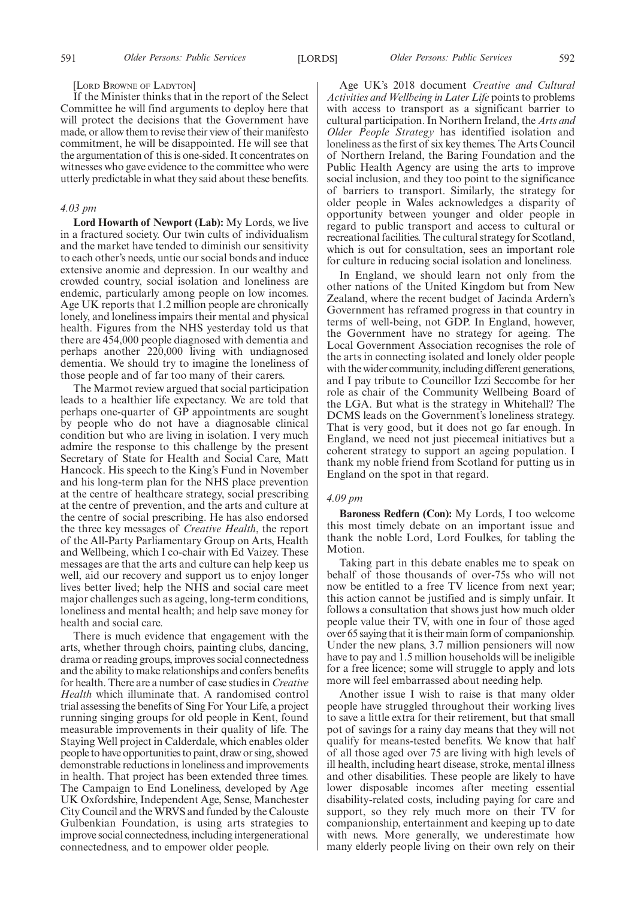[LORD BROWNE OF LADYTON]

If the Minister thinks that in the report of the Select Committee he will find arguments to deploy here that will protect the decisions that the Government have made, or allow them to revise their view of their manifesto commitment, he will be disappointed. He will see that the argumentation of this is one-sided. It concentrates on witnesses who gave evidence to the committee who were utterly predictable in what they said about these benefits.

#### *4.03 pm*

**Lord Howarth of Newport (Lab):** My Lords, we live in a fractured society. Our twin cults of individualism and the market have tended to diminish our sensitivity to each other's needs, untie our social bonds and induce extensive anomie and depression. In our wealthy and crowded country, social isolation and loneliness are endemic, particularly among people on low incomes. Age UK reports that 1.2 million people are chronically lonely, and loneliness impairs their mental and physical health. Figures from the NHS yesterday told us that there are 454,000 people diagnosed with dementia and perhaps another 220,000 living with undiagnosed dementia. We should try to imagine the loneliness of those people and of far too many of their carers.

The Marmot review argued that social participation leads to a healthier life expectancy. We are told that perhaps one-quarter of GP appointments are sought by people who do not have a diagnosable clinical condition but who are living in isolation. I very much admire the response to this challenge by the present Secretary of State for Health and Social Care, Matt Hancock. His speech to the King's Fund in November and his long-term plan for the NHS place prevention at the centre of healthcare strategy, social prescribing at the centre of prevention, and the arts and culture at the centre of social prescribing. He has also endorsed the three key messages of *Creative Health*, the report of the All-Party Parliamentary Group on Arts, Health and Wellbeing, which I co-chair with Ed Vaizey. These messages are that the arts and culture can help keep us well, aid our recovery and support us to enjoy longer lives better lived; help the NHS and social care meet major challenges such as ageing, long-term conditions, loneliness and mental health; and help save money for health and social care.

There is much evidence that engagement with the arts, whether through choirs, painting clubs, dancing, drama or reading groups, improves social connectedness and the ability to make relationships and confers benefits for health. There are a number of case studies in *Creative Health* which illuminate that. A randomised control trial assessing the benefits of Sing For Your Life, a project running singing groups for old people in Kent, found measurable improvements in their quality of life. The Staying Well project in Calderdale, which enables older people to have opportunities to paint, draw or sing, showed demonstrable reductions in loneliness and improvements in health. That project has been extended three times. The Campaign to End Loneliness, developed by Age UK Oxfordshire, Independent Age, Sense, Manchester City Council and the WRVS and funded by the Calouste Gulbenkian Foundation, is using arts strategies to improve social connectedness, including intergenerational connectedness, and to empower older people.

Age UK's 2018 document *Creative and Cultural Activities and Wellbeing in Later Life* points to problems with access to transport as a significant barrier to cultural participation. In Northern Ireland, the *Arts and Older People Strategy* has identified isolation and loneliness as the first of six key themes. The Arts Council of Northern Ireland, the Baring Foundation and the Public Health Agency are using the arts to improve social inclusion, and they too point to the significance of barriers to transport. Similarly, the strategy for older people in Wales acknowledges a disparity of opportunity between younger and older people in regard to public transport and access to cultural or recreational facilities. The cultural strategy for Scotland, which is out for consultation, sees an important role for culture in reducing social isolation and loneliness.

In England, we should learn not only from the other nations of the United Kingdom but from New Zealand, where the recent budget of Jacinda Ardern's Government has reframed progress in that country in terms of well-being, not GDP. In England, however, the Government have no strategy for ageing. The Local Government Association recognises the role of the arts in connecting isolated and lonely older people with the wider community, including different generations, and I pay tribute to Councillor Izzi Seccombe for her role as chair of the Community Wellbeing Board of the LGA. But what is the strategy in Whitehall? The DCMS leads on the Government's loneliness strategy. That is very good, but it does not go far enough. In England, we need not just piecemeal initiatives but a coherent strategy to support an ageing population. I thank my noble friend from Scotland for putting us in England on the spot in that regard.

### *4.09 pm*

**Baroness Redfern (Con):** My Lords, I too welcome this most timely debate on an important issue and thank the noble Lord, Lord Foulkes, for tabling the Motion.

Taking part in this debate enables me to speak on behalf of those thousands of over-75s who will not now be entitled to a free TV licence from next year; this action cannot be justified and is simply unfair. It follows a consultation that shows just how much older people value their TV, with one in four of those aged over 65 saying that it is their main form of companionship. Under the new plans, 3.7 million pensioners will now have to pay and 1.5 million households will be ineligible for a free licence; some will struggle to apply and lots more will feel embarrassed about needing help.

Another issue I wish to raise is that many older people have struggled throughout their working lives to save a little extra for their retirement, but that small pot of savings for a rainy day means that they will not qualify for means-tested benefits. We know that half of all those aged over 75 are living with high levels of ill health, including heart disease, stroke, mental illness and other disabilities. These people are likely to have lower disposable incomes after meeting essential disability-related costs, including paying for care and support, so they rely much more on their TV for companionship, entertainment and keeping up to date with news. More generally, we underestimate how many elderly people living on their own rely on their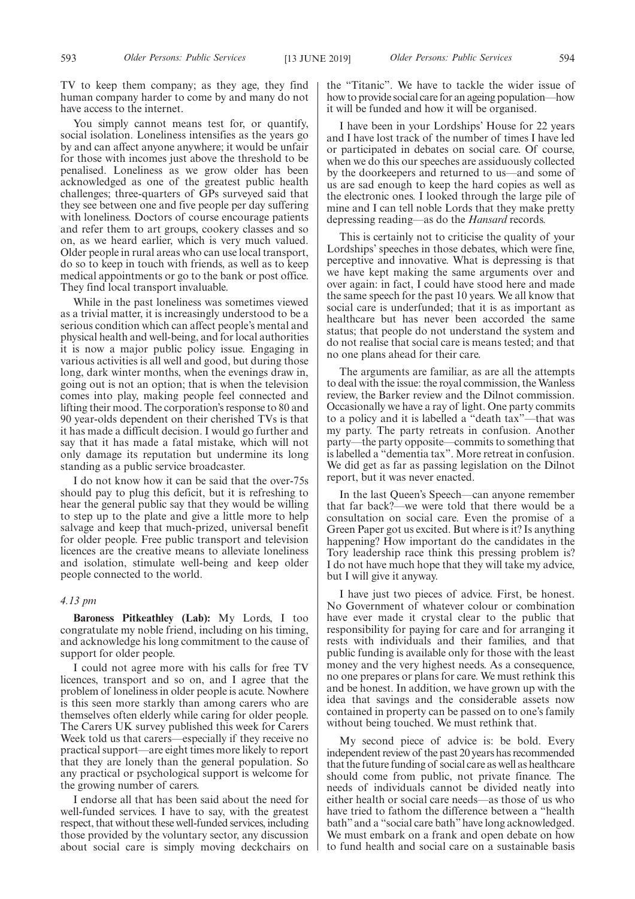TV to keep them company; as they age, they find human company harder to come by and many do not have access to the internet.

You simply cannot means test for, or quantify, social isolation. Loneliness intensifies as the years go by and can affect anyone anywhere; it would be unfair for those with incomes just above the threshold to be penalised. Loneliness as we grow older has been acknowledged as one of the greatest public health challenges; three-quarters of GPs surveyed said that they see between one and five people per day suffering with loneliness. Doctors of course encourage patients and refer them to art groups, cookery classes and so on, as we heard earlier, which is very much valued. Older people in rural areas who can use local transport, do so to keep in touch with friends, as well as to keep medical appointments or go to the bank or post office. They find local transport invaluable.

While in the past loneliness was sometimes viewed as a trivial matter, it is increasingly understood to be a serious condition which can affect people's mental and physical health and well-being, and for local authorities it is now a major public policy issue. Engaging in various activities is all well and good, but during those long, dark winter months, when the evenings draw in, going out is not an option; that is when the television comes into play, making people feel connected and lifting their mood. The corporation's response to 80 and 90 year-olds dependent on their cherished TVs is that it has made a difficult decision. I would go further and say that it has made a fatal mistake, which will not only damage its reputation but undermine its long standing as a public service broadcaster.

I do not know how it can be said that the over-75s should pay to plug this deficit, but it is refreshing to hear the general public say that they would be willing to step up to the plate and give a little more to help salvage and keep that much-prized, universal benefit for older people. Free public transport and television licences are the creative means to alleviate loneliness and isolation, stimulate well-being and keep older people connected to the world.

## *4.13 pm*

**Baroness Pitkeathley (Lab):** My Lords, I too congratulate my noble friend, including on his timing, and acknowledge his long commitment to the cause of support for older people.

I could not agree more with his calls for free TV licences, transport and so on, and I agree that the problem of loneliness in older people is acute. Nowhere is this seen more starkly than among carers who are themselves often elderly while caring for older people. The Carers UK survey published this week for Carers Week told us that carers—especially if they receive no practical support—are eight times more likely to report that they are lonely than the general population. So any practical or psychological support is welcome for the growing number of carers.

I endorse all that has been said about the need for well-funded services. I have to say, with the greatest respect, that without these well-funded services, including those provided by the voluntary sector, any discussion about social care is simply moving deckchairs on the "Titanic". We have to tackle the wider issue of how to provide social care for an ageing population—how it will be funded and how it will be organised.

I have been in your Lordships' House for 22 years and I have lost track of the number of times I have led or participated in debates on social care. Of course, when we do this our speeches are assiduously collected by the doorkeepers and returned to us—and some of us are sad enough to keep the hard copies as well as the electronic ones. I looked through the large pile of mine and I can tell noble Lords that they make pretty depressing reading—as do the *Hansard* records.

This is certainly not to criticise the quality of your Lordships' speeches in those debates, which were fine, perceptive and innovative. What is depressing is that we have kept making the same arguments over and over again: in fact, I could have stood here and made the same speech for the past 10 years. We all know that social care is underfunded; that it is as important as healthcare but has never been accorded the same status; that people do not understand the system and do not realise that social care is means tested; and that no one plans ahead for their care.

The arguments are familiar, as are all the attempts to deal with the issue: the royal commission, the Wanless review, the Barker review and the Dilnot commission. Occasionally we have a ray of light. One party commits to a policy and it is labelled a "death tax"—that was my party. The party retreats in confusion. Another party—the party opposite—commits to something that is labelled a "dementia tax". More retreat in confusion. We did get as far as passing legislation on the Dilnot report, but it was never enacted.

In the last Queen's Speech—can anyone remember that far back?—we were told that there would be a consultation on social care. Even the promise of a Green Paper got us excited. But where is it? Is anything happening? How important do the candidates in the Tory leadership race think this pressing problem is? I do not have much hope that they will take my advice, but I will give it anyway.

I have just two pieces of advice. First, be honest. No Government of whatever colour or combination have ever made it crystal clear to the public that responsibility for paying for care and for arranging it rests with individuals and their families, and that public funding is available only for those with the least money and the very highest needs. As a consequence, no one prepares or plans for care. We must rethink this and be honest. In addition, we have grown up with the idea that savings and the considerable assets now contained in property can be passed on to one's family without being touched. We must rethink that.

My second piece of advice is: be bold. Every independent review of the past 20 years has recommended that the future funding of social care as well as healthcare should come from public, not private finance. The needs of individuals cannot be divided neatly into either health or social care needs—as those of us who have tried to fathom the difference between a "health bath" and a "social care bath" have long acknowledged. We must embark on a frank and open debate on how to fund health and social care on a sustainable basis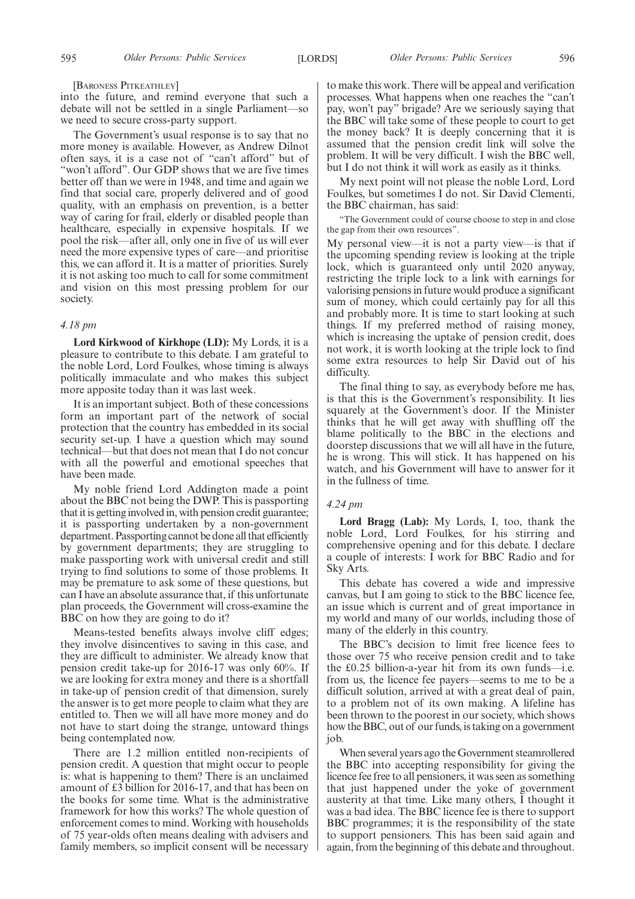#### [BARONESS PITKEATHLEY]

into the future, and remind everyone that such a debate will not be settled in a single Parliament—so we need to secure cross-party support.

The Government's usual response is to say that no more money is available. However, as Andrew Dilnot often says, it is a case not of "can't afford" but of "won't afford". Our GDP shows that we are five times better off than we were in 1948, and time and again we find that social care, properly delivered and of good quality, with an emphasis on prevention, is a better way of caring for frail, elderly or disabled people than healthcare, especially in expensive hospitals. If we pool the risk—after all, only one in five of us will ever need the more expensive types of care—and prioritise this, we can afford it. It is a matter of priorities. Surely it is not asking too much to call for some commitment and vision on this most pressing problem for our society.

#### *4.18 pm*

**Lord Kirkwood of Kirkhope (LD):** My Lords, it is a pleasure to contribute to this debate. I am grateful to the noble Lord, Lord Foulkes, whose timing is always politically immaculate and who makes this subject more apposite today than it was last week.

It is an important subject. Both of these concessions form an important part of the network of social protection that the country has embedded in its social security set-up. I have a question which may sound technical—but that does not mean that I do not concur with all the powerful and emotional speeches that have been made.

My noble friend Lord Addington made a point about the BBC not being the DWP. This is passporting that it is getting involved in, with pension credit guarantee; it is passporting undertaken by a non-government department. Passporting cannot be done all that efficiently by government departments; they are struggling to make passporting work with universal credit and still trying to find solutions to some of those problems. It may be premature to ask some of these questions, but can I have an absolute assurance that, if this unfortunate plan proceeds, the Government will cross-examine the BBC on how they are going to do it?

Means-tested benefits always involve cliff edges; they involve disincentives to saving in this case, and they are difficult to administer. We already know that pension credit take-up for 2016-17 was only 60%. If we are looking for extra money and there is a shortfall in take-up of pension credit of that dimension, surely the answer is to get more people to claim what they are entitled to. Then we will all have more money and do not have to start doing the strange, untoward things being contemplated now.

There are 1.2 million entitled non-recipients of pension credit. A question that might occur to people is: what is happening to them? There is an unclaimed amount of £3 billion for 2016-17, and that has been on the books for some time. What is the administrative framework for how this works? The whole question of enforcement comes to mind. Working with households of 75 year-olds often means dealing with advisers and family members, so implicit consent will be necessary to make this work. There will be appeal and verification processes. What happens when one reaches the "can't pay, won't pay" brigade? Are we seriously saying that the BBC will take some of these people to court to get the money back? It is deeply concerning that it is assumed that the pension credit link will solve the problem. It will be very difficult. I wish the BBC well, but I do not think it will work as easily as it thinks.

My next point will not please the noble Lord, Lord Foulkes, but sometimes I do not. Sir David Clementi, the BBC chairman, has said:

"The Government could of course choose to step in and close the gap from their own resources".

My personal view—it is not a party view—is that if the upcoming spending review is looking at the triple lock, which is guaranteed only until 2020 anyway, restricting the triple lock to a link with earnings for valorising pensions in future would produce a significant sum of money, which could certainly pay for all this and probably more. It is time to start looking at such things. If my preferred method of raising money, which is increasing the uptake of pension credit, does not work, it is worth looking at the triple lock to find some extra resources to help Sir David out of his difficulty.

The final thing to say, as everybody before me has, is that this is the Government's responsibility. It lies squarely at the Government's door. If the Minister thinks that he will get away with shuffling off the blame politically to the BBC in the elections and doorstep discussions that we will all have in the future, he is wrong. This will stick. It has happened on his watch, and his Government will have to answer for it in the fullness of time.

## *4.24 pm*

**Lord Bragg (Lab):** My Lords, I, too, thank the noble Lord, Lord Foulkes, for his stirring and comprehensive opening and for this debate. I declare a couple of interests: I work for BBC Radio and for Sky Arts.

This debate has covered a wide and impressive canvas, but I am going to stick to the BBC licence fee, an issue which is current and of great importance in my world and many of our worlds, including those of many of the elderly in this country.

The BBC's decision to limit free licence fees to those over 75 who receive pension credit and to take the £0.25 billion-a-year hit from its own funds—i.e. from us, the licence fee payers—seems to me to be a difficult solution, arrived at with a great deal of pain, to a problem not of its own making. A lifeline has been thrown to the poorest in our society, which shows how the BBC, out of our funds, is taking on a government job.

When several years ago the Government steamrollered the BBC into accepting responsibility for giving the licence fee free to all pensioners, it was seen as something that just happened under the yoke of government austerity at that time. Like many others, I thought it was a bad idea. The BBC licence fee is there to support BBC programmes; it is the responsibility of the state to support pensioners. This has been said again and again, from the beginning of this debate and throughout.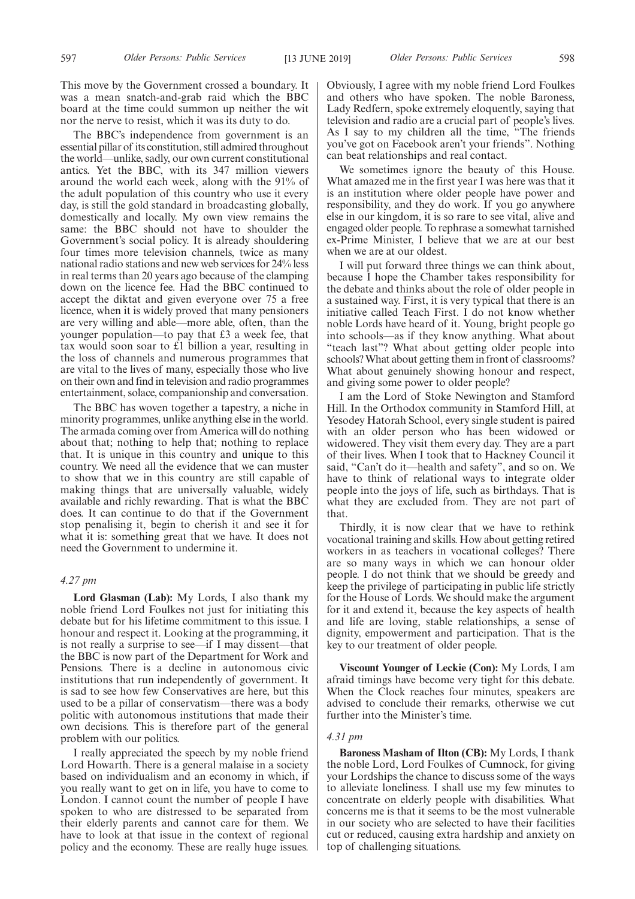The BBC's independence from government is an essential pillar of its constitution, still admired throughout the world—unlike, sadly, our own current constitutional antics. Yet the BBC, with its 347 million viewers around the world each week, along with the 91% of the adult population of this country who use it every day, is still the gold standard in broadcasting globally, domestically and locally. My own view remains the same: the BBC should not have to shoulder the Government's social policy. It is already shouldering four times more television channels, twice as many national radio stations and new web services for 24% less in real terms than 20 years ago because of the clamping down on the licence fee. Had the BBC continued to accept the diktat and given everyone over 75 a free licence, when it is widely proved that many pensioners are very willing and able—more able, often, than the younger population—to pay that £3 a week fee, that tax would soon soar to £1 billion a year, resulting in the loss of channels and numerous programmes that are vital to the lives of many, especially those who live on their own and find in television and radio programmes entertainment, solace, companionship and conversation.

The BBC has woven together a tapestry, a niche in minority programmes, unlike anything else in the world. The armada coming over from America will do nothing about that; nothing to help that; nothing to replace that. It is unique in this country and unique to this country. We need all the evidence that we can muster to show that we in this country are still capable of making things that are universally valuable, widely available and richly rewarding. That is what the BBC does. It can continue to do that if the Government stop penalising it, begin to cherish it and see it for what it is: something great that we have. It does not need the Government to undermine it.

## *4.27 pm*

**Lord Glasman (Lab):** My Lords, I also thank my noble friend Lord Foulkes not just for initiating this debate but for his lifetime commitment to this issue. I honour and respect it. Looking at the programming, it is not really a surprise to see—if I may dissent—that the BBC is now part of the Department for Work and Pensions. There is a decline in autonomous civic institutions that run independently of government. It is sad to see how few Conservatives are here, but this used to be a pillar of conservatism—there was a body politic with autonomous institutions that made their own decisions. This is therefore part of the general problem with our politics.

I really appreciated the speech by my noble friend Lord Howarth. There is a general malaise in a society based on individualism and an economy in which, if you really want to get on in life, you have to come to London. I cannot count the number of people I have spoken to who are distressed to be separated from their elderly parents and cannot care for them. We have to look at that issue in the context of regional policy and the economy. These are really huge issues.

Obviously, I agree with my noble friend Lord Foulkes and others who have spoken. The noble Baroness, Lady Redfern, spoke extremely eloquently, saying that television and radio are a crucial part of people's lives. As I say to my children all the time, "The friends you've got on Facebook aren't your friends". Nothing can beat relationships and real contact.

We sometimes ignore the beauty of this House. What amazed me in the first year I was here was that it is an institution where older people have power and responsibility, and they do work. If you go anywhere else in our kingdom, it is so rare to see vital, alive and engaged older people. To rephrase a somewhat tarnished ex-Prime Minister, I believe that we are at our best when we are at our oldest.

I will put forward three things we can think about, because I hope the Chamber takes responsibility for the debate and thinks about the role of older people in a sustained way. First, it is very typical that there is an initiative called Teach First. I do not know whether noble Lords have heard of it. Young, bright people go into schools—as if they know anything. What about "teach last"? What about getting older people into schools? What about getting them in front of classrooms? What about genuinely showing honour and respect, and giving some power to older people?

I am the Lord of Stoke Newington and Stamford Hill. In the Orthodox community in Stamford Hill, at Yesodey Hatorah School, every single student is paired with an older person who has been widowed or widowered. They visit them every day. They are a part of their lives. When I took that to Hackney Council it said, "Can't do it—health and safety", and so on. We have to think of relational ways to integrate older people into the joys of life, such as birthdays. That is what they are excluded from. They are not part of that.

Thirdly, it is now clear that we have to rethink vocational training and skills. How about getting retired workers in as teachers in vocational colleges? There are so many ways in which we can honour older people. I do not think that we should be greedy and keep the privilege of participating in public life strictly for the House of Lords. We should make the argument for it and extend it, because the key aspects of health and life are loving, stable relationships, a sense of dignity, empowerment and participation. That is the key to our treatment of older people.

**Viscount Younger of Leckie (Con):** My Lords, I am afraid timings have become very tight for this debate. When the Clock reaches four minutes, speakers are advised to conclude their remarks, otherwise we cut further into the Minister's time.

#### *4.31 pm*

**Baroness Masham of Ilton (CB):** My Lords, I thank the noble Lord, Lord Foulkes of Cumnock, for giving your Lordships the chance to discuss some of the ways to alleviate loneliness. I shall use my few minutes to concentrate on elderly people with disabilities. What concerns me is that it seems to be the most vulnerable in our society who are selected to have their facilities cut or reduced, causing extra hardship and anxiety on top of challenging situations.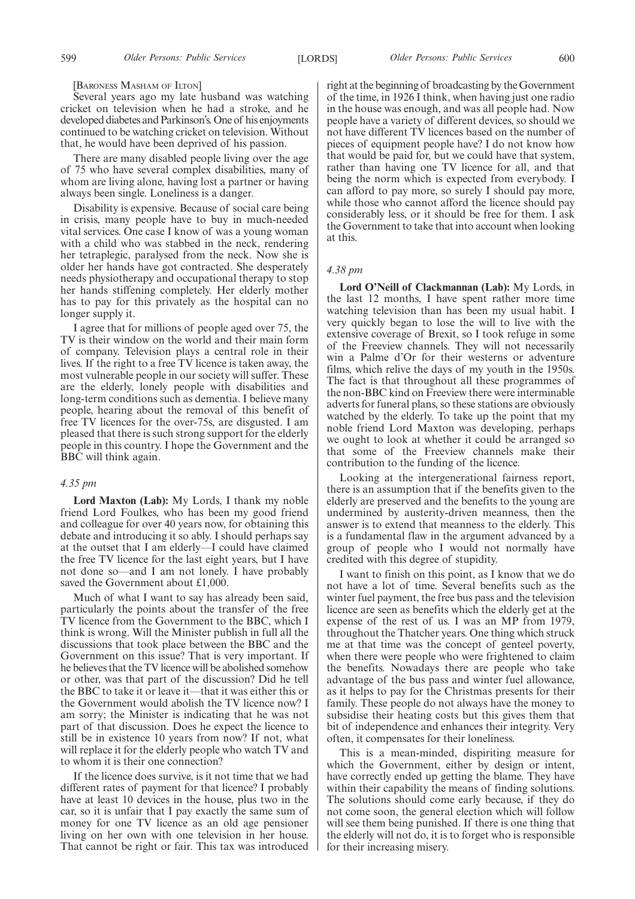599 *Older Persons: Public Services Older Persons: Public Services* [LORDS] 600

[BARONESS MASHAM OF ILTON]

Several years ago my late husband was watching cricket on television when he had a stroke, and he developed diabetes and Parkinson's. One of his enjoyments continued to be watching cricket on television. Without that, he would have been deprived of his passion.

There are many disabled people living over the age of 75 who have several complex disabilities, many of whom are living alone, having lost a partner or having always been single. Loneliness is a danger.

Disability is expensive. Because of social care being in crisis, many people have to buy in much-needed vital services. One case I know of was a young woman with a child who was stabbed in the neck, rendering her tetraplegic, paralysed from the neck. Now she is older her hands have got contracted. She desperately needs physiotherapy and occupational therapy to stop her hands stiffening completely. Her elderly mother has to pay for this privately as the hospital can no longer supply it.

I agree that for millions of people aged over 75, the TV is their window on the world and their main form of company. Television plays a central role in their lives. If the right to a free TV licence is taken away, the most vulnerable people in our society will suffer. These are the elderly, lonely people with disabilities and long-term conditions such as dementia. I believe many people, hearing about the removal of this benefit of free TV licences for the over-75s, are disgusted. I am pleased that there is such strong support for the elderly people in this country. I hope the Government and the BBC will think again.

## *4.35 pm*

**Lord Maxton (Lab):** My Lords, I thank my noble friend Lord Foulkes, who has been my good friend and colleague for over 40 years now, for obtaining this debate and introducing it so ably. I should perhaps say at the outset that I am elderly—I could have claimed the free TV licence for the last eight years, but I have not done so—and I am not lonely. I have probably saved the Government about £1,000.

Much of what I want to say has already been said, particularly the points about the transfer of the free TV licence from the Government to the BBC, which I think is wrong. Will the Minister publish in full all the discussions that took place between the BBC and the Government on this issue? That is very important. If he believes that the TV licence will be abolished somehow or other, was that part of the discussion? Did he tell the BBC to take it or leave it—that it was either this or the Government would abolish the TV licence now? I am sorry; the Minister is indicating that he was not part of that discussion. Does he expect the licence to still be in existence 10 years from now? If not, what will replace it for the elderly people who watch TV and to whom it is their one connection?

If the licence does survive, is it not time that we had different rates of payment for that licence? I probably have at least 10 devices in the house, plus two in the car, so it is unfair that I pay exactly the same sum of money for one TV licence as an old age pensioner living on her own with one television in her house. That cannot be right or fair. This tax was introduced

right at the beginning of broadcasting by the Government of the time, in 1926 I think, when having just one radio in the house was enough, and was all people had. Now people have a variety of different devices, so should we not have different TV licences based on the number of pieces of equipment people have? I do not know how that would be paid for, but we could have that system, rather than having one TV licence for all, and that being the norm which is expected from everybody. I can afford to pay more, so surely I should pay more, while those who cannot afford the licence should pay considerably less, or it should be free for them. I ask the Government to take that into account when looking at this.

#### *4.38 pm*

**Lord O'Neill of Clackmannan (Lab):** My Lords, in the last 12 months, I have spent rather more time watching television than has been my usual habit. I very quickly began to lose the will to live with the extensive coverage of Brexit, so I took refuge in some of the Freeview channels. They will not necessarily win a Palme d'Or for their westerns or adventure films, which relive the days of my youth in the 1950s. The fact is that throughout all these programmes of the non-BBC kind on Freeview there were interminable adverts for funeral plans, so these stations are obviously watched by the elderly. To take up the point that my noble friend Lord Maxton was developing, perhaps we ought to look at whether it could be arranged so that some of the Freeview channels make their contribution to the funding of the licence.

Looking at the intergenerational fairness report, there is an assumption that if the benefits given to the elderly are preserved and the benefits to the young are undermined by austerity-driven meanness, then the answer is to extend that meanness to the elderly. This is a fundamental flaw in the argument advanced by a group of people who I would not normally have credited with this degree of stupidity.

I want to finish on this point, as I know that we do not have a lot of time. Several benefits such as the winter fuel payment, the free bus pass and the television licence are seen as benefits which the elderly get at the expense of the rest of us. I was an MP from 1979, throughout the Thatcher years. One thing which struck me at that time was the concept of genteel poverty, when there were people who were frightened to claim the benefits. Nowadays there are people who take advantage of the bus pass and winter fuel allowance, as it helps to pay for the Christmas presents for their family. These people do not always have the money to subsidise their heating costs but this gives them that bit of independence and enhances their integrity. Very often, it compensates for their loneliness.

This is a mean-minded, dispiriting measure for which the Government, either by design or intent, have correctly ended up getting the blame. They have within their capability the means of finding solutions. The solutions should come early because, if they do not come soon, the general election which will follow will see them being punished. If there is one thing that the elderly will not do, it is to forget who is responsible for their increasing misery.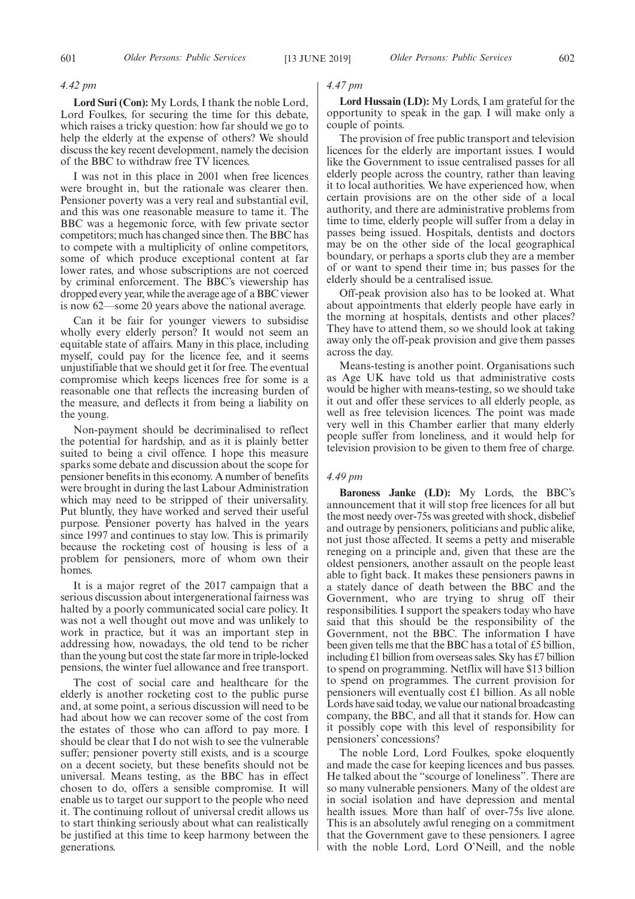#### *4.42 pm*

**Lord Suri (Con):** My Lords, I thank the noble Lord, Lord Foulkes, for securing the time for this debate, which raises a tricky question: how far should we go to help the elderly at the expense of others? We should discuss the key recent development, namely the decision of the BBC to withdraw free TV licences.

I was not in this place in 2001 when free licences were brought in, but the rationale was clearer then. Pensioner poverty was a very real and substantial evil, and this was one reasonable measure to tame it. The BBC was a hegemonic force, with few private sector competitors; much has changed since then. The BBC has to compete with a multiplicity of online competitors, some of which produce exceptional content at far lower rates, and whose subscriptions are not coerced by criminal enforcement. The BBC's viewership has dropped every year, while the average age of a BBC viewer is now 62—some 20 years above the national average.

Can it be fair for younger viewers to subsidise wholly every elderly person? It would not seem an equitable state of affairs. Many in this place, including myself, could pay for the licence fee, and it seems unjustifiable that we should get it for free. The eventual compromise which keeps licences free for some is a reasonable one that reflects the increasing burden of the measure, and deflects it from being a liability on the young.

Non-payment should be decriminalised to reflect the potential for hardship, and as it is plainly better suited to being a civil offence. I hope this measure sparks some debate and discussion about the scope for pensioner benefits in this economy. A number of benefits were brought in during the last Labour Administration which may need to be stripped of their universality. Put bluntly, they have worked and served their useful purpose. Pensioner poverty has halved in the years since 1997 and continues to stay low. This is primarily because the rocketing cost of housing is less of a problem for pensioners, more of whom own their homes.

It is a major regret of the 2017 campaign that a serious discussion about intergenerational fairness was halted by a poorly communicated social care policy. It was not a well thought out move and was unlikely to work in practice, but it was an important step in addressing how, nowadays, the old tend to be richer than the young but cost the state far more in triple-locked pensions, the winter fuel allowance and free transport.

The cost of social care and healthcare for the elderly is another rocketing cost to the public purse and, at some point, a serious discussion will need to be had about how we can recover some of the cost from the estates of those who can afford to pay more. I should be clear that I do not wish to see the vulnerable suffer; pensioner poverty still exists, and is a scourge on a decent society, but these benefits should not be universal. Means testing, as the BBC has in effect chosen to do, offers a sensible compromise. It will enable us to target our support to the people who need it. The continuing rollout of universal credit allows us to start thinking seriously about what can realistically be justified at this time to keep harmony between the generations.

#### *4.47 pm*

**Lord Hussain (LD):** My Lords, I am grateful for the opportunity to speak in the gap. I will make only a couple of points.

The provision of free public transport and television licences for the elderly are important issues. I would like the Government to issue centralised passes for all elderly people across the country, rather than leaving it to local authorities. We have experienced how, when certain provisions are on the other side of a local authority, and there are administrative problems from time to time, elderly people will suffer from a delay in passes being issued. Hospitals, dentists and doctors may be on the other side of the local geographical boundary, or perhaps a sports club they are a member of or want to spend their time in; bus passes for the elderly should be a centralised issue.

Off-peak provision also has to be looked at. What about appointments that elderly people have early in the morning at hospitals, dentists and other places? They have to attend them, so we should look at taking away only the off-peak provision and give them passes across the day.

Means-testing is another point. Organisations such as Age UK have told us that administrative costs would be higher with means-testing, so we should take it out and offer these services to all elderly people, as well as free television licences. The point was made very well in this Chamber earlier that many elderly people suffer from loneliness, and it would help for television provision to be given to them free of charge.

#### *4.49 pm*

**Baroness Janke (LD):** My Lords, the BBC's announcement that it will stop free licences for all but the most needy over-75s was greeted with shock, disbelief and outrage by pensioners, politicians and public alike, not just those affected. It seems a petty and miserable reneging on a principle and, given that these are the oldest pensioners, another assault on the people least able to fight back. It makes these pensioners pawns in a stately dance of death between the BBC and the Government, who are trying to shrug off their responsibilities. I support the speakers today who have said that this should be the responsibility of the Government, not the BBC. The information I have been given tells me that the BBC has a total of £5 billion, including £1 billion from overseas sales. Sky has £7 billion to spend on programming. Netflix will have \$13 billion to spend on programmes. The current provision for pensioners will eventually cost £1 billion. As all noble Lords have said today, we value our national broadcasting company, the BBC, and all that it stands for. How can it possibly cope with this level of responsibility for pensioners' concessions?

The noble Lord, Lord Foulkes, spoke eloquently and made the case for keeping licences and bus passes. He talked about the "scourge of loneliness". There are so many vulnerable pensioners. Many of the oldest are in social isolation and have depression and mental health issues. More than half of over-75s live alone. This is an absolutely awful reneging on a commitment that the Government gave to these pensioners. I agree with the noble Lord, Lord O'Neill, and the noble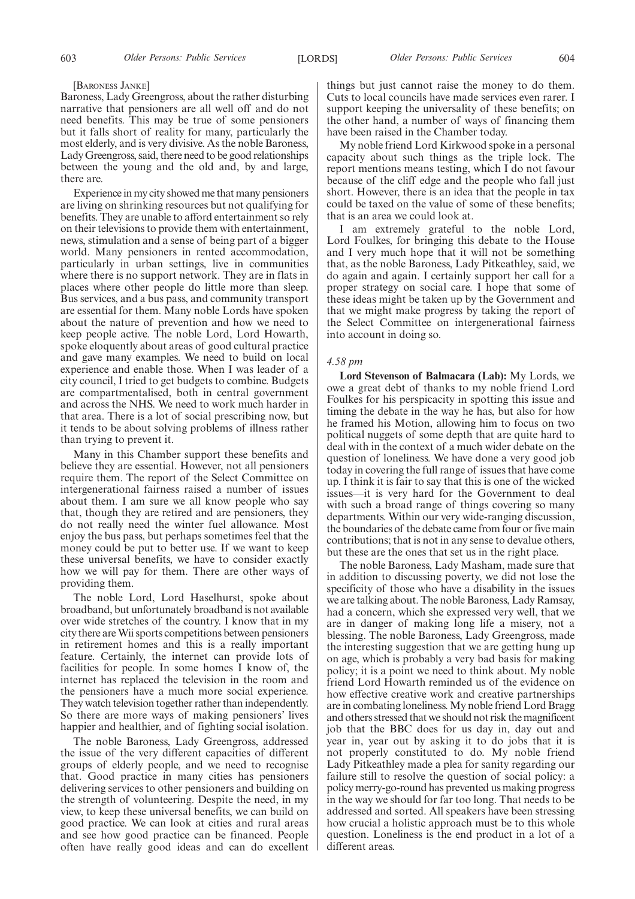#### [BARONESS JANKE]

Baroness, Lady Greengross, about the rather disturbing narrative that pensioners are all well off and do not need benefits. This may be true of some pensioners but it falls short of reality for many, particularly the most elderly, and is very divisive. As the noble Baroness, Lady Greengross, said, there need to be good relationships between the young and the old and, by and large, there are.

Experience in my city showed me that many pensioners are living on shrinking resources but not qualifying for benefits. They are unable to afford entertainment so rely on their televisions to provide them with entertainment, news, stimulation and a sense of being part of a bigger world. Many pensioners in rented accommodation, particularly in urban settings, live in communities where there is no support network. They are in flats in places where other people do little more than sleep. Bus services, and a bus pass, and community transport are essential for them. Many noble Lords have spoken about the nature of prevention and how we need to keep people active. The noble Lord, Lord Howarth, spoke eloquently about areas of good cultural practice and gave many examples. We need to build on local experience and enable those. When I was leader of a city council, I tried to get budgets to combine. Budgets are compartmentalised, both in central government and across the NHS. We need to work much harder in that area. There is a lot of social prescribing now, but it tends to be about solving problems of illness rather than trying to prevent it.

Many in this Chamber support these benefits and believe they are essential. However, not all pensioners require them. The report of the Select Committee on intergenerational fairness raised a number of issues about them. I am sure we all know people who say that, though they are retired and are pensioners, they do not really need the winter fuel allowance. Most enjoy the bus pass, but perhaps sometimes feel that the money could be put to better use. If we want to keep these universal benefits, we have to consider exactly how we will pay for them. There are other ways of providing them.

The noble Lord, Lord Haselhurst, spoke about broadband, but unfortunately broadband is not available over wide stretches of the country. I know that in my city there are Wii sports competitions between pensioners in retirement homes and this is a really important feature. Certainly, the internet can provide lots of facilities for people. In some homes I know of, the internet has replaced the television in the room and the pensioners have a much more social experience. They watch television together rather than independently. So there are more ways of making pensioners' lives happier and healthier, and of fighting social isolation.

The noble Baroness, Lady Greengross, addressed the issue of the very different capacities of different groups of elderly people, and we need to recognise that. Good practice in many cities has pensioners delivering services to other pensioners and building on the strength of volunteering. Despite the need, in my view, to keep these universal benefits, we can build on good practice. We can look at cities and rural areas and see how good practice can be financed. People often have really good ideas and can do excellent

things but just cannot raise the money to do them. Cuts to local councils have made services even rarer. I support keeping the universality of these benefits; on the other hand, a number of ways of financing them have been raised in the Chamber today.

My noble friend Lord Kirkwood spoke in a personal capacity about such things as the triple lock. The report mentions means testing, which I do not favour because of the cliff edge and the people who fall just short. However, there is an idea that the people in tax could be taxed on the value of some of these benefits; that is an area we could look at.

I am extremely grateful to the noble Lord, Lord Foulkes, for bringing this debate to the House and I very much hope that it will not be something that, as the noble Baroness, Lady Pitkeathley, said, we do again and again. I certainly support her call for a proper strategy on social care. I hope that some of these ideas might be taken up by the Government and that we might make progress by taking the report of the Select Committee on intergenerational fairness into account in doing so.

#### *4.58 pm*

**Lord Stevenson of Balmacara (Lab):** My Lords, we owe a great debt of thanks to my noble friend Lord Foulkes for his perspicacity in spotting this issue and timing the debate in the way he has, but also for how he framed his Motion, allowing him to focus on two political nuggets of some depth that are quite hard to deal with in the context of a much wider debate on the question of loneliness. We have done a very good job today in covering the full range of issues that have come up. I think it is fair to say that this is one of the wicked issues—it is very hard for the Government to deal with such a broad range of things covering so many departments. Within our very wide-ranging discussion, the boundaries of the debate came from four or five main contributions; that is not in any sense to devalue others, but these are the ones that set us in the right place.

The noble Baroness, Lady Masham, made sure that in addition to discussing poverty, we did not lose the specificity of those who have a disability in the issues we are talking about. The noble Baroness, Lady Ramsay, had a concern, which she expressed very well, that we are in danger of making long life a misery, not a blessing. The noble Baroness, Lady Greengross, made the interesting suggestion that we are getting hung up on age, which is probably a very bad basis for making policy; it is a point we need to think about. My noble friend Lord Howarth reminded us of the evidence on how effective creative work and creative partnerships are in combating loneliness. My noble friend Lord Bragg and others stressed that we should not risk the magnificent job that the BBC does for us day in, day out and year in, year out by asking it to do jobs that it is not properly constituted to do. My noble friend Lady Pitkeathley made a plea for sanity regarding our failure still to resolve the question of social policy: a policy merry-go-round has prevented us making progress in the way we should for far too long. That needs to be addressed and sorted. All speakers have been stressing how crucial a holistic approach must be to this whole question. Loneliness is the end product in a lot of a different areas.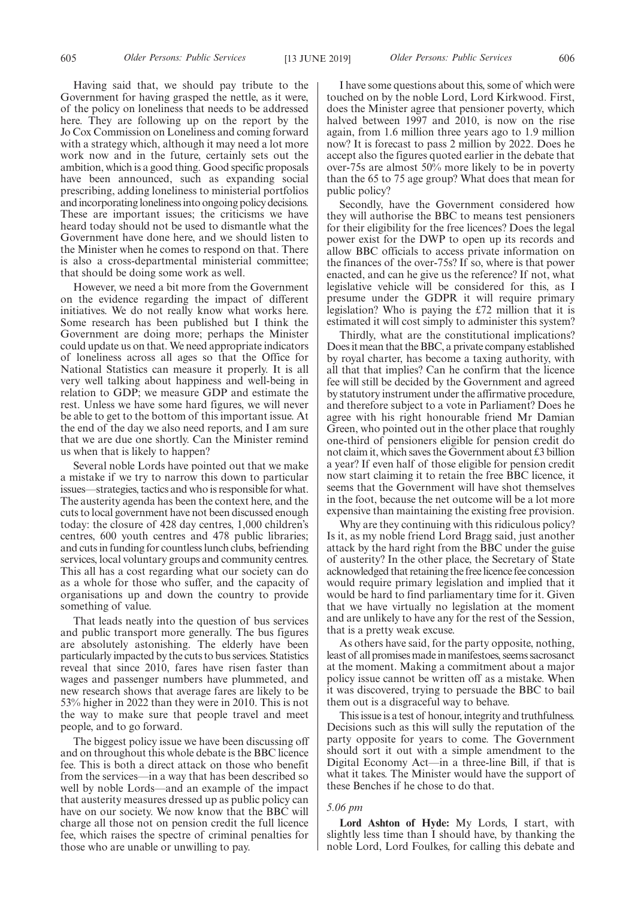Having said that, we should pay tribute to the Government for having grasped the nettle, as it were, of the policy on loneliness that needs to be addressed here. They are following up on the report by the Jo Cox Commission on Loneliness and coming forward with a strategy which, although it may need a lot more work now and in the future, certainly sets out the ambition, which is a good thing. Good specific proposals have been announced, such as expanding social prescribing, adding loneliness to ministerial portfolios and incorporating loneliness into ongoing policy decisions. These are important issues; the criticisms we have heard today should not be used to dismantle what the Government have done here, and we should listen to the Minister when he comes to respond on that. There is also a cross-departmental ministerial committee; that should be doing some work as well.

However, we need a bit more from the Government on the evidence regarding the impact of different initiatives. We do not really know what works here. Some research has been published but I think the Government are doing more; perhaps the Minister could update us on that. We need appropriate indicators of loneliness across all ages so that the Office for National Statistics can measure it properly. It is all very well talking about happiness and well-being in relation to GDP; we measure GDP and estimate the rest. Unless we have some hard figures, we will never be able to get to the bottom of this important issue. At the end of the day we also need reports, and I am sure that we are due one shortly. Can the Minister remind us when that is likely to happen?

Several noble Lords have pointed out that we make a mistake if we try to narrow this down to particular issues—strategies, tactics and who is responsible for what. The austerity agenda has been the context here, and the cuts to local government have not been discussed enough today: the closure of 428 day centres, 1,000 children's centres, 600 youth centres and 478 public libraries; and cuts in funding for countless lunch clubs, befriending services, local voluntary groups and community centres. This all has a cost regarding what our society can do as a whole for those who suffer, and the capacity of organisations up and down the country to provide something of value.

That leads neatly into the question of bus services and public transport more generally. The bus figures are absolutely astonishing. The elderly have been particularly impacted by the cuts to bus services. Statistics reveal that since 2010, fares have risen faster than wages and passenger numbers have plummeted, and new research shows that average fares are likely to be 53% higher in 2022 than they were in 2010. This is not the way to make sure that people travel and meet people, and to go forward.

The biggest policy issue we have been discussing off and on throughout this whole debate is the BBC licence fee. This is both a direct attack on those who benefit from the services—in a way that has been described so well by noble Lords—and an example of the impact that austerity measures dressed up as public policy can have on our society. We now know that the BBC will charge all those not on pension credit the full licence fee, which raises the spectre of criminal penalties for those who are unable or unwilling to pay.

I have some questions about this, some of which were touched on by the noble Lord, Lord Kirkwood. First, does the Minister agree that pensioner poverty, which halved between 1997 and 2010, is now on the rise again, from 1.6 million three years ago to 1.9 million now? It is forecast to pass 2 million by 2022. Does he accept also the figures quoted earlier in the debate that over-75s are almost 50% more likely to be in poverty than the 65 to 75 age group? What does that mean for public policy?

Secondly, have the Government considered how they will authorise the BBC to means test pensioners for their eligibility for the free licences? Does the legal power exist for the DWP to open up its records and allow BBC officials to access private information on the finances of the over-75s? If so, where is that power enacted, and can he give us the reference? If not, what legislative vehicle will be considered for this, as I presume under the GDPR it will require primary legislation? Who is paying the £72 million that it is estimated it will cost simply to administer this system?

Thirdly, what are the constitutional implications? Does it mean that the BBC, a private company established by royal charter, has become a taxing authority, with all that that implies? Can he confirm that the licence fee will still be decided by the Government and agreed by statutory instrument under the affirmative procedure, and therefore subject to a vote in Parliament? Does he agree with his right honourable friend Mr Damian Green, who pointed out in the other place that roughly one-third of pensioners eligible for pension credit do not claim it, which saves the Government about £3 billion a year? If even half of those eligible for pension credit now start claiming it to retain the free BBC licence, it seems that the Government will have shot themselves in the foot, because the net outcome will be a lot more expensive than maintaining the existing free provision.

Why are they continuing with this ridiculous policy? Is it, as my noble friend Lord Bragg said, just another attack by the hard right from the BBC under the guise of austerity? In the other place, the Secretary of State acknowledged that retaining the free licence fee concession would require primary legislation and implied that it would be hard to find parliamentary time for it. Given that we have virtually no legislation at the moment and are unlikely to have any for the rest of the Session, that is a pretty weak excuse.

As others have said, for the party opposite, nothing, least of all promises made in manifestoes, seems sacrosanct at the moment. Making a commitment about a major policy issue cannot be written off as a mistake. When it was discovered, trying to persuade the BBC to bail them out is a disgraceful way to behave.

This issue is a test of honour, integrity and truthfulness. Decisions such as this will sully the reputation of the party opposite for years to come. The Government should sort it out with a simple amendment to the Digital Economy Act—in a three-line Bill, if that is what it takes. The Minister would have the support of these Benches if he chose to do that.

#### *5.06 pm*

**Lord Ashton of Hyde:** My Lords, I start, with slightly less time than I should have, by thanking the noble Lord, Lord Foulkes, for calling this debate and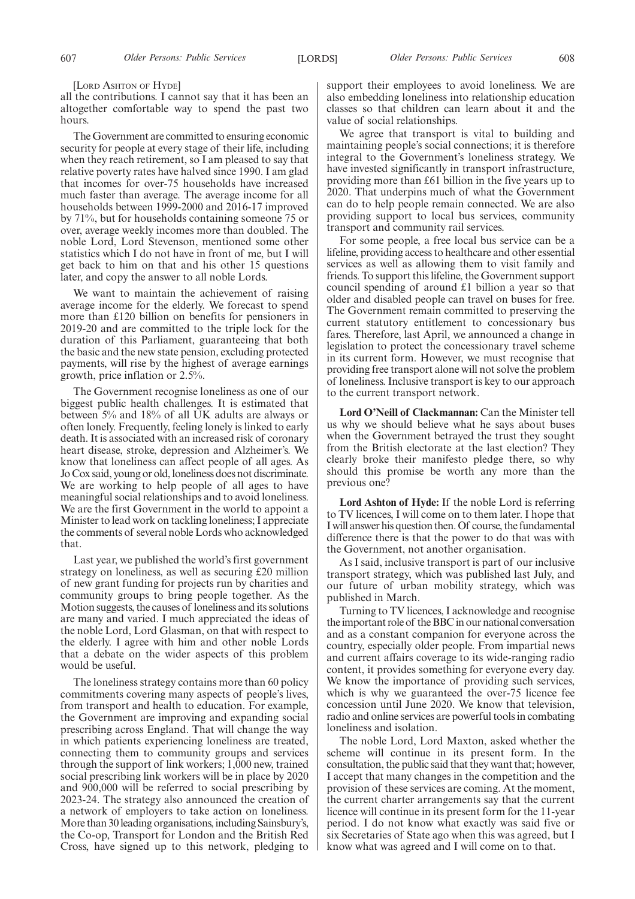[LORD ASHTON OF HYDE]

all the contributions. I cannot say that it has been an altogether comfortable way to spend the past two hours.

The Government are committed to ensuring economic security for people at every stage of their life, including when they reach retirement, so I am pleased to say that relative poverty rates have halved since 1990. I am glad that incomes for over-75 households have increased much faster than average. The average income for all households between 1999-2000 and 2016-17 improved by 71%, but for households containing someone 75 or over, average weekly incomes more than doubled. The noble Lord, Lord Stevenson, mentioned some other statistics which I do not have in front of me, but I will get back to him on that and his other 15 questions later, and copy the answer to all noble Lords.

We want to maintain the achievement of raising average income for the elderly. We forecast to spend more than £120 billion on benefits for pensioners in 2019-20 and are committed to the triple lock for the duration of this Parliament, guaranteeing that both the basic and the new state pension, excluding protected payments, will rise by the highest of average earnings growth, price inflation or 2.5%.

The Government recognise loneliness as one of our biggest public health challenges. It is estimated that between 5% and 18% of all UK adults are always or often lonely. Frequently, feeling lonely is linked to early death. It is associated with an increased risk of coronary heart disease, stroke, depression and Alzheimer's. We know that loneliness can affect people of all ages. As Jo Cox said, young or old, loneliness does not discriminate. We are working to help people of all ages to have meaningful social relationships and to avoid loneliness. We are the first Government in the world to appoint a Minister to lead work on tackling loneliness; I appreciate the comments of several noble Lords who acknowledged that.

Last year, we published the world's first government strategy on loneliness, as well as securing £20 million of new grant funding for projects run by charities and community groups to bring people together. As the Motion suggests, the causes of loneliness and its solutions are many and varied. I much appreciated the ideas of the noble Lord, Lord Glasman, on that with respect to the elderly. I agree with him and other noble Lords that a debate on the wider aspects of this problem would be useful.

The loneliness strategy contains more than 60 policy commitments covering many aspects of people's lives, from transport and health to education. For example, the Government are improving and expanding social prescribing across England. That will change the way in which patients experiencing loneliness are treated, connecting them to community groups and services through the support of link workers;  $1,000$  new, trained social prescribing link workers will be in place by 2020 and 900,000 will be referred to social prescribing by 2023-24. The strategy also announced the creation of a network of employers to take action on loneliness. More than 30 leading organisations, including Sainsbury's, the Co-op, Transport for London and the British Red Cross, have signed up to this network, pledging to support their employees to avoid loneliness. We are also embedding loneliness into relationship education classes so that children can learn about it and the value of social relationships.

We agree that transport is vital to building and maintaining people's social connections; it is therefore integral to the Government's loneliness strategy. We have invested significantly in transport infrastructure, providing more than £61 billion in the five years up to 2020. That underpins much of what the Government can do to help people remain connected. We are also providing support to local bus services, community transport and community rail services.

For some people, a free local bus service can be a lifeline, providing access to healthcare and other essential services as well as allowing them to visit family and friends. To support this lifeline, the Government support council spending of around £1 billion a year so that older and disabled people can travel on buses for free. The Government remain committed to preserving the current statutory entitlement to concessionary bus fares. Therefore, last April, we announced a change in legislation to protect the concessionary travel scheme in its current form. However, we must recognise that providing free transport alone will not solve the problem of loneliness. Inclusive transport is key to our approach to the current transport network.

**Lord O'Neill of Clackmannan:** Can the Minister tell us why we should believe what he says about buses when the Government betrayed the trust they sought from the British electorate at the last election? They clearly broke their manifesto pledge there, so why should this promise be worth any more than the previous one?

**Lord Ashton of Hyde:** If the noble Lord is referring to TV licences, I will come on to them later. I hope that I will answer his question then. Of course, the fundamental difference there is that the power to do that was with the Government, not another organisation.

As I said, inclusive transport is part of our inclusive transport strategy, which was published last July, and our future of urban mobility strategy, which was published in March.

Turning to TV licences, I acknowledge and recognise the important role of the BBC in our national conversation and as a constant companion for everyone across the country, especially older people. From impartial news and current affairs coverage to its wide-ranging radio content, it provides something for everyone every day. We know the importance of providing such services, which is why we guaranteed the over-75 licence fee concession until June 2020. We know that television, radio and online services are powerful tools in combating loneliness and isolation.

The noble Lord, Lord Maxton, asked whether the scheme will continue in its present form. In the consultation, the public said that they want that; however, I accept that many changes in the competition and the provision of these services are coming. At the moment, the current charter arrangements say that the current licence will continue in its present form for the 11-year period. I do not know what exactly was said five or six Secretaries of State ago when this was agreed, but I know what was agreed and I will come on to that.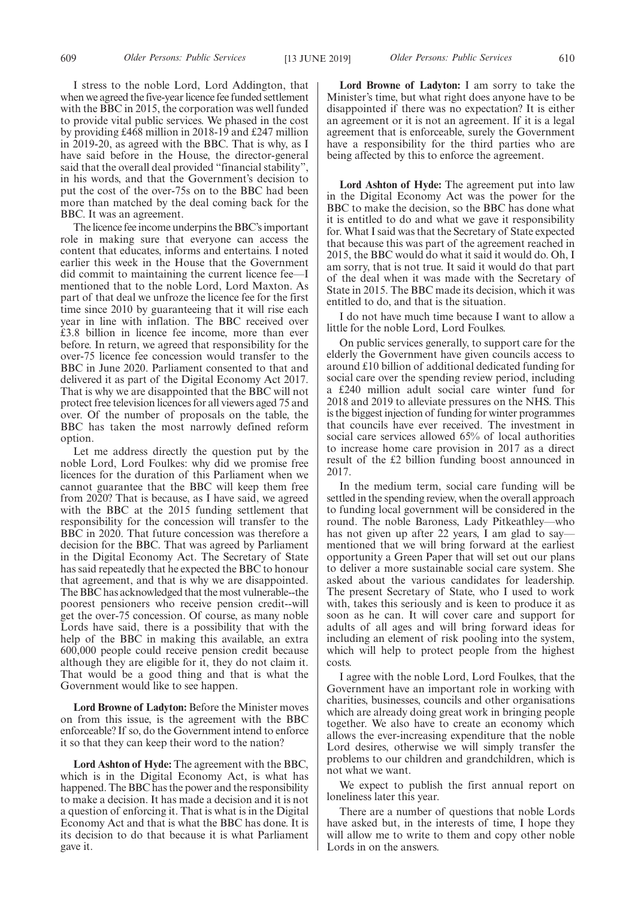I stress to the noble Lord, Lord Addington, that when we agreed the five-year licence fee funded settlement with the BBC in 2015, the corporation was well funded to provide vital public services. We phased in the cost by providing £468 million in 2018-19 and £247 million in 2019-20, as agreed with the BBC. That is why, as I have said before in the House, the director-general said that the overall deal provided "financial stability", in his words, and that the Government's decision to put the cost of the over-75s on to the BBC had been more than matched by the deal coming back for the BBC. It was an agreement.

The licence fee income underpins the BBC's important role in making sure that everyone can access the content that educates, informs and entertains. I noted earlier this week in the House that the Government did commit to maintaining the current licence fee—I mentioned that to the noble Lord, Lord Maxton. As part of that deal we unfroze the licence fee for the first time since 2010 by guaranteeing that it will rise each year in line with inflation. The BBC received over £3.8 billion in licence fee income, more than ever before. In return, we agreed that responsibility for the over-75 licence fee concession would transfer to the BBC in June 2020. Parliament consented to that and delivered it as part of the Digital Economy Act 2017. That is why we are disappointed that the BBC will not protect free television licences for all viewers aged 75 and over. Of the number of proposals on the table, the BBC has taken the most narrowly defined reform option.

Let me address directly the question put by the noble Lord, Lord Foulkes: why did we promise free licences for the duration of this Parliament when we cannot guarantee that the BBC will keep them free from 2020? That is because, as I have said, we agreed with the BBC at the 2015 funding settlement that responsibility for the concession will transfer to the BBC in 2020. That future concession was therefore a decision for the BBC. That was agreed by Parliament in the Digital Economy Act. The Secretary of State has said repeatedly that he expected the BBC to honour that agreement, and that is why we are disappointed. The BBC has acknowledged that the most vulnerable--the poorest pensioners who receive pension credit--will get the over-75 concession. Of course, as many noble Lords have said, there is a possibility that with the help of the BBC in making this available, an extra 600,000 people could receive pension credit because although they are eligible for it, they do not claim it. That would be a good thing and that is what the Government would like to see happen.

**Lord Browne of Ladyton:** Before the Minister moves on from this issue, is the agreement with the BBC enforceable? If so, do the Government intend to enforce it so that they can keep their word to the nation?

**Lord Ashton of Hyde:** The agreement with the BBC, which is in the Digital Economy Act, is what has happened. The BBC has the power and the responsibility to make a decision. It has made a decision and it is not a question of enforcing it. That is what is in the Digital Economy Act and that is what the BBC has done. It is its decision to do that because it is what Parliament gave it.

**Lord Browne of Ladyton:** I am sorry to take the Minister's time, but what right does anyone have to be disappointed if there was no expectation? It is either an agreement or it is not an agreement. If it is a legal agreement that is enforceable, surely the Government have a responsibility for the third parties who are being affected by this to enforce the agreement.

**Lord Ashton of Hyde:** The agreement put into law in the Digital Economy Act was the power for the BBC to make the decision, so the BBC has done what it is entitled to do and what we gave it responsibility for. What I said was that the Secretary of State expected that because this was part of the agreement reached in 2015, the BBC would do what it said it would do. Oh, I am sorry, that is not true. It said it would do that part of the deal when it was made with the Secretary of State in 2015. The BBC made its decision, which it was entitled to do, and that is the situation.

I do not have much time because I want to allow a little for the noble Lord, Lord Foulkes.

On public services generally, to support care for the elderly the Government have given councils access to around £10 billion of additional dedicated funding for social care over the spending review period, including a £240 million adult social care winter fund for 2018 and 2019 to alleviate pressures on the NHS. This is the biggest injection of funding for winter programmes that councils have ever received. The investment in social care services allowed 65% of local authorities to increase home care provision in 2017 as a direct result of the £2 billion funding boost announced in 2017.

In the medium term, social care funding will be settled in the spending review, when the overall approach to funding local government will be considered in the round. The noble Baroness, Lady Pitkeathley—who has not given up after 22 years, I am glad to say mentioned that we will bring forward at the earliest opportunity a Green Paper that will set out our plans to deliver a more sustainable social care system. She asked about the various candidates for leadership. The present Secretary of State, who I used to work with, takes this seriously and is keen to produce it as soon as he can. It will cover care and support for adults of all ages and will bring forward ideas for including an element of risk pooling into the system, which will help to protect people from the highest costs.

I agree with the noble Lord, Lord Foulkes, that the Government have an important role in working with charities, businesses, councils and other organisations which are already doing great work in bringing people together. We also have to create an economy which allows the ever-increasing expenditure that the noble Lord desires, otherwise we will simply transfer the problems to our children and grandchildren, which is not what we want.

We expect to publish the first annual report on loneliness later this year.

There are a number of questions that noble Lords have asked but, in the interests of time, I hope they will allow me to write to them and copy other noble Lords in on the answers.